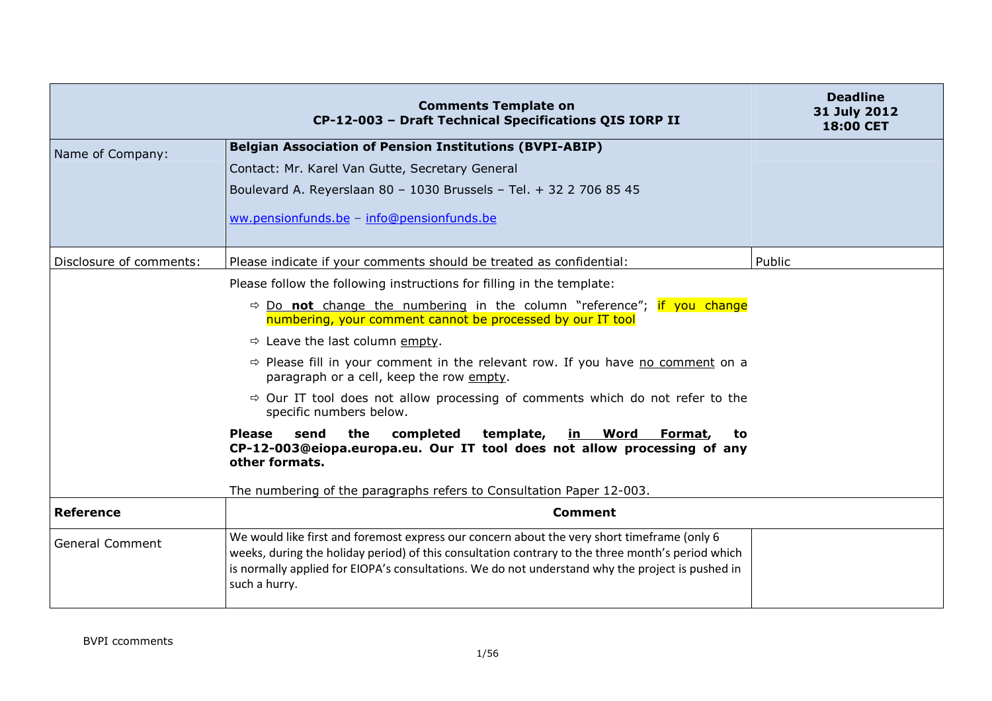|                         | <b>Comments Template on</b><br>CP-12-003 - Draft Technical Specifications QIS IORP II                                                                                                                                                                                                                                 | <b>Deadline</b><br>31 July 2012<br><b>18:00 CET</b> |
|-------------------------|-----------------------------------------------------------------------------------------------------------------------------------------------------------------------------------------------------------------------------------------------------------------------------------------------------------------------|-----------------------------------------------------|
| Name of Company:        | <b>Belgian Association of Pension Institutions (BVPI-ABIP)</b>                                                                                                                                                                                                                                                        |                                                     |
|                         | Contact: Mr. Karel Van Gutte, Secretary General                                                                                                                                                                                                                                                                       |                                                     |
|                         | Boulevard A. Reyerslaan 80 - 1030 Brussels - Tel. + 32 2 706 85 45                                                                                                                                                                                                                                                    |                                                     |
|                         | ww.pensionfunds.be - info@pensionfunds.be                                                                                                                                                                                                                                                                             |                                                     |
| Disclosure of comments: | Please indicate if your comments should be treated as confidential:                                                                                                                                                                                                                                                   | Public                                              |
|                         | Please follow the following instructions for filling in the template:                                                                                                                                                                                                                                                 |                                                     |
|                         | $\Rightarrow$ Do not change the numbering in the column "reference"; if you change<br>numbering, your comment cannot be processed by our IT tool                                                                                                                                                                      |                                                     |
|                         | $\Rightarrow$ Leave the last column empty.                                                                                                                                                                                                                                                                            |                                                     |
|                         | $\Rightarrow$ Please fill in your comment in the relevant row. If you have no comment on a<br>paragraph or a cell, keep the row empty.                                                                                                                                                                                |                                                     |
|                         | $\Rightarrow$ Our IT tool does not allow processing of comments which do not refer to the<br>specific numbers below.                                                                                                                                                                                                  |                                                     |
|                         | <b>Please</b><br>send<br>the<br>completed<br>template, in Word Format,<br>to<br>CP-12-003@eiopa.europa.eu. Our IT tool does not allow processing of any<br>other formats.                                                                                                                                             |                                                     |
|                         | The numbering of the paragraphs refers to Consultation Paper 12-003.                                                                                                                                                                                                                                                  |                                                     |
| <b>Reference</b>        | <b>Comment</b>                                                                                                                                                                                                                                                                                                        |                                                     |
| <b>General Comment</b>  | We would like first and foremost express our concern about the very short timeframe (only 6<br>weeks, during the holiday period) of this consultation contrary to the three month's period which<br>is normally applied for EIOPA's consultations. We do not understand why the project is pushed in<br>such a hurry. |                                                     |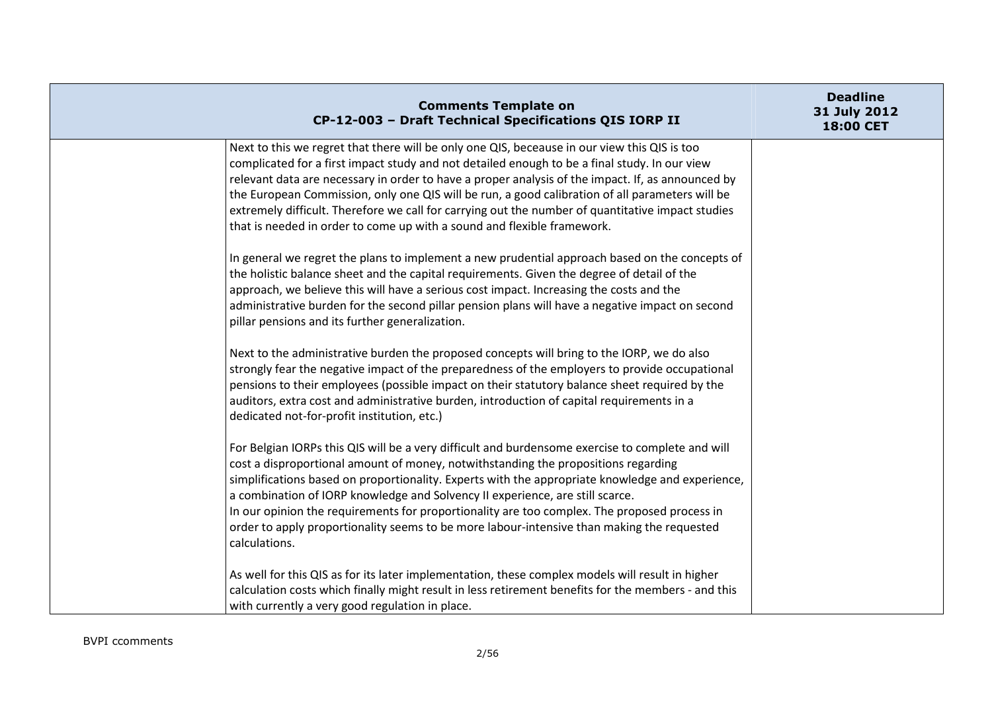| <b>Comments Template on</b><br>CP-12-003 - Draft Technical Specifications QIS IORP II                                                                                                                                                                                                                                                                                                                                                                                                                                                                                                                                                                                                                                                                                                                                                                                                                                                                                                                                                  | <b>Deadline</b><br>31 July 2012<br>18:00 CET |
|----------------------------------------------------------------------------------------------------------------------------------------------------------------------------------------------------------------------------------------------------------------------------------------------------------------------------------------------------------------------------------------------------------------------------------------------------------------------------------------------------------------------------------------------------------------------------------------------------------------------------------------------------------------------------------------------------------------------------------------------------------------------------------------------------------------------------------------------------------------------------------------------------------------------------------------------------------------------------------------------------------------------------------------|----------------------------------------------|
| Next to this we regret that there will be only one QIS, beceause in our view this QIS is too<br>complicated for a first impact study and not detailed enough to be a final study. In our view<br>relevant data are necessary in order to have a proper analysis of the impact. If, as announced by<br>the European Commission, only one QIS will be run, a good calibration of all parameters will be<br>extremely difficult. Therefore we call for carrying out the number of quantitative impact studies<br>that is needed in order to come up with a sound and flexible framework.<br>In general we regret the plans to implement a new prudential approach based on the concepts of<br>the holistic balance sheet and the capital requirements. Given the degree of detail of the<br>approach, we believe this will have a serious cost impact. Increasing the costs and the<br>administrative burden for the second pillar pension plans will have a negative impact on second<br>pillar pensions and its further generalization. |                                              |
| Next to the administrative burden the proposed concepts will bring to the IORP, we do also<br>strongly fear the negative impact of the preparedness of the employers to provide occupational<br>pensions to their employees (possible impact on their statutory balance sheet required by the<br>auditors, extra cost and administrative burden, introduction of capital requirements in a<br>dedicated not-for-profit institution, etc.)                                                                                                                                                                                                                                                                                                                                                                                                                                                                                                                                                                                              |                                              |
| For Belgian IORPs this QIS will be a very difficult and burdensome exercise to complete and will<br>cost a disproportional amount of money, notwithstanding the propositions regarding<br>simplifications based on proportionality. Experts with the appropriate knowledge and experience,<br>a combination of IORP knowledge and Solvency II experience, are still scarce.<br>In our opinion the requirements for proportionality are too complex. The proposed process in<br>order to apply proportionality seems to be more labour-intensive than making the requested<br>calculations.                                                                                                                                                                                                                                                                                                                                                                                                                                             |                                              |
| As well for this QIS as for its later implementation, these complex models will result in higher<br>calculation costs which finally might result in less retirement benefits for the members - and this<br>with currently a very good regulation in place.                                                                                                                                                                                                                                                                                                                                                                                                                                                                                                                                                                                                                                                                                                                                                                             |                                              |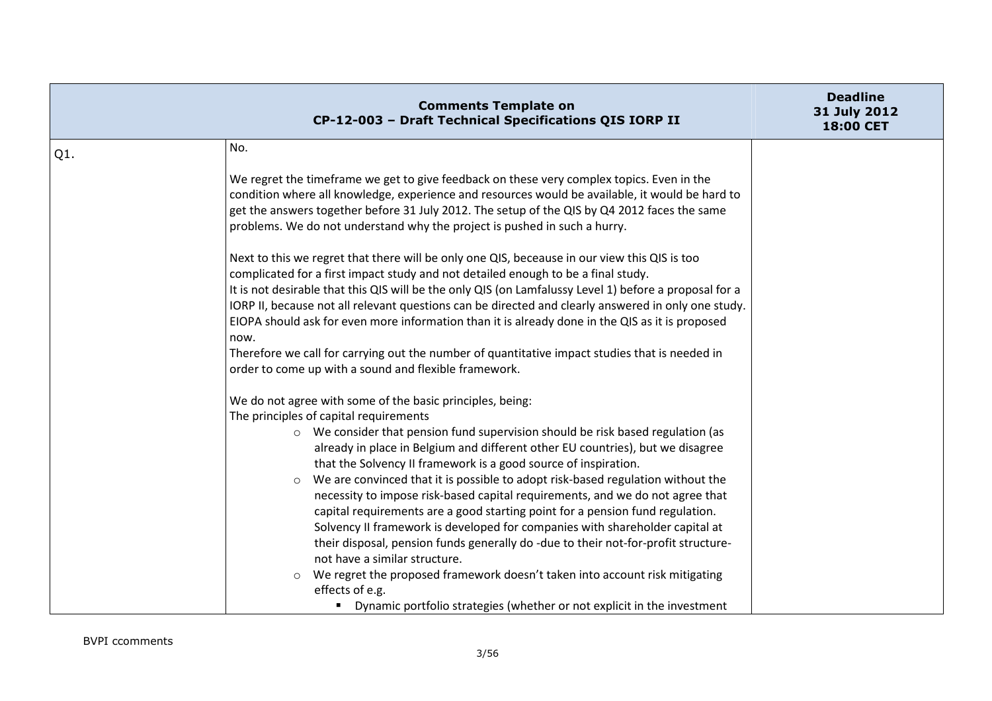|     | <b>Comments Template on</b><br>CP-12-003 - Draft Technical Specifications QIS IORP II                                                                                                                                                                                                                                                                                                                                                                                                                                                                                                                                                                                                                                                                                                                                                                                                                                                                                                                        | <b>Deadline</b><br>31 July 2012<br>18:00 CET |
|-----|--------------------------------------------------------------------------------------------------------------------------------------------------------------------------------------------------------------------------------------------------------------------------------------------------------------------------------------------------------------------------------------------------------------------------------------------------------------------------------------------------------------------------------------------------------------------------------------------------------------------------------------------------------------------------------------------------------------------------------------------------------------------------------------------------------------------------------------------------------------------------------------------------------------------------------------------------------------------------------------------------------------|----------------------------------------------|
| Q1. | No.                                                                                                                                                                                                                                                                                                                                                                                                                                                                                                                                                                                                                                                                                                                                                                                                                                                                                                                                                                                                          |                                              |
|     | We regret the timeframe we get to give feedback on these very complex topics. Even in the<br>condition where all knowledge, experience and resources would be available, it would be hard to<br>get the answers together before 31 July 2012. The setup of the QIS by Q4 2012 faces the same<br>problems. We do not understand why the project is pushed in such a hurry.                                                                                                                                                                                                                                                                                                                                                                                                                                                                                                                                                                                                                                    |                                              |
|     | Next to this we regret that there will be only one QIS, beceause in our view this QIS is too<br>complicated for a first impact study and not detailed enough to be a final study.<br>It is not desirable that this QIS will be the only QIS (on Lamfalussy Level 1) before a proposal for a<br>IORP II, because not all relevant questions can be directed and clearly answered in only one study.<br>EIOPA should ask for even more information than it is already done in the QIS as it is proposed<br>now.<br>Therefore we call for carrying out the number of quantitative impact studies that is needed in<br>order to come up with a sound and flexible framework.                                                                                                                                                                                                                                                                                                                                     |                                              |
|     | We do not agree with some of the basic principles, being:<br>The principles of capital requirements<br>o We consider that pension fund supervision should be risk based regulation (as<br>already in place in Belgium and different other EU countries), but we disagree<br>that the Solvency II framework is a good source of inspiration.<br>We are convinced that it is possible to adopt risk-based regulation without the<br>$\circ$<br>necessity to impose risk-based capital requirements, and we do not agree that<br>capital requirements are a good starting point for a pension fund regulation.<br>Solvency II framework is developed for companies with shareholder capital at<br>their disposal, pension funds generally do -due to their not-for-profit structure-<br>not have a similar structure.<br>We regret the proposed framework doesn't taken into account risk mitigating<br>$\circ$<br>effects of e.g.<br>• Dynamic portfolio strategies (whether or not explicit in the investment |                                              |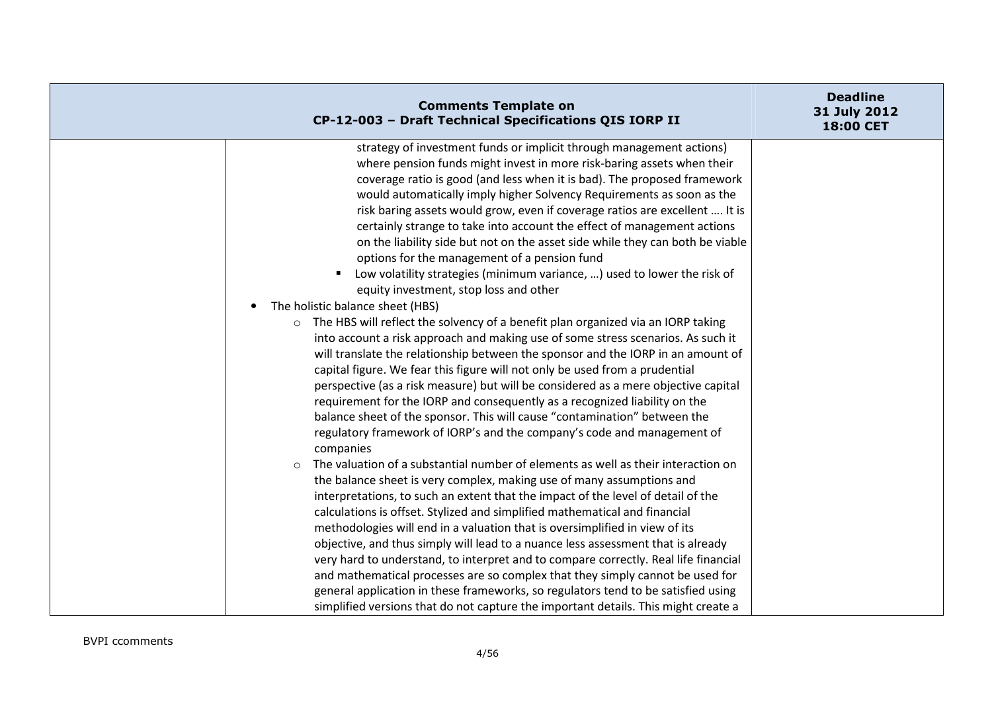| <b>Comments Template on</b><br>CP-12-003 - Draft Technical Specifications QIS IORP II                              | <b>Deadline</b><br>31 July 2012<br>18:00 CET |
|--------------------------------------------------------------------------------------------------------------------|----------------------------------------------|
| strategy of investment funds or implicit through management actions)                                               |                                              |
| where pension funds might invest in more risk-baring assets when their                                             |                                              |
| coverage ratio is good (and less when it is bad). The proposed framework                                           |                                              |
| would automatically imply higher Solvency Requirements as soon as the                                              |                                              |
| risk baring assets would grow, even if coverage ratios are excellent  It is                                        |                                              |
| certainly strange to take into account the effect of management actions                                            |                                              |
| on the liability side but not on the asset side while they can both be viable                                      |                                              |
| options for the management of a pension fund                                                                       |                                              |
| Low volatility strategies (minimum variance, ) used to lower the risk of<br>equity investment, stop loss and other |                                              |
| The holistic balance sheet (HBS)                                                                                   |                                              |
| The HBS will reflect the solvency of a benefit plan organized via an IORP taking<br>$\circ$                        |                                              |
| into account a risk approach and making use of some stress scenarios. As such it                                   |                                              |
| will translate the relationship between the sponsor and the IORP in an amount of                                   |                                              |
| capital figure. We fear this figure will not only be used from a prudential                                        |                                              |
| perspective (as a risk measure) but will be considered as a mere objective capital                                 |                                              |
| requirement for the IORP and consequently as a recognized liability on the                                         |                                              |
| balance sheet of the sponsor. This will cause "contamination" between the                                          |                                              |
| regulatory framework of IORP's and the company's code and management of                                            |                                              |
| companies                                                                                                          |                                              |
| The valuation of a substantial number of elements as well as their interaction on<br>$\circ$                       |                                              |
| the balance sheet is very complex, making use of many assumptions and                                              |                                              |
| interpretations, to such an extent that the impact of the level of detail of the                                   |                                              |
| calculations is offset. Stylized and simplified mathematical and financial                                         |                                              |
| methodologies will end in a valuation that is oversimplified in view of its                                        |                                              |
| objective, and thus simply will lead to a nuance less assessment that is already                                   |                                              |
| very hard to understand, to interpret and to compare correctly. Real life financial                                |                                              |
| and mathematical processes are so complex that they simply cannot be used for                                      |                                              |
| general application in these frameworks, so regulators tend to be satisfied using                                  |                                              |
| simplified versions that do not capture the important details. This might create a                                 |                                              |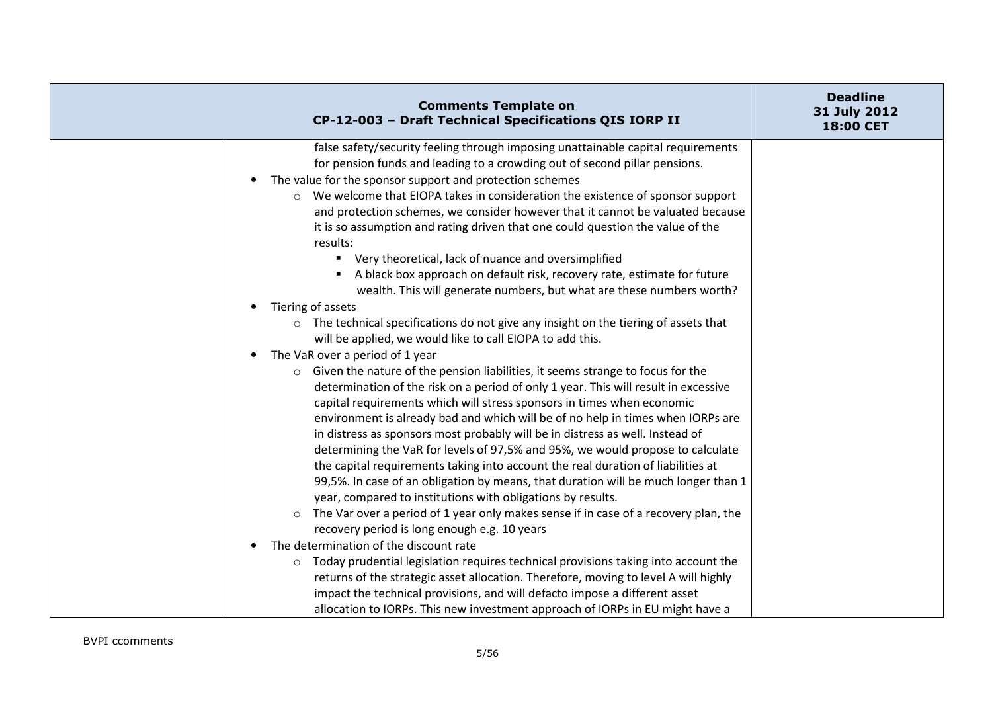| <b>Comments Template on</b><br>CP-12-003 - Draft Technical Specifications QIS IORP II          | <b>Deadline</b><br>31 July 2012<br>18:00 CET |
|------------------------------------------------------------------------------------------------|----------------------------------------------|
| false safety/security feeling through imposing unattainable capital requirements               |                                              |
| for pension funds and leading to a crowding out of second pillar pensions.                     |                                              |
| The value for the sponsor support and protection schemes                                       |                                              |
| ○ We welcome that EIOPA takes in consideration the existence of sponsor support                |                                              |
| and protection schemes, we consider however that it cannot be valuated because                 |                                              |
| it is so assumption and rating driven that one could question the value of the                 |                                              |
| results:                                                                                       |                                              |
| " Very theoretical, lack of nuance and oversimplified                                          |                                              |
| A black box approach on default risk, recovery rate, estimate for future                       |                                              |
| wealth. This will generate numbers, but what are these numbers worth?                          |                                              |
| Tiering of assets                                                                              |                                              |
| $\circ$ The technical specifications do not give any insight on the tiering of assets that     |                                              |
| will be applied, we would like to call EIOPA to add this.                                      |                                              |
| The VaR over a period of 1 year                                                                |                                              |
| Given the nature of the pension liabilities, it seems strange to focus for the<br>$\circ$      |                                              |
| determination of the risk on a period of only 1 year. This will result in excessive            |                                              |
| capital requirements which will stress sponsors in times when economic                         |                                              |
| environment is already bad and which will be of no help in times when IORPs are                |                                              |
| in distress as sponsors most probably will be in distress as well. Instead of                  |                                              |
| determining the VaR for levels of 97,5% and 95%, we would propose to calculate                 |                                              |
| the capital requirements taking into account the real duration of liabilities at               |                                              |
| 99,5%. In case of an obligation by means, that duration will be much longer than 1             |                                              |
| year, compared to institutions with obligations by results.                                    |                                              |
| The Var over a period of 1 year only makes sense if in case of a recovery plan, the<br>$\circ$ |                                              |
| recovery period is long enough e.g. 10 years<br>The determination of the discount rate         |                                              |
| $\circ$ Today prudential legislation requires technical provisions taking into account the     |                                              |
| returns of the strategic asset allocation. Therefore, moving to level A will highly            |                                              |
| impact the technical provisions, and will defacto impose a different asset                     |                                              |
| allocation to IORPs. This new investment approach of IORPs in EU might have a                  |                                              |
|                                                                                                |                                              |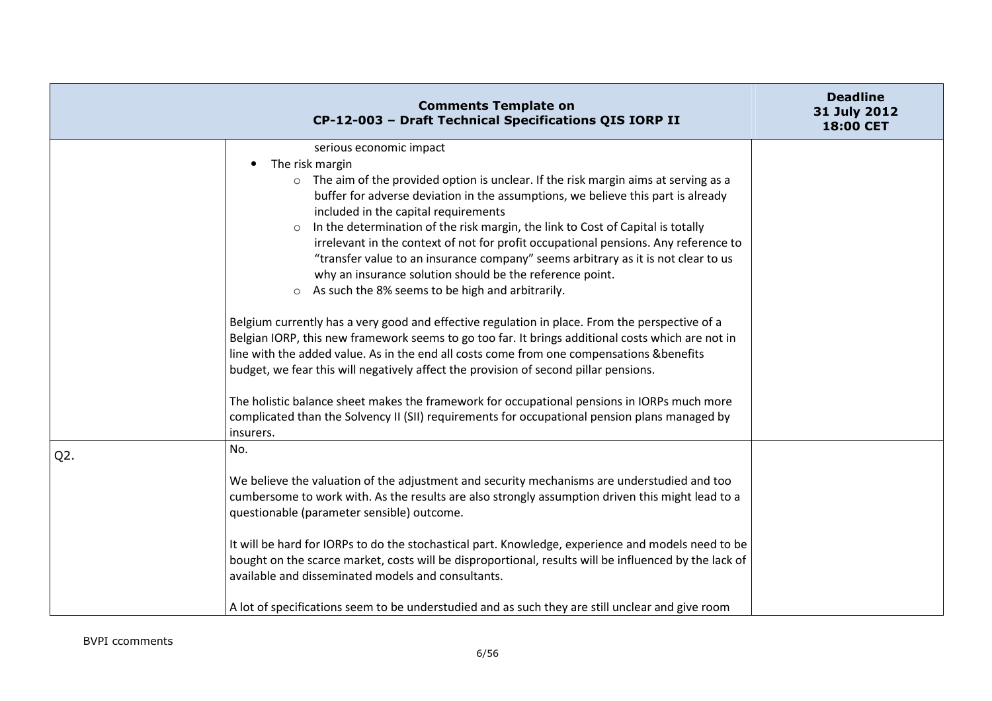|                  | <b>Comments Template on</b><br>CP-12-003 - Draft Technical Specifications QIS IORP II                                                                                                                                                                                                                                                                                                                                                                                                                                                                                                                                                                              | <b>Deadline</b><br>31 July 2012<br>18:00 CET |
|------------------|--------------------------------------------------------------------------------------------------------------------------------------------------------------------------------------------------------------------------------------------------------------------------------------------------------------------------------------------------------------------------------------------------------------------------------------------------------------------------------------------------------------------------------------------------------------------------------------------------------------------------------------------------------------------|----------------------------------------------|
|                  | serious economic impact<br>The risk margin<br>$\bullet$<br>$\circ$ The aim of the provided option is unclear. If the risk margin aims at serving as a<br>buffer for adverse deviation in the assumptions, we believe this part is already<br>included in the capital requirements<br>In the determination of the risk margin, the link to Cost of Capital is totally<br>irrelevant in the context of not for profit occupational pensions. Any reference to<br>"transfer value to an insurance company" seems arbitrary as it is not clear to us<br>why an insurance solution should be the reference point.<br>○ As such the 8% seems to be high and arbitrarily. |                                              |
|                  | Belgium currently has a very good and effective regulation in place. From the perspective of a<br>Belgian IORP, this new framework seems to go too far. It brings additional costs which are not in<br>line with the added value. As in the end all costs come from one compensations &benefits<br>budget, we fear this will negatively affect the provision of second pillar pensions.<br>The holistic balance sheet makes the framework for occupational pensions in IORPs much more<br>complicated than the Solvency II (SII) requirements for occupational pension plans managed by                                                                            |                                              |
| Q <sub>2</sub> . | insurers.<br>No.<br>We believe the valuation of the adjustment and security mechanisms are understudied and too<br>cumbersome to work with. As the results are also strongly assumption driven this might lead to a<br>questionable (parameter sensible) outcome.                                                                                                                                                                                                                                                                                                                                                                                                  |                                              |
|                  | It will be hard for IORPs to do the stochastical part. Knowledge, experience and models need to be<br>bought on the scarce market, costs will be disproportional, results will be influenced by the lack of<br>available and disseminated models and consultants.<br>A lot of specifications seem to be understudied and as such they are still unclear and give room                                                                                                                                                                                                                                                                                              |                                              |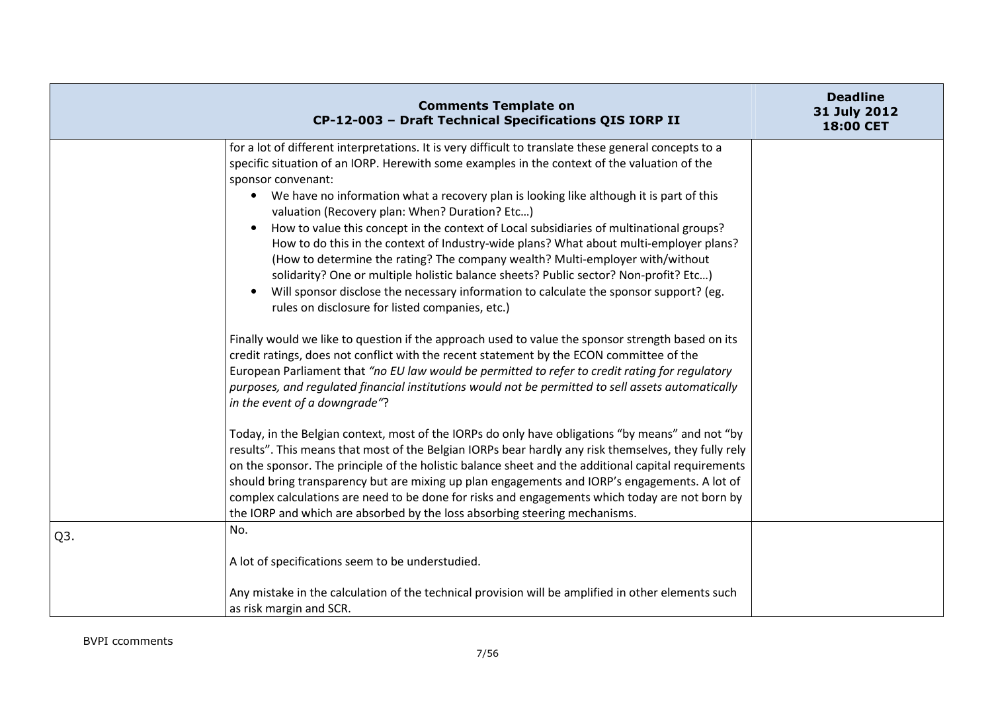|     | <b>Comments Template on</b><br>CP-12-003 - Draft Technical Specifications QIS IORP II                                                                                                                                                                                                                                                                                                                                                                                                                                                                                                                                                                                                                                                                                                                                                                                                                                                                                                                                                                                                                                                                                                                                                                                                           | <b>Deadline</b><br>31 July 2012<br>18:00 CET |
|-----|-------------------------------------------------------------------------------------------------------------------------------------------------------------------------------------------------------------------------------------------------------------------------------------------------------------------------------------------------------------------------------------------------------------------------------------------------------------------------------------------------------------------------------------------------------------------------------------------------------------------------------------------------------------------------------------------------------------------------------------------------------------------------------------------------------------------------------------------------------------------------------------------------------------------------------------------------------------------------------------------------------------------------------------------------------------------------------------------------------------------------------------------------------------------------------------------------------------------------------------------------------------------------------------------------|----------------------------------------------|
|     | for a lot of different interpretations. It is very difficult to translate these general concepts to a<br>specific situation of an IORP. Herewith some examples in the context of the valuation of the<br>sponsor convenant:<br>• We have no information what a recovery plan is looking like although it is part of this<br>valuation (Recovery plan: When? Duration? Etc)<br>How to value this concept in the context of Local subsidiaries of multinational groups?<br>How to do this in the context of Industry-wide plans? What about multi-employer plans?<br>(How to determine the rating? The company wealth? Multi-employer with/without<br>solidarity? One or multiple holistic balance sheets? Public sector? Non-profit? Etc)<br>Will sponsor disclose the necessary information to calculate the sponsor support? (eg.<br>rules on disclosure for listed companies, etc.)<br>Finally would we like to question if the approach used to value the sponsor strength based on its<br>credit ratings, does not conflict with the recent statement by the ECON committee of the<br>European Parliament that "no EU law would be permitted to refer to credit rating for regulatory<br>purposes, and requlated financial institutions would not be permitted to sell assets automatically |                                              |
|     | in the event of a downgrade"?<br>Today, in the Belgian context, most of the IORPs do only have obligations "by means" and not "by<br>results". This means that most of the Belgian IORPs bear hardly any risk themselves, they fully rely<br>on the sponsor. The principle of the holistic balance sheet and the additional capital requirements<br>should bring transparency but are mixing up plan engagements and IORP's engagements. A lot of<br>complex calculations are need to be done for risks and engagements which today are not born by<br>the IORP and which are absorbed by the loss absorbing steering mechanisms.                                                                                                                                                                                                                                                                                                                                                                                                                                                                                                                                                                                                                                                               |                                              |
| Q3. | No.<br>A lot of specifications seem to be understudied.<br>Any mistake in the calculation of the technical provision will be amplified in other elements such<br>as risk margin and SCR.                                                                                                                                                                                                                                                                                                                                                                                                                                                                                                                                                                                                                                                                                                                                                                                                                                                                                                                                                                                                                                                                                                        |                                              |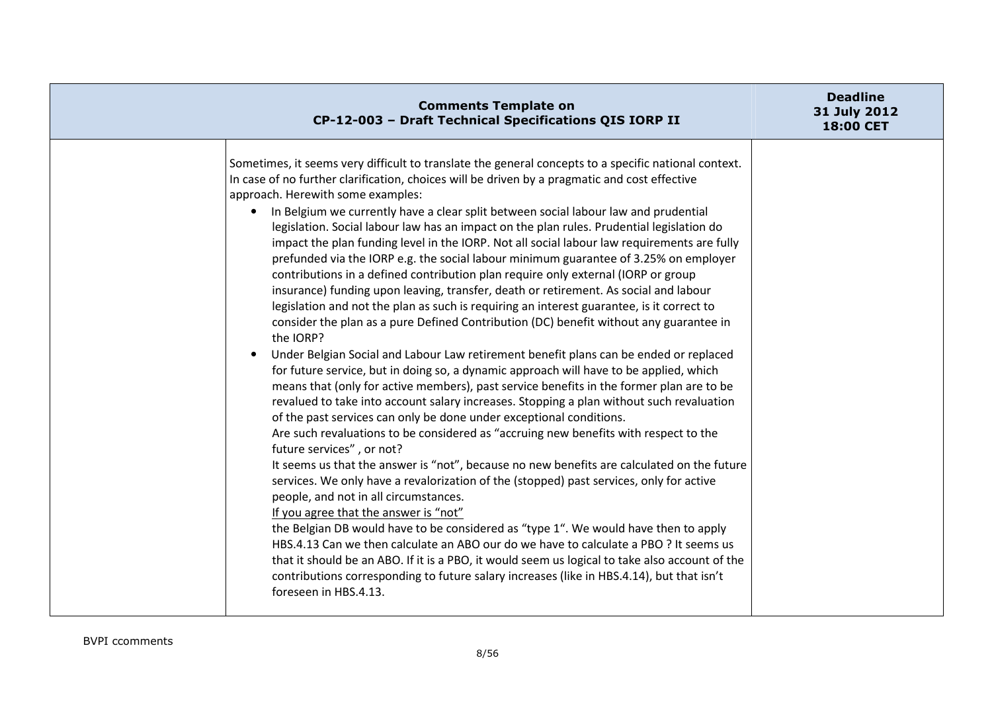| <b>Comments Template on</b><br>CP-12-003 - Draft Technical Specifications QIS IORP II                                                                                                                                                                                                                                                                                                                                                                                                                                                                                                                                                                                                                                                                                                                                                                                                                                                                                                                                                                                                                                                                                                                                                                                                                                                                                                                                                                                                                                                                                                                                                                                                                                                                                                                                                                                                                                                                                                                                                                                                                                                                                                                                                                            | <b>Deadline</b><br>31 July 2012<br>18:00 CET |
|------------------------------------------------------------------------------------------------------------------------------------------------------------------------------------------------------------------------------------------------------------------------------------------------------------------------------------------------------------------------------------------------------------------------------------------------------------------------------------------------------------------------------------------------------------------------------------------------------------------------------------------------------------------------------------------------------------------------------------------------------------------------------------------------------------------------------------------------------------------------------------------------------------------------------------------------------------------------------------------------------------------------------------------------------------------------------------------------------------------------------------------------------------------------------------------------------------------------------------------------------------------------------------------------------------------------------------------------------------------------------------------------------------------------------------------------------------------------------------------------------------------------------------------------------------------------------------------------------------------------------------------------------------------------------------------------------------------------------------------------------------------------------------------------------------------------------------------------------------------------------------------------------------------------------------------------------------------------------------------------------------------------------------------------------------------------------------------------------------------------------------------------------------------------------------------------------------------------------------------------------------------|----------------------------------------------|
| Sometimes, it seems very difficult to translate the general concepts to a specific national context.<br>In case of no further clarification, choices will be driven by a pragmatic and cost effective<br>approach. Herewith some examples:<br>In Belgium we currently have a clear split between social labour law and prudential<br>legislation. Social labour law has an impact on the plan rules. Prudential legislation do<br>impact the plan funding level in the IORP. Not all social labour law requirements are fully<br>prefunded via the IORP e.g. the social labour minimum guarantee of 3.25% on employer<br>contributions in a defined contribution plan require only external (IORP or group<br>insurance) funding upon leaving, transfer, death or retirement. As social and labour<br>legislation and not the plan as such is requiring an interest guarantee, is it correct to<br>consider the plan as a pure Defined Contribution (DC) benefit without any guarantee in<br>the IORP?<br>Under Belgian Social and Labour Law retirement benefit plans can be ended or replaced<br>for future service, but in doing so, a dynamic approach will have to be applied, which<br>means that (only for active members), past service benefits in the former plan are to be<br>revalued to take into account salary increases. Stopping a plan without such revaluation<br>of the past services can only be done under exceptional conditions.<br>Are such revaluations to be considered as "accruing new benefits with respect to the<br>future services", or not?<br>It seems us that the answer is "not", because no new benefits are calculated on the future<br>services. We only have a revalorization of the (stopped) past services, only for active<br>people, and not in all circumstances.<br>If you agree that the answer is "not"<br>the Belgian DB would have to be considered as "type 1". We would have then to apply<br>HBS.4.13 Can we then calculate an ABO our do we have to calculate a PBO ? It seems us<br>that it should be an ABO. If it is a PBO, it would seem us logical to take also account of the<br>contributions corresponding to future salary increases (like in HBS.4.14), but that isn't<br>foreseen in HBS.4.13. |                                              |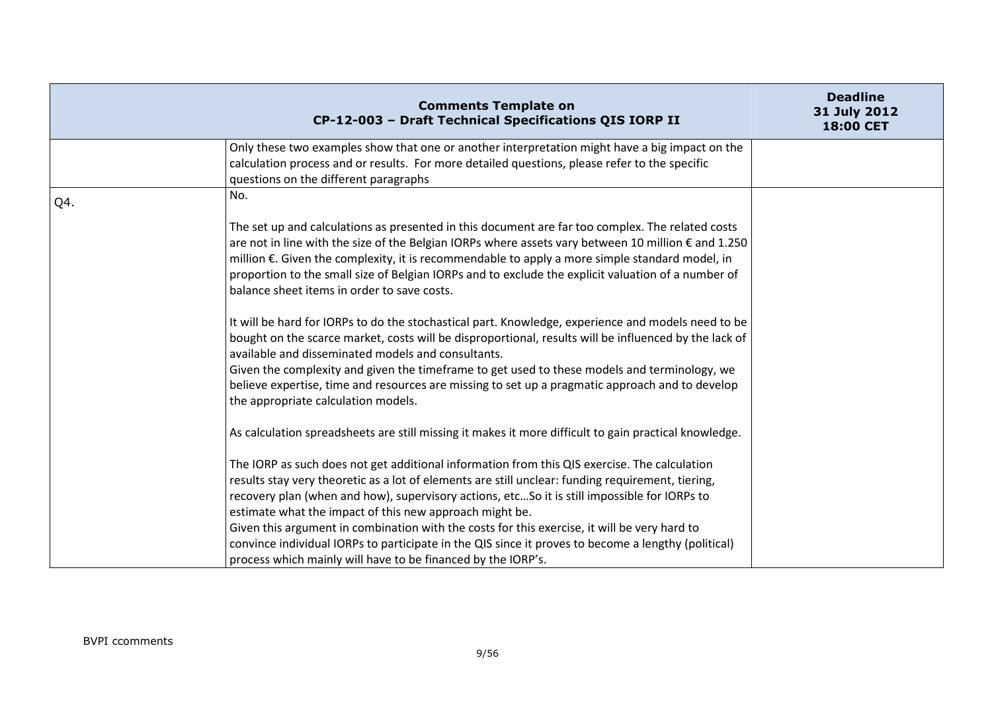|     | <b>Comments Template on</b><br>CP-12-003 - Draft Technical Specifications QIS IORP II                                                                                                                                                                                                                                                                                                                                                                                                                                                                                                                                               | <b>Deadline</b><br>31 July 2012<br>18:00 CET |
|-----|-------------------------------------------------------------------------------------------------------------------------------------------------------------------------------------------------------------------------------------------------------------------------------------------------------------------------------------------------------------------------------------------------------------------------------------------------------------------------------------------------------------------------------------------------------------------------------------------------------------------------------------|----------------------------------------------|
|     | Only these two examples show that one or another interpretation might have a big impact on the<br>calculation process and or results. For more detailed questions, please refer to the specific<br>questions on the different paragraphs                                                                                                                                                                                                                                                                                                                                                                                            |                                              |
| Q4. | No.                                                                                                                                                                                                                                                                                                                                                                                                                                                                                                                                                                                                                                 |                                              |
|     | The set up and calculations as presented in this document are far too complex. The related costs<br>are not in line with the size of the Belgian IORPs where assets vary between 10 million € and 1.250<br>million €. Given the complexity, it is recommendable to apply a more simple standard model, in<br>proportion to the small size of Belgian IORPs and to exclude the explicit valuation of a number of<br>balance sheet items in order to save costs.                                                                                                                                                                      |                                              |
|     | It will be hard for IORPs to do the stochastical part. Knowledge, experience and models need to be<br>bought on the scarce market, costs will be disproportional, results will be influenced by the lack of<br>available and disseminated models and consultants.<br>Given the complexity and given the timeframe to get used to these models and terminology, we<br>believe expertise, time and resources are missing to set up a pragmatic approach and to develop<br>the appropriate calculation models.                                                                                                                         |                                              |
|     | As calculation spreadsheets are still missing it makes it more difficult to gain practical knowledge.                                                                                                                                                                                                                                                                                                                                                                                                                                                                                                                               |                                              |
|     | The IORP as such does not get additional information from this QIS exercise. The calculation<br>results stay very theoretic as a lot of elements are still unclear: funding requirement, tiering,<br>recovery plan (when and how), supervisory actions, etcSo it is still impossible for IORPs to<br>estimate what the impact of this new approach might be.<br>Given this argument in combination with the costs for this exercise, it will be very hard to<br>convince individual IORPs to participate in the QIS since it proves to become a lengthy (political)<br>process which mainly will have to be financed by the IORP's. |                                              |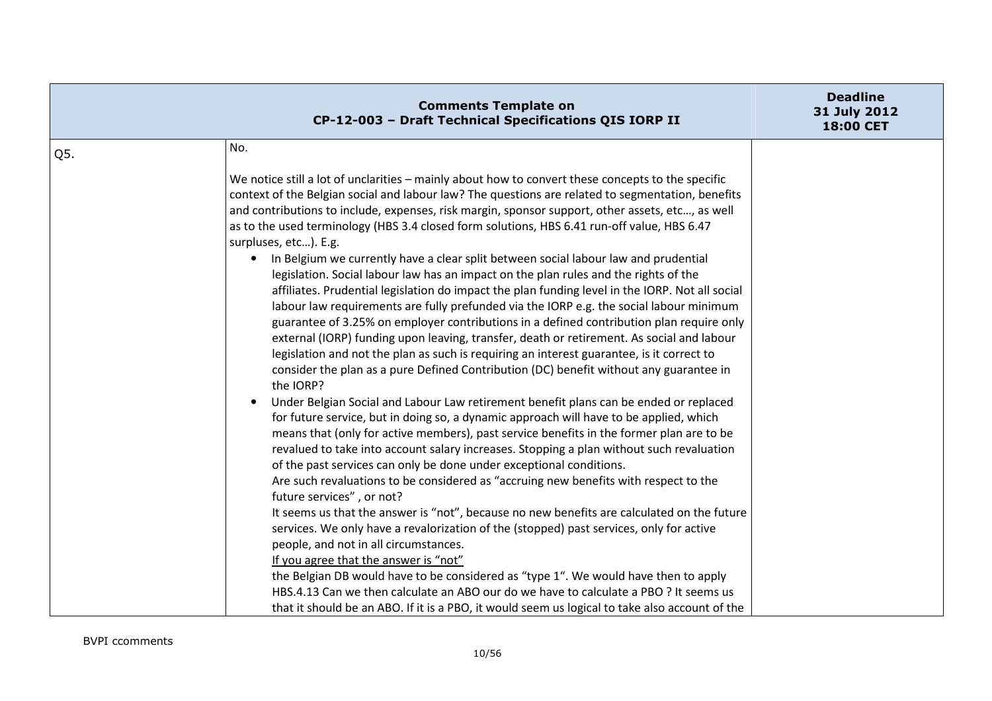|     | <b>Comments Template on</b><br>CP-12-003 - Draft Technical Specifications QIS IORP II                                                                                                                                                                                                                                                                                                                                                                                                                                                                                                                                                                                                                                                                                                                                                                                                                                                                                                                                                                                                                                                                                                                                                                                                                                                                                                                                                                                                                                                                                                                                                                                                                                                                                                                                                                                                                                                                                                                                                                                                                                                                                                                                                                                                                                                                                      | <b>Deadline</b><br>31 July 2012<br>18:00 CET |
|-----|----------------------------------------------------------------------------------------------------------------------------------------------------------------------------------------------------------------------------------------------------------------------------------------------------------------------------------------------------------------------------------------------------------------------------------------------------------------------------------------------------------------------------------------------------------------------------------------------------------------------------------------------------------------------------------------------------------------------------------------------------------------------------------------------------------------------------------------------------------------------------------------------------------------------------------------------------------------------------------------------------------------------------------------------------------------------------------------------------------------------------------------------------------------------------------------------------------------------------------------------------------------------------------------------------------------------------------------------------------------------------------------------------------------------------------------------------------------------------------------------------------------------------------------------------------------------------------------------------------------------------------------------------------------------------------------------------------------------------------------------------------------------------------------------------------------------------------------------------------------------------------------------------------------------------------------------------------------------------------------------------------------------------------------------------------------------------------------------------------------------------------------------------------------------------------------------------------------------------------------------------------------------------------------------------------------------------------------------------------------------------|----------------------------------------------|
| Q5. | No.                                                                                                                                                                                                                                                                                                                                                                                                                                                                                                                                                                                                                                                                                                                                                                                                                                                                                                                                                                                                                                                                                                                                                                                                                                                                                                                                                                                                                                                                                                                                                                                                                                                                                                                                                                                                                                                                                                                                                                                                                                                                                                                                                                                                                                                                                                                                                                        |                                              |
|     | We notice still a lot of unclarities – mainly about how to convert these concepts to the specific<br>context of the Belgian social and labour law? The questions are related to segmentation, benefits<br>and contributions to include, expenses, risk margin, sponsor support, other assets, etc, as well<br>as to the used terminology (HBS 3.4 closed form solutions, HBS 6.41 run-off value, HBS 6.47<br>surpluses, etc). E.g.<br>In Belgium we currently have a clear split between social labour law and prudential<br>$\bullet$<br>legislation. Social labour law has an impact on the plan rules and the rights of the<br>affiliates. Prudential legislation do impact the plan funding level in the IORP. Not all social<br>labour law requirements are fully prefunded via the IORP e.g. the social labour minimum<br>guarantee of 3.25% on employer contributions in a defined contribution plan require only<br>external (IORP) funding upon leaving, transfer, death or retirement. As social and labour<br>legislation and not the plan as such is requiring an interest guarantee, is it correct to<br>consider the plan as a pure Defined Contribution (DC) benefit without any guarantee in<br>the IORP?<br>Under Belgian Social and Labour Law retirement benefit plans can be ended or replaced<br>$\bullet$<br>for future service, but in doing so, a dynamic approach will have to be applied, which<br>means that (only for active members), past service benefits in the former plan are to be<br>revalued to take into account salary increases. Stopping a plan without such revaluation<br>of the past services can only be done under exceptional conditions.<br>Are such revaluations to be considered as "accruing new benefits with respect to the<br>future services", or not?<br>It seems us that the answer is "not", because no new benefits are calculated on the future<br>services. We only have a revalorization of the (stopped) past services, only for active<br>people, and not in all circumstances.<br>If you agree that the answer is "not"<br>the Belgian DB would have to be considered as "type 1". We would have then to apply<br>HBS.4.13 Can we then calculate an ABO our do we have to calculate a PBO ? It seems us<br>that it should be an ABO. If it is a PBO, it would seem us logical to take also account of the |                                              |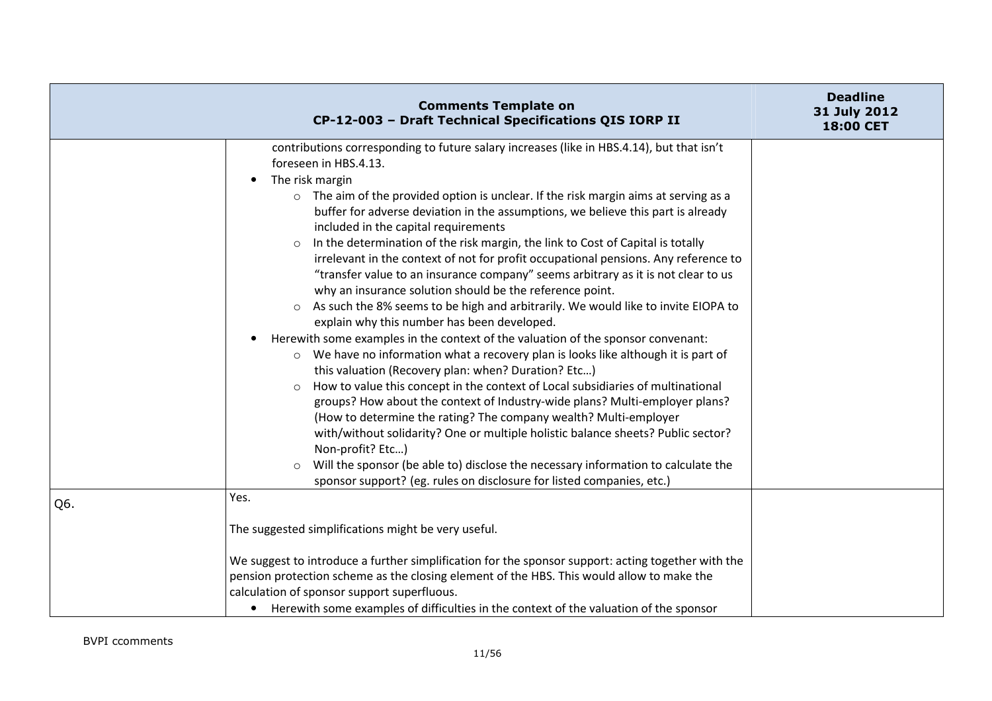|     | <b>Comments Template on</b><br>CP-12-003 - Draft Technical Specifications QIS IORP II                                                                                                                                                                                                                                                                                                                                                                                                                                                                                                                                                                                                                                                                                                                                                                                                                                                                                                                                                                                                                                                                                                                                                                                                                                                                                                                                                                                                                                                                                                                                     | <b>Deadline</b><br>31 July 2012<br>18:00 CET |
|-----|---------------------------------------------------------------------------------------------------------------------------------------------------------------------------------------------------------------------------------------------------------------------------------------------------------------------------------------------------------------------------------------------------------------------------------------------------------------------------------------------------------------------------------------------------------------------------------------------------------------------------------------------------------------------------------------------------------------------------------------------------------------------------------------------------------------------------------------------------------------------------------------------------------------------------------------------------------------------------------------------------------------------------------------------------------------------------------------------------------------------------------------------------------------------------------------------------------------------------------------------------------------------------------------------------------------------------------------------------------------------------------------------------------------------------------------------------------------------------------------------------------------------------------------------------------------------------------------------------------------------------|----------------------------------------------|
|     | contributions corresponding to future salary increases (like in HBS.4.14), but that isn't<br>foreseen in HBS.4.13.<br>The risk margin<br>$\bullet$<br>o The aim of the provided option is unclear. If the risk margin aims at serving as a<br>buffer for adverse deviation in the assumptions, we believe this part is already<br>included in the capital requirements<br>In the determination of the risk margin, the link to Cost of Capital is totally<br>irrelevant in the context of not for profit occupational pensions. Any reference to<br>"transfer value to an insurance company" seems arbitrary as it is not clear to us<br>why an insurance solution should be the reference point.<br>As such the 8% seems to be high and arbitrarily. We would like to invite EIOPA to<br>$\circ$<br>explain why this number has been developed.<br>Herewith some examples in the context of the valuation of the sponsor convenant:<br>$\circ$ We have no information what a recovery plan is looks like although it is part of<br>this valuation (Recovery plan: when? Duration? Etc)<br>How to value this concept in the context of Local subsidiaries of multinational<br>$\circ$<br>groups? How about the context of Industry-wide plans? Multi-employer plans?<br>(How to determine the rating? The company wealth? Multi-employer<br>with/without solidarity? One or multiple holistic balance sheets? Public sector?<br>Non-profit? Etc)<br>Will the sponsor (be able to) disclose the necessary information to calculate the<br>$\circ$<br>sponsor support? (eg. rules on disclosure for listed companies, etc.) |                                              |
| Q6. | Yes.                                                                                                                                                                                                                                                                                                                                                                                                                                                                                                                                                                                                                                                                                                                                                                                                                                                                                                                                                                                                                                                                                                                                                                                                                                                                                                                                                                                                                                                                                                                                                                                                                      |                                              |
|     | The suggested simplifications might be very useful.<br>We suggest to introduce a further simplification for the sponsor support: acting together with the<br>pension protection scheme as the closing element of the HBS. This would allow to make the<br>calculation of sponsor support superfluous.<br>• Herewith some examples of difficulties in the context of the valuation of the sponsor                                                                                                                                                                                                                                                                                                                                                                                                                                                                                                                                                                                                                                                                                                                                                                                                                                                                                                                                                                                                                                                                                                                                                                                                                          |                                              |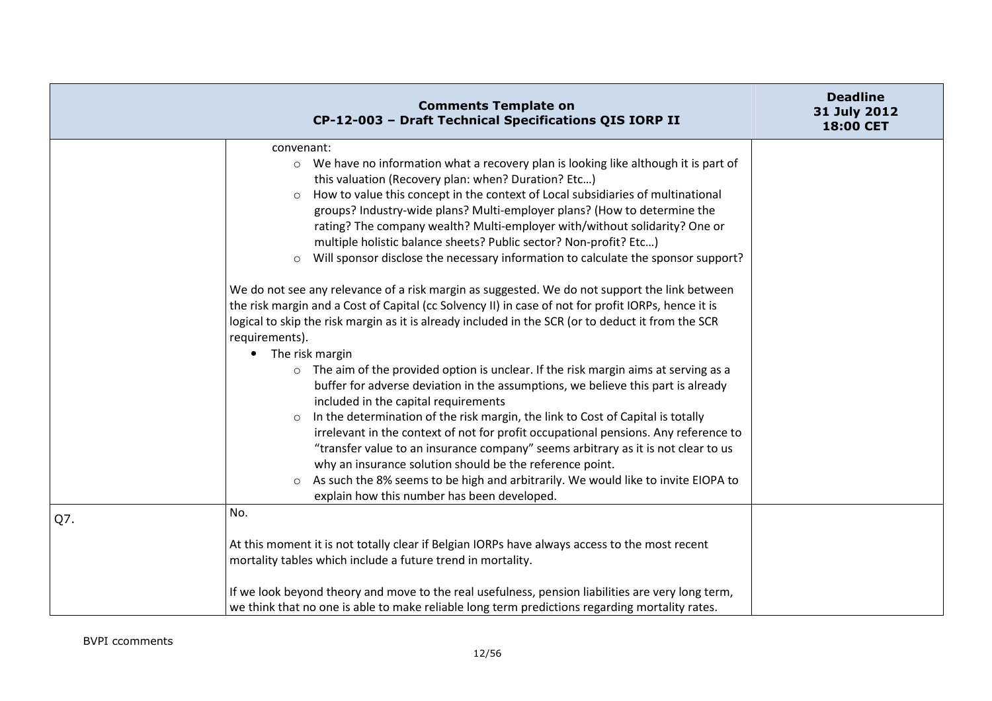|     | <b>Comments Template on</b><br>CP-12-003 - Draft Technical Specifications QIS IORP II                                                                                                                                                                                                                                                                                                                                                                                                                                                                                                                                                                                                                                                                                                                                                                                                                                                                                                                                                                                                                                                                                                                                                                                                                                                                                                                                                                                                                                                                                                                                                                       | <b>Deadline</b><br>31 July 2012<br>18:00 CET |
|-----|-------------------------------------------------------------------------------------------------------------------------------------------------------------------------------------------------------------------------------------------------------------------------------------------------------------------------------------------------------------------------------------------------------------------------------------------------------------------------------------------------------------------------------------------------------------------------------------------------------------------------------------------------------------------------------------------------------------------------------------------------------------------------------------------------------------------------------------------------------------------------------------------------------------------------------------------------------------------------------------------------------------------------------------------------------------------------------------------------------------------------------------------------------------------------------------------------------------------------------------------------------------------------------------------------------------------------------------------------------------------------------------------------------------------------------------------------------------------------------------------------------------------------------------------------------------------------------------------------------------------------------------------------------------|----------------------------------------------|
|     | convenant:<br>○ We have no information what a recovery plan is looking like although it is part of<br>this valuation (Recovery plan: when? Duration? Etc)<br>How to value this concept in the context of Local subsidiaries of multinational<br>$\circ$<br>groups? Industry-wide plans? Multi-employer plans? (How to determine the<br>rating? The company wealth? Multi-employer with/without solidarity? One or<br>multiple holistic balance sheets? Public sector? Non-profit? Etc)<br>Will sponsor disclose the necessary information to calculate the sponsor support?<br>$\circ$<br>We do not see any relevance of a risk margin as suggested. We do not support the link between<br>the risk margin and a Cost of Capital (cc Solvency II) in case of not for profit IORPs, hence it is<br>logical to skip the risk margin as it is already included in the SCR (or to deduct it from the SCR<br>requirements).<br>The risk margin<br>The aim of the provided option is unclear. If the risk margin aims at serving as a<br>$\circ$<br>buffer for adverse deviation in the assumptions, we believe this part is already<br>included in the capital requirements<br>In the determination of the risk margin, the link to Cost of Capital is totally<br>$\circ$<br>irrelevant in the context of not for profit occupational pensions. Any reference to<br>"transfer value to an insurance company" seems arbitrary as it is not clear to us<br>why an insurance solution should be the reference point.<br>As such the 8% seems to be high and arbitrarily. We would like to invite EIOPA to<br>$\circ$<br>explain how this number has been developed. |                                              |
| Q7. | No.<br>At this moment it is not totally clear if Belgian IORPs have always access to the most recent<br>mortality tables which include a future trend in mortality.                                                                                                                                                                                                                                                                                                                                                                                                                                                                                                                                                                                                                                                                                                                                                                                                                                                                                                                                                                                                                                                                                                                                                                                                                                                                                                                                                                                                                                                                                         |                                              |
|     | If we look beyond theory and move to the real usefulness, pension liabilities are very long term,<br>we think that no one is able to make reliable long term predictions regarding mortality rates.                                                                                                                                                                                                                                                                                                                                                                                                                                                                                                                                                                                                                                                                                                                                                                                                                                                                                                                                                                                                                                                                                                                                                                                                                                                                                                                                                                                                                                                         |                                              |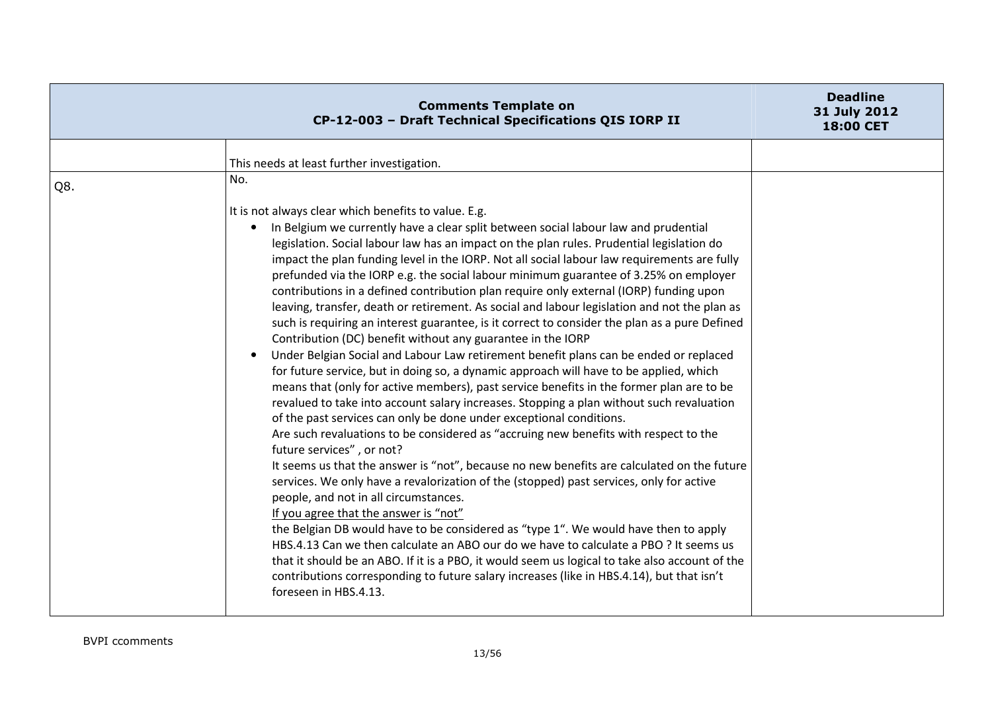|     | <b>Comments Template on</b><br>CP-12-003 - Draft Technical Specifications QIS IORP II                                                                                                                                                                                                                                                                                                                                                                                                                                                                                                                                                                                                                                                                                                                                                                                                                                                                                                                                                                                                                                                                                                                                                                                                                                                                                                                                                                                                                                                                                                                                                                                                                                                                                                                                                                                                                                                                                                                                                               | <b>Deadline</b><br>31 July 2012<br>18:00 CET |
|-----|-----------------------------------------------------------------------------------------------------------------------------------------------------------------------------------------------------------------------------------------------------------------------------------------------------------------------------------------------------------------------------------------------------------------------------------------------------------------------------------------------------------------------------------------------------------------------------------------------------------------------------------------------------------------------------------------------------------------------------------------------------------------------------------------------------------------------------------------------------------------------------------------------------------------------------------------------------------------------------------------------------------------------------------------------------------------------------------------------------------------------------------------------------------------------------------------------------------------------------------------------------------------------------------------------------------------------------------------------------------------------------------------------------------------------------------------------------------------------------------------------------------------------------------------------------------------------------------------------------------------------------------------------------------------------------------------------------------------------------------------------------------------------------------------------------------------------------------------------------------------------------------------------------------------------------------------------------------------------------------------------------------------------------------------------------|----------------------------------------------|
|     | This needs at least further investigation.                                                                                                                                                                                                                                                                                                                                                                                                                                                                                                                                                                                                                                                                                                                                                                                                                                                                                                                                                                                                                                                                                                                                                                                                                                                                                                                                                                                                                                                                                                                                                                                                                                                                                                                                                                                                                                                                                                                                                                                                          |                                              |
| Q8. | No.                                                                                                                                                                                                                                                                                                                                                                                                                                                                                                                                                                                                                                                                                                                                                                                                                                                                                                                                                                                                                                                                                                                                                                                                                                                                                                                                                                                                                                                                                                                                                                                                                                                                                                                                                                                                                                                                                                                                                                                                                                                 |                                              |
|     | It is not always clear which benefits to value. E.g.<br>In Belgium we currently have a clear split between social labour law and prudential<br>legislation. Social labour law has an impact on the plan rules. Prudential legislation do<br>impact the plan funding level in the IORP. Not all social labour law requirements are fully<br>prefunded via the IORP e.g. the social labour minimum guarantee of 3.25% on employer<br>contributions in a defined contribution plan require only external (IORP) funding upon<br>leaving, transfer, death or retirement. As social and labour legislation and not the plan as<br>such is requiring an interest guarantee, is it correct to consider the plan as a pure Defined<br>Contribution (DC) benefit without any guarantee in the IORP<br>Under Belgian Social and Labour Law retirement benefit plans can be ended or replaced<br>for future service, but in doing so, a dynamic approach will have to be applied, which<br>means that (only for active members), past service benefits in the former plan are to be<br>revalued to take into account salary increases. Stopping a plan without such revaluation<br>of the past services can only be done under exceptional conditions.<br>Are such revaluations to be considered as "accruing new benefits with respect to the<br>future services", or not?<br>It seems us that the answer is "not", because no new benefits are calculated on the future<br>services. We only have a revalorization of the (stopped) past services, only for active<br>people, and not in all circumstances.<br>If you agree that the answer is "not"<br>the Belgian DB would have to be considered as "type 1". We would have then to apply<br>HBS.4.13 Can we then calculate an ABO our do we have to calculate a PBO ? It seems us<br>that it should be an ABO. If it is a PBO, it would seem us logical to take also account of the<br>contributions corresponding to future salary increases (like in HBS.4.14), but that isn't<br>foreseen in HBS.4.13. |                                              |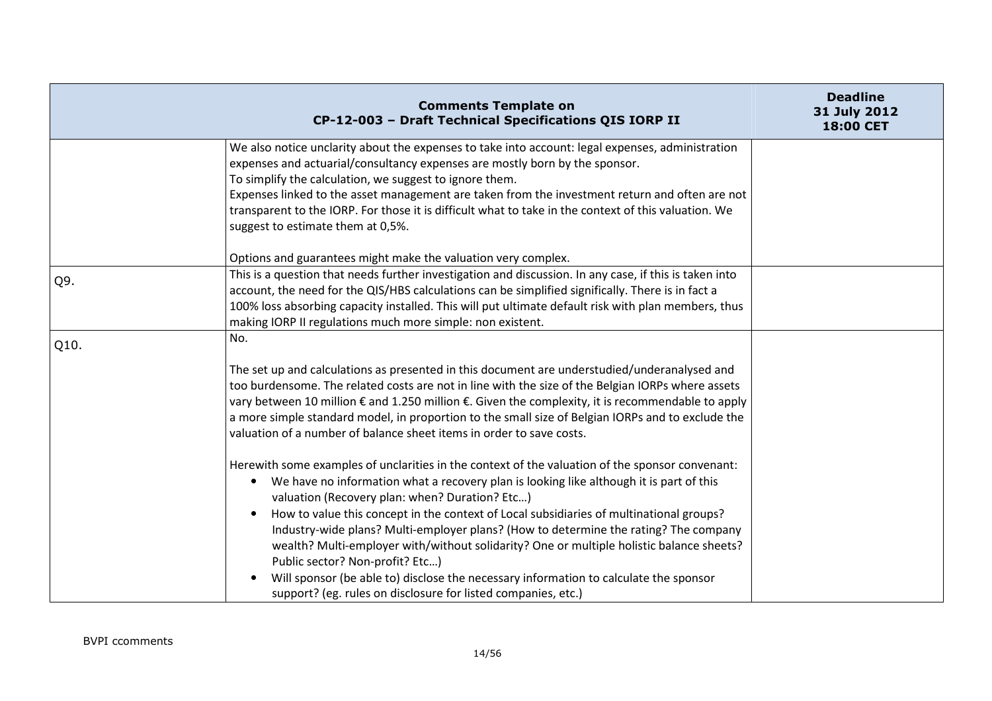|      | <b>Comments Template on</b><br>CP-12-003 - Draft Technical Specifications QIS IORP II                                                                                                                                                                                                                                                                                                                                                                                                                                                                                                                                                                                                                                                 | <b>Deadline</b><br>31 July 2012<br>18:00 CET |
|------|---------------------------------------------------------------------------------------------------------------------------------------------------------------------------------------------------------------------------------------------------------------------------------------------------------------------------------------------------------------------------------------------------------------------------------------------------------------------------------------------------------------------------------------------------------------------------------------------------------------------------------------------------------------------------------------------------------------------------------------|----------------------------------------------|
|      | We also notice unclarity about the expenses to take into account: legal expenses, administration<br>expenses and actuarial/consultancy expenses are mostly born by the sponsor.<br>To simplify the calculation, we suggest to ignore them.<br>Expenses linked to the asset management are taken from the investment return and often are not<br>transparent to the IORP. For those it is difficult what to take in the context of this valuation. We<br>suggest to estimate them at 0,5%.                                                                                                                                                                                                                                             |                                              |
|      | Options and guarantees might make the valuation very complex.                                                                                                                                                                                                                                                                                                                                                                                                                                                                                                                                                                                                                                                                         |                                              |
| Q9.  | This is a question that needs further investigation and discussion. In any case, if this is taken into<br>account, the need for the QIS/HBS calculations can be simplified significally. There is in fact a<br>100% loss absorbing capacity installed. This will put ultimate default risk with plan members, thus<br>making IORP II regulations much more simple: non existent.                                                                                                                                                                                                                                                                                                                                                      |                                              |
| Q10. | No.                                                                                                                                                                                                                                                                                                                                                                                                                                                                                                                                                                                                                                                                                                                                   |                                              |
|      | The set up and calculations as presented in this document are understudied/underanalysed and<br>too burdensome. The related costs are not in line with the size of the Belgian IORPs where assets<br>vary between 10 million € and 1.250 million €. Given the complexity, it is recommendable to apply<br>a more simple standard model, in proportion to the small size of Belgian IORPs and to exclude the<br>valuation of a number of balance sheet items in order to save costs.                                                                                                                                                                                                                                                   |                                              |
|      | Herewith some examples of unclarities in the context of the valuation of the sponsor convenant:<br>We have no information what a recovery plan is looking like although it is part of this<br>$\bullet$<br>valuation (Recovery plan: when? Duration? Etc)<br>How to value this concept in the context of Local subsidiaries of multinational groups?<br>Industry-wide plans? Multi-employer plans? (How to determine the rating? The company<br>wealth? Multi-employer with/without solidarity? One or multiple holistic balance sheets?<br>Public sector? Non-profit? Etc)<br>Will sponsor (be able to) disclose the necessary information to calculate the sponsor<br>support? (eg. rules on disclosure for listed companies, etc.) |                                              |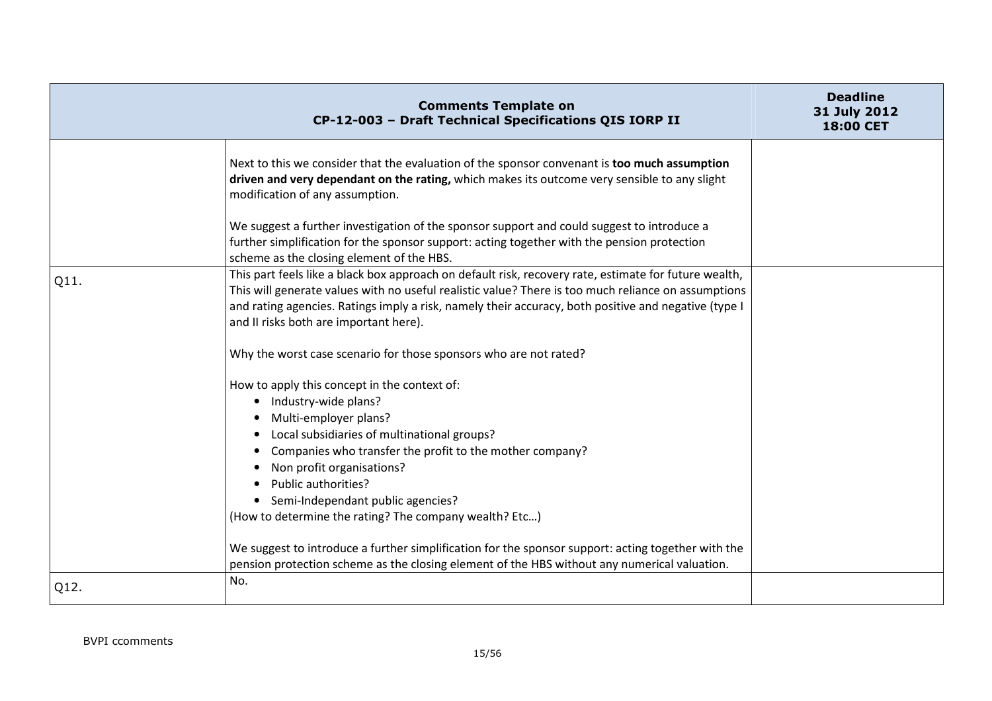|      | <b>Comments Template on</b><br>CP-12-003 - Draft Technical Specifications QIS IORP II                                                                                                                                                                                                                                                                                                                                                                                                                                                                                            | <b>Deadline</b><br>31 July 2012<br>18:00 CET |
|------|----------------------------------------------------------------------------------------------------------------------------------------------------------------------------------------------------------------------------------------------------------------------------------------------------------------------------------------------------------------------------------------------------------------------------------------------------------------------------------------------------------------------------------------------------------------------------------|----------------------------------------------|
|      | Next to this we consider that the evaluation of the sponsor convenant is too much assumption<br>driven and very dependant on the rating, which makes its outcome very sensible to any slight<br>modification of any assumption.                                                                                                                                                                                                                                                                                                                                                  |                                              |
|      | We suggest a further investigation of the sponsor support and could suggest to introduce a<br>further simplification for the sponsor support: acting together with the pension protection<br>scheme as the closing element of the HBS.                                                                                                                                                                                                                                                                                                                                           |                                              |
| Q11. | This part feels like a black box approach on default risk, recovery rate, estimate for future wealth,<br>This will generate values with no useful realistic value? There is too much reliance on assumptions<br>and rating agencies. Ratings imply a risk, namely their accuracy, both positive and negative (type I<br>and II risks both are important here).                                                                                                                                                                                                                   |                                              |
|      | Why the worst case scenario for those sponsors who are not rated?                                                                                                                                                                                                                                                                                                                                                                                                                                                                                                                |                                              |
|      | How to apply this concept in the context of:<br>Industry-wide plans?<br>$\bullet$<br>Multi-employer plans?<br>Local subsidiaries of multinational groups?<br>Companies who transfer the profit to the mother company?<br>Non profit organisations?<br>Public authorities?<br>• Semi-Independant public agencies?<br>(How to determine the rating? The company wealth? Etc)<br>We suggest to introduce a further simplification for the sponsor support: acting together with the<br>pension protection scheme as the closing element of the HBS without any numerical valuation. |                                              |
| Q12. | No.                                                                                                                                                                                                                                                                                                                                                                                                                                                                                                                                                                              |                                              |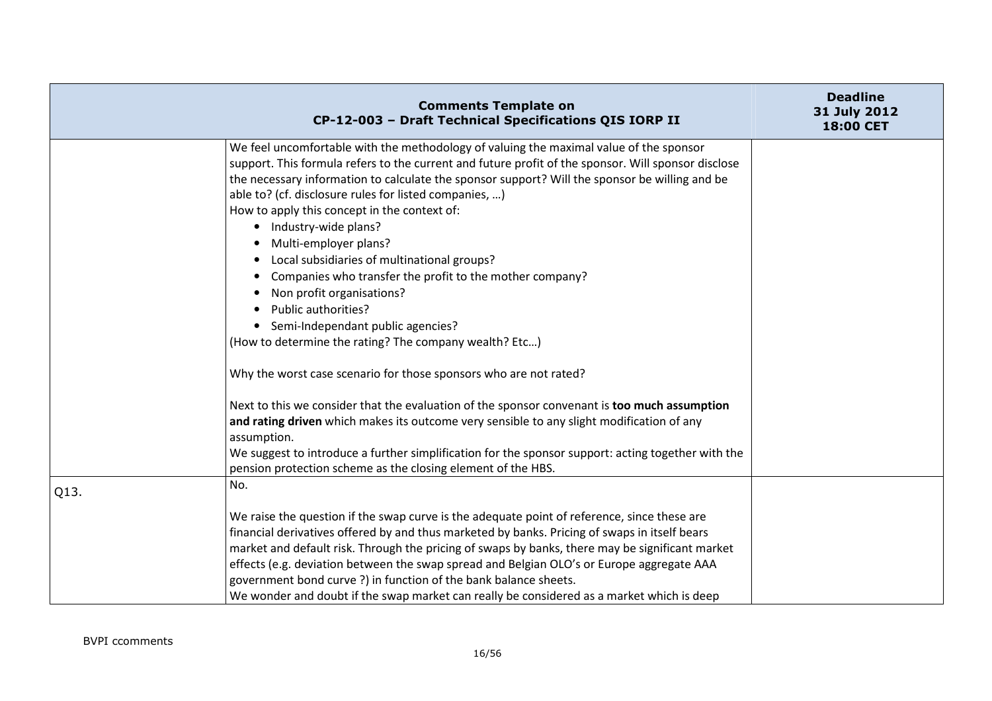|      | <b>Comments Template on</b><br>CP-12-003 - Draft Technical Specifications QIS IORP II                                                                                                                                                                                                                                                                                                                                                                                                                                                                                                                                                                                                                                                                                                                                                  | <b>Deadline</b><br>31 July 2012<br>18:00 CET |
|------|----------------------------------------------------------------------------------------------------------------------------------------------------------------------------------------------------------------------------------------------------------------------------------------------------------------------------------------------------------------------------------------------------------------------------------------------------------------------------------------------------------------------------------------------------------------------------------------------------------------------------------------------------------------------------------------------------------------------------------------------------------------------------------------------------------------------------------------|----------------------------------------------|
|      | We feel uncomfortable with the methodology of valuing the maximal value of the sponsor<br>support. This formula refers to the current and future profit of the sponsor. Will sponsor disclose<br>the necessary information to calculate the sponsor support? Will the sponsor be willing and be<br>able to? (cf. disclosure rules for listed companies, )<br>How to apply this concept in the context of:<br>• Industry-wide plans?<br>Multi-employer plans?<br>Local subsidiaries of multinational groups?<br>$\bullet$<br>Companies who transfer the profit to the mother company?<br>Non profit organisations?<br>$\bullet$<br>Public authorities?<br>$\bullet$<br>Semi-Independant public agencies?<br>(How to determine the rating? The company wealth? Etc)<br>Why the worst case scenario for those sponsors who are not rated? |                                              |
|      | Next to this we consider that the evaluation of the sponsor convenant is too much assumption<br>and rating driven which makes its outcome very sensible to any slight modification of any<br>assumption.<br>We suggest to introduce a further simplification for the sponsor support: acting together with the<br>pension protection scheme as the closing element of the HBS.                                                                                                                                                                                                                                                                                                                                                                                                                                                         |                                              |
| Q13. | No.<br>We raise the question if the swap curve is the adequate point of reference, since these are<br>financial derivatives offered by and thus marketed by banks. Pricing of swaps in itself bears<br>market and default risk. Through the pricing of swaps by banks, there may be significant market<br>effects (e.g. deviation between the swap spread and Belgian OLO's or Europe aggregate AAA<br>government bond curve ?) in function of the bank balance sheets.<br>We wonder and doubt if the swap market can really be considered as a market which is deep                                                                                                                                                                                                                                                                   |                                              |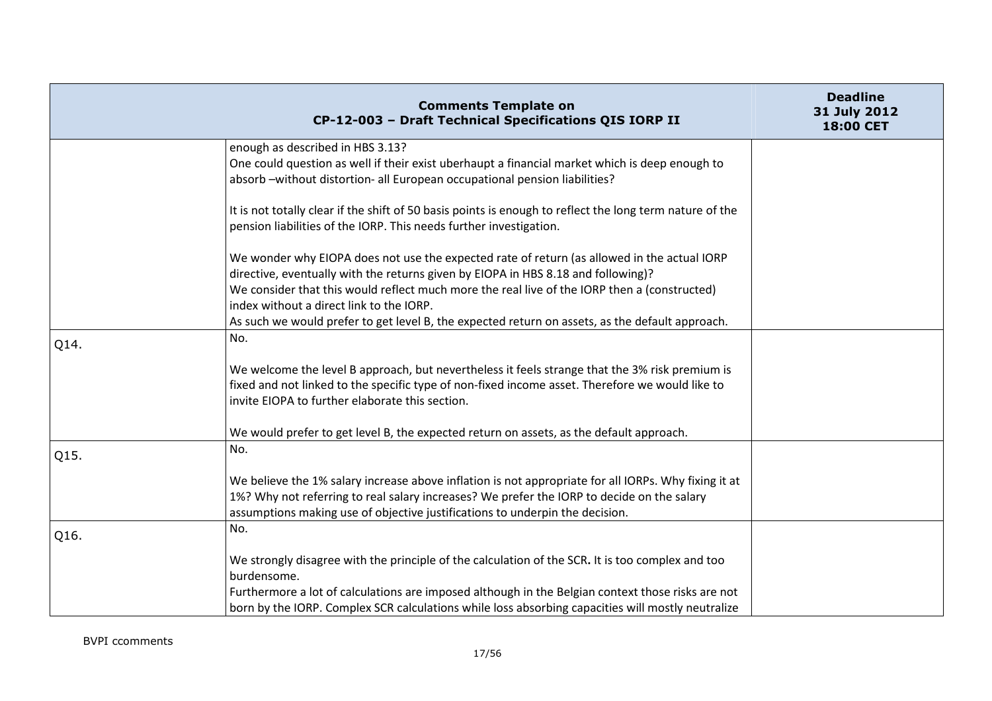|      | <b>Comments Template on</b><br>CP-12-003 - Draft Technical Specifications QIS IORP II                                                                                                                                                                                              | <b>Deadline</b><br>31 July 2012<br>18:00 CET |
|------|------------------------------------------------------------------------------------------------------------------------------------------------------------------------------------------------------------------------------------------------------------------------------------|----------------------------------------------|
|      | enough as described in HBS 3.13?                                                                                                                                                                                                                                                   |                                              |
|      | One could question as well if their exist uberhaupt a financial market which is deep enough to<br>absorb -without distortion- all European occupational pension liabilities?                                                                                                       |                                              |
|      | It is not totally clear if the shift of 50 basis points is enough to reflect the long term nature of the<br>pension liabilities of the IORP. This needs further investigation.                                                                                                     |                                              |
|      | We wonder why EIOPA does not use the expected rate of return (as allowed in the actual IORP<br>directive, eventually with the returns given by EIOPA in HBS 8.18 and following)?<br>We consider that this would reflect much more the real live of the IORP then a (constructed)   |                                              |
|      | index without a direct link to the IORP.                                                                                                                                                                                                                                           |                                              |
|      | As such we would prefer to get level B, the expected return on assets, as the default approach.                                                                                                                                                                                    |                                              |
| Q14. | No.                                                                                                                                                                                                                                                                                |                                              |
|      | We welcome the level B approach, but nevertheless it feels strange that the 3% risk premium is<br>fixed and not linked to the specific type of non-fixed income asset. Therefore we would like to<br>invite EIOPA to further elaborate this section.                               |                                              |
|      | We would prefer to get level B, the expected return on assets, as the default approach.                                                                                                                                                                                            |                                              |
| Q15. | No.                                                                                                                                                                                                                                                                                |                                              |
|      | We believe the 1% salary increase above inflation is not appropriate for all IORPs. Why fixing it at<br>1%? Why not referring to real salary increases? We prefer the IORP to decide on the salary<br>assumptions making use of objective justifications to underpin the decision. |                                              |
| Q16. | No.                                                                                                                                                                                                                                                                                |                                              |
|      | We strongly disagree with the principle of the calculation of the SCR. It is too complex and too<br>burdensome.                                                                                                                                                                    |                                              |
|      | Furthermore a lot of calculations are imposed although in the Belgian context those risks are not<br>born by the IORP. Complex SCR calculations while loss absorbing capacities will mostly neutralize                                                                             |                                              |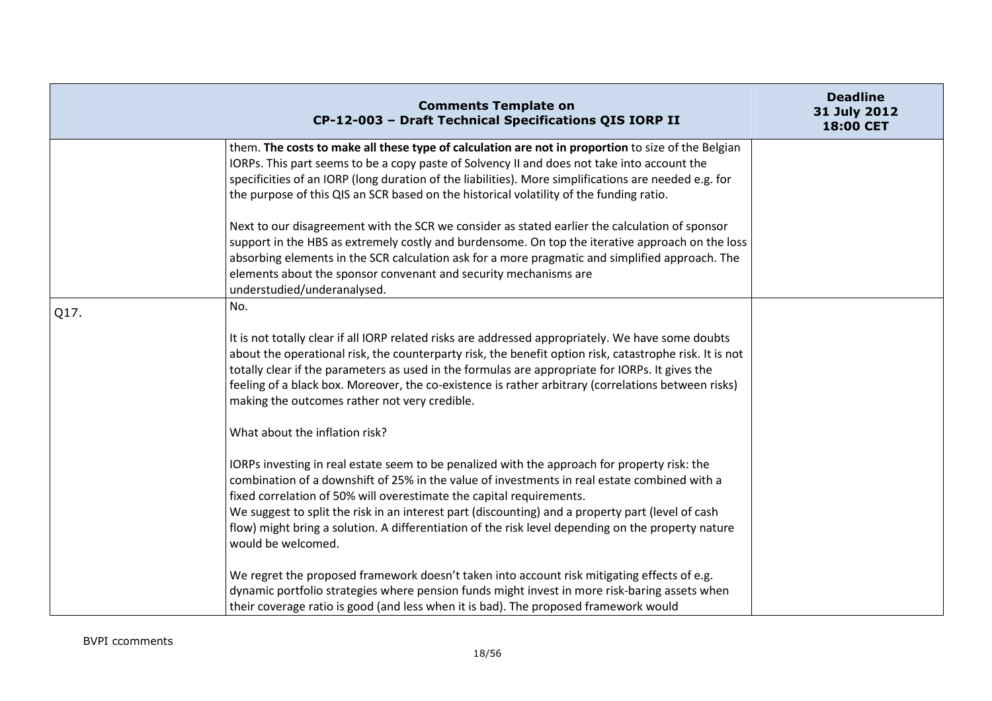|      | <b>Comments Template on</b><br>CP-12-003 - Draft Technical Specifications QIS IORP II                                                                                                                                                                                                                                                                                                                                                                                                                                                   | <b>Deadline</b><br>31 July 2012<br>18:00 CET |
|------|-----------------------------------------------------------------------------------------------------------------------------------------------------------------------------------------------------------------------------------------------------------------------------------------------------------------------------------------------------------------------------------------------------------------------------------------------------------------------------------------------------------------------------------------|----------------------------------------------|
|      | them. The costs to make all these type of calculation are not in proportion to size of the Belgian<br>IORPs. This part seems to be a copy paste of Solvency II and does not take into account the<br>specificities of an IORP (long duration of the liabilities). More simplifications are needed e.g. for<br>the purpose of this QIS an SCR based on the historical volatility of the funding ratio.<br>Next to our disagreement with the SCR we consider as stated earlier the calculation of sponsor                                 |                                              |
|      | support in the HBS as extremely costly and burdensome. On top the iterative approach on the loss<br>absorbing elements in the SCR calculation ask for a more pragmatic and simplified approach. The<br>elements about the sponsor convenant and security mechanisms are<br>understudied/underanalysed.                                                                                                                                                                                                                                  |                                              |
| Q17. | No.<br>It is not totally clear if all IORP related risks are addressed appropriately. We have some doubts<br>about the operational risk, the counterparty risk, the benefit option risk, catastrophe risk. It is not<br>totally clear if the parameters as used in the formulas are appropriate for IORPs. It gives the<br>feeling of a black box. Moreover, the co-existence is rather arbitrary (correlations between risks)<br>making the outcomes rather not very credible.                                                         |                                              |
|      | What about the inflation risk?<br>IORPs investing in real estate seem to be penalized with the approach for property risk: the<br>combination of a downshift of 25% in the value of investments in real estate combined with a<br>fixed correlation of 50% will overestimate the capital requirements.<br>We suggest to split the risk in an interest part (discounting) and a property part (level of cash<br>flow) might bring a solution. A differentiation of the risk level depending on the property nature<br>would be welcomed. |                                              |
|      | We regret the proposed framework doesn't taken into account risk mitigating effects of e.g.<br>dynamic portfolio strategies where pension funds might invest in more risk-baring assets when<br>their coverage ratio is good (and less when it is bad). The proposed framework would                                                                                                                                                                                                                                                    |                                              |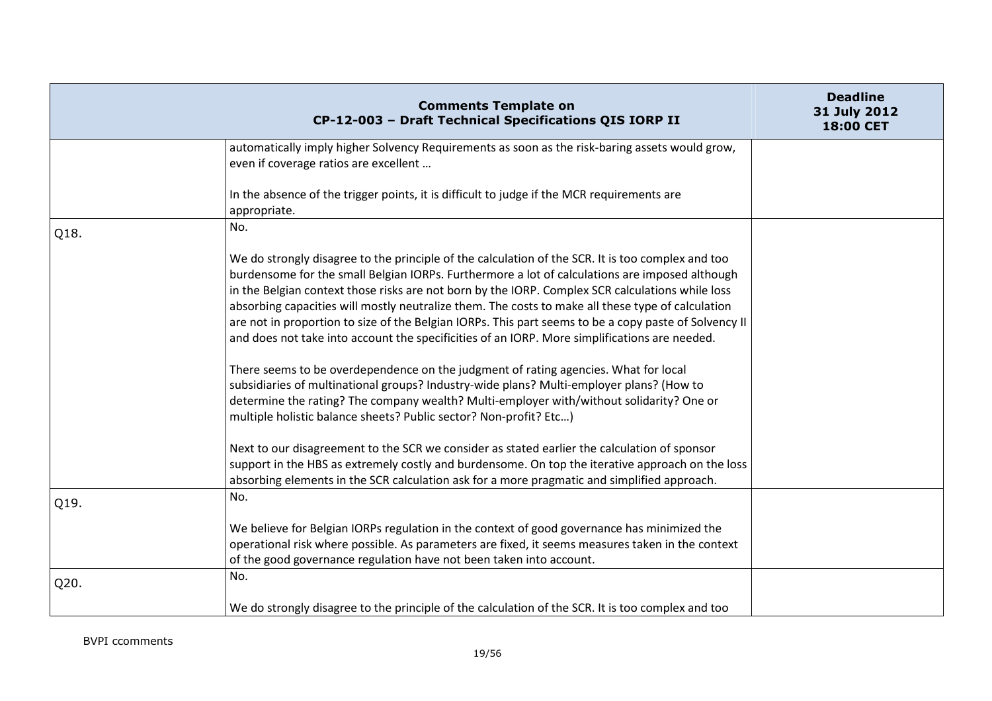|      | <b>Comments Template on</b><br>CP-12-003 - Draft Technical Specifications QIS IORP II                                                                                                                                                                                                                                                                                                                                                                                                                                                                                                                                                                                                                                                                                                                                                                                                                                                                                                                                                                                                                                                                                                                                                                                         | <b>Deadline</b><br>31 July 2012<br>18:00 CET |
|------|-------------------------------------------------------------------------------------------------------------------------------------------------------------------------------------------------------------------------------------------------------------------------------------------------------------------------------------------------------------------------------------------------------------------------------------------------------------------------------------------------------------------------------------------------------------------------------------------------------------------------------------------------------------------------------------------------------------------------------------------------------------------------------------------------------------------------------------------------------------------------------------------------------------------------------------------------------------------------------------------------------------------------------------------------------------------------------------------------------------------------------------------------------------------------------------------------------------------------------------------------------------------------------|----------------------------------------------|
|      | automatically imply higher Solvency Requirements as soon as the risk-baring assets would grow,<br>even if coverage ratios are excellent                                                                                                                                                                                                                                                                                                                                                                                                                                                                                                                                                                                                                                                                                                                                                                                                                                                                                                                                                                                                                                                                                                                                       |                                              |
|      | In the absence of the trigger points, it is difficult to judge if the MCR requirements are<br>appropriate.                                                                                                                                                                                                                                                                                                                                                                                                                                                                                                                                                                                                                                                                                                                                                                                                                                                                                                                                                                                                                                                                                                                                                                    |                                              |
| Q18. | No.                                                                                                                                                                                                                                                                                                                                                                                                                                                                                                                                                                                                                                                                                                                                                                                                                                                                                                                                                                                                                                                                                                                                                                                                                                                                           |                                              |
|      | We do strongly disagree to the principle of the calculation of the SCR. It is too complex and too<br>burdensome for the small Belgian IORPs. Furthermore a lot of calculations are imposed although<br>in the Belgian context those risks are not born by the IORP. Complex SCR calculations while loss<br>absorbing capacities will mostly neutralize them. The costs to make all these type of calculation<br>are not in proportion to size of the Belgian IORPs. This part seems to be a copy paste of Solvency II<br>and does not take into account the specificities of an IORP. More simplifications are needed.<br>There seems to be overdependence on the judgment of rating agencies. What for local<br>subsidiaries of multinational groups? Industry-wide plans? Multi-employer plans? (How to<br>determine the rating? The company wealth? Multi-employer with/without solidarity? One or<br>multiple holistic balance sheets? Public sector? Non-profit? Etc)<br>Next to our disagreement to the SCR we consider as stated earlier the calculation of sponsor<br>support in the HBS as extremely costly and burdensome. On top the iterative approach on the loss<br>absorbing elements in the SCR calculation ask for a more pragmatic and simplified approach. |                                              |
| Q19. | No.                                                                                                                                                                                                                                                                                                                                                                                                                                                                                                                                                                                                                                                                                                                                                                                                                                                                                                                                                                                                                                                                                                                                                                                                                                                                           |                                              |
|      | We believe for Belgian IORPs regulation in the context of good governance has minimized the<br>operational risk where possible. As parameters are fixed, it seems measures taken in the context<br>of the good governance regulation have not been taken into account.                                                                                                                                                                                                                                                                                                                                                                                                                                                                                                                                                                                                                                                                                                                                                                                                                                                                                                                                                                                                        |                                              |
| Q20. | No.                                                                                                                                                                                                                                                                                                                                                                                                                                                                                                                                                                                                                                                                                                                                                                                                                                                                                                                                                                                                                                                                                                                                                                                                                                                                           |                                              |
|      | We do strongly disagree to the principle of the calculation of the SCR. It is too complex and too                                                                                                                                                                                                                                                                                                                                                                                                                                                                                                                                                                                                                                                                                                                                                                                                                                                                                                                                                                                                                                                                                                                                                                             |                                              |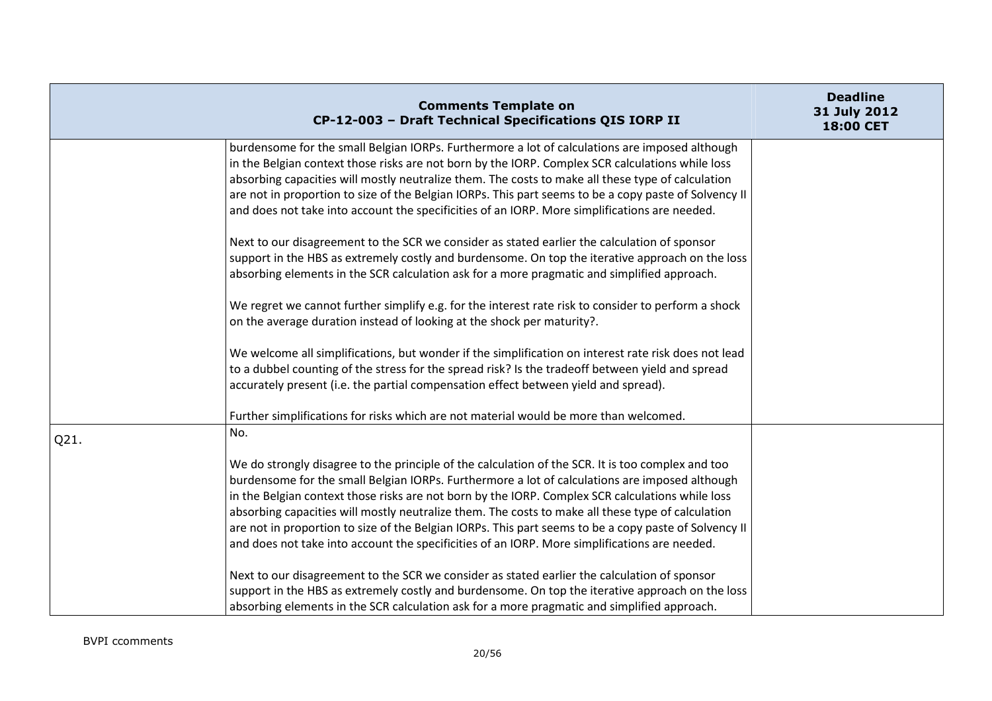|      | <b>Comments Template on</b><br>CP-12-003 - Draft Technical Specifications QIS IORP II                                                                                                              | <b>Deadline</b><br>31 July 2012<br>18:00 CET |
|------|----------------------------------------------------------------------------------------------------------------------------------------------------------------------------------------------------|----------------------------------------------|
|      | burdensome for the small Belgian IORPs. Furthermore a lot of calculations are imposed although<br>in the Belgian context those risks are not born by the IORP. Complex SCR calculations while loss |                                              |
|      | absorbing capacities will mostly neutralize them. The costs to make all these type of calculation                                                                                                  |                                              |
|      | are not in proportion to size of the Belgian IORPs. This part seems to be a copy paste of Solvency II                                                                                              |                                              |
|      | and does not take into account the specificities of an IORP. More simplifications are needed.                                                                                                      |                                              |
|      | Next to our disagreement to the SCR we consider as stated earlier the calculation of sponsor                                                                                                       |                                              |
|      | support in the HBS as extremely costly and burdensome. On top the iterative approach on the loss                                                                                                   |                                              |
|      | absorbing elements in the SCR calculation ask for a more pragmatic and simplified approach.                                                                                                        |                                              |
|      | We regret we cannot further simplify e.g. for the interest rate risk to consider to perform a shock                                                                                                |                                              |
|      | on the average duration instead of looking at the shock per maturity?.                                                                                                                             |                                              |
|      | We welcome all simplifications, but wonder if the simplification on interest rate risk does not lead                                                                                               |                                              |
|      | to a dubbel counting of the stress for the spread risk? Is the tradeoff between yield and spread                                                                                                   |                                              |
|      | accurately present (i.e. the partial compensation effect between yield and spread).                                                                                                                |                                              |
|      | Further simplifications for risks which are not material would be more than welcomed.                                                                                                              |                                              |
| Q21. | No.                                                                                                                                                                                                |                                              |
|      | We do strongly disagree to the principle of the calculation of the SCR. It is too complex and too                                                                                                  |                                              |
|      | burdensome for the small Belgian IORPs. Furthermore a lot of calculations are imposed although                                                                                                     |                                              |
|      | in the Belgian context those risks are not born by the IORP. Complex SCR calculations while loss                                                                                                   |                                              |
|      | absorbing capacities will mostly neutralize them. The costs to make all these type of calculation                                                                                                  |                                              |
|      | are not in proportion to size of the Belgian IORPs. This part seems to be a copy paste of Solvency II                                                                                              |                                              |
|      | and does not take into account the specificities of an IORP. More simplifications are needed.                                                                                                      |                                              |
|      | Next to our disagreement to the SCR we consider as stated earlier the calculation of sponsor                                                                                                       |                                              |
|      | support in the HBS as extremely costly and burdensome. On top the iterative approach on the loss                                                                                                   |                                              |
|      | absorbing elements in the SCR calculation ask for a more pragmatic and simplified approach.                                                                                                        |                                              |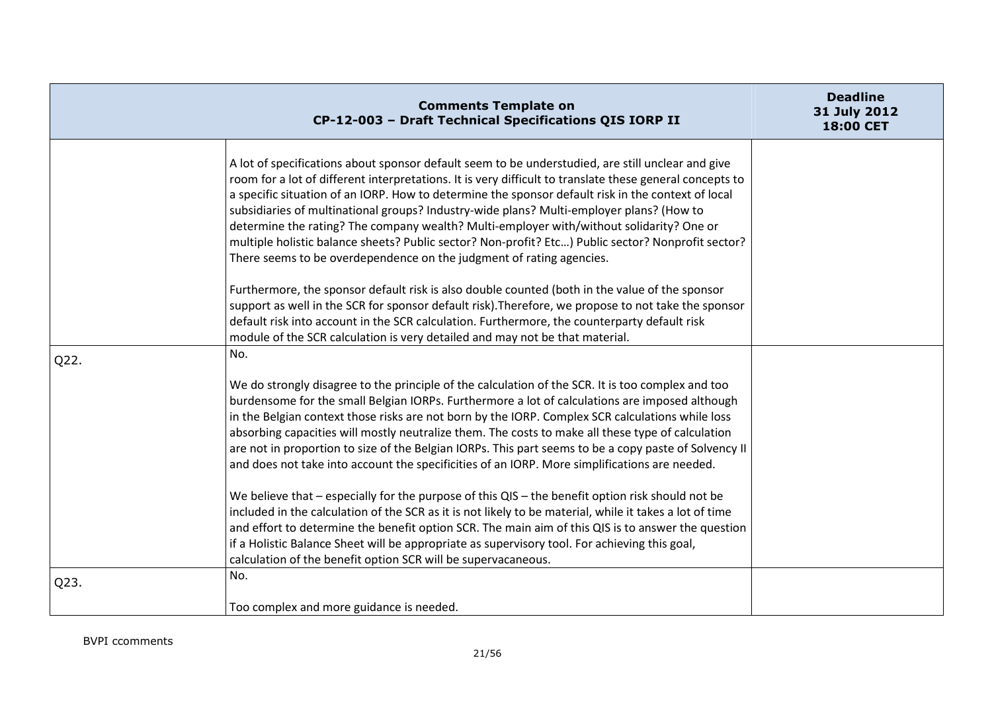|      | <b>Comments Template on</b><br>CP-12-003 - Draft Technical Specifications QIS IORP II                                                                                                                                                                                                                                                                                                                                                                                                                                                                                                                                                                                                     | <b>Deadline</b><br>31 July 2012<br>18:00 CET |
|------|-------------------------------------------------------------------------------------------------------------------------------------------------------------------------------------------------------------------------------------------------------------------------------------------------------------------------------------------------------------------------------------------------------------------------------------------------------------------------------------------------------------------------------------------------------------------------------------------------------------------------------------------------------------------------------------------|----------------------------------------------|
|      | A lot of specifications about sponsor default seem to be understudied, are still unclear and give<br>room for a lot of different interpretations. It is very difficult to translate these general concepts to<br>a specific situation of an IORP. How to determine the sponsor default risk in the context of local<br>subsidiaries of multinational groups? Industry-wide plans? Multi-employer plans? (How to<br>determine the rating? The company wealth? Multi-employer with/without solidarity? One or<br>multiple holistic balance sheets? Public sector? Non-profit? Etc) Public sector? Nonprofit sector?<br>There seems to be overdependence on the judgment of rating agencies. |                                              |
|      | Furthermore, the sponsor default risk is also double counted (both in the value of the sponsor<br>support as well in the SCR for sponsor default risk). Therefore, we propose to not take the sponsor<br>default risk into account in the SCR calculation. Furthermore, the counterparty default risk<br>module of the SCR calculation is very detailed and may not be that material.                                                                                                                                                                                                                                                                                                     |                                              |
| Q22. | No.                                                                                                                                                                                                                                                                                                                                                                                                                                                                                                                                                                                                                                                                                       |                                              |
|      | We do strongly disagree to the principle of the calculation of the SCR. It is too complex and too<br>burdensome for the small Belgian IORPs. Furthermore a lot of calculations are imposed although<br>in the Belgian context those risks are not born by the IORP. Complex SCR calculations while loss<br>absorbing capacities will mostly neutralize them. The costs to make all these type of calculation<br>are not in proportion to size of the Belgian IORPs. This part seems to be a copy paste of Solvency II<br>and does not take into account the specificities of an IORP. More simplifications are needed.                                                                    |                                              |
|      | We believe that $-$ especially for the purpose of this QIS $-$ the benefit option risk should not be<br>included in the calculation of the SCR as it is not likely to be material, while it takes a lot of time<br>and effort to determine the benefit option SCR. The main aim of this QIS is to answer the question<br>if a Holistic Balance Sheet will be appropriate as supervisory tool. For achieving this goal,<br>calculation of the benefit option SCR will be supervacaneous.                                                                                                                                                                                                   |                                              |
| Q23. | No.                                                                                                                                                                                                                                                                                                                                                                                                                                                                                                                                                                                                                                                                                       |                                              |
|      | Too complex and more guidance is needed.                                                                                                                                                                                                                                                                                                                                                                                                                                                                                                                                                                                                                                                  |                                              |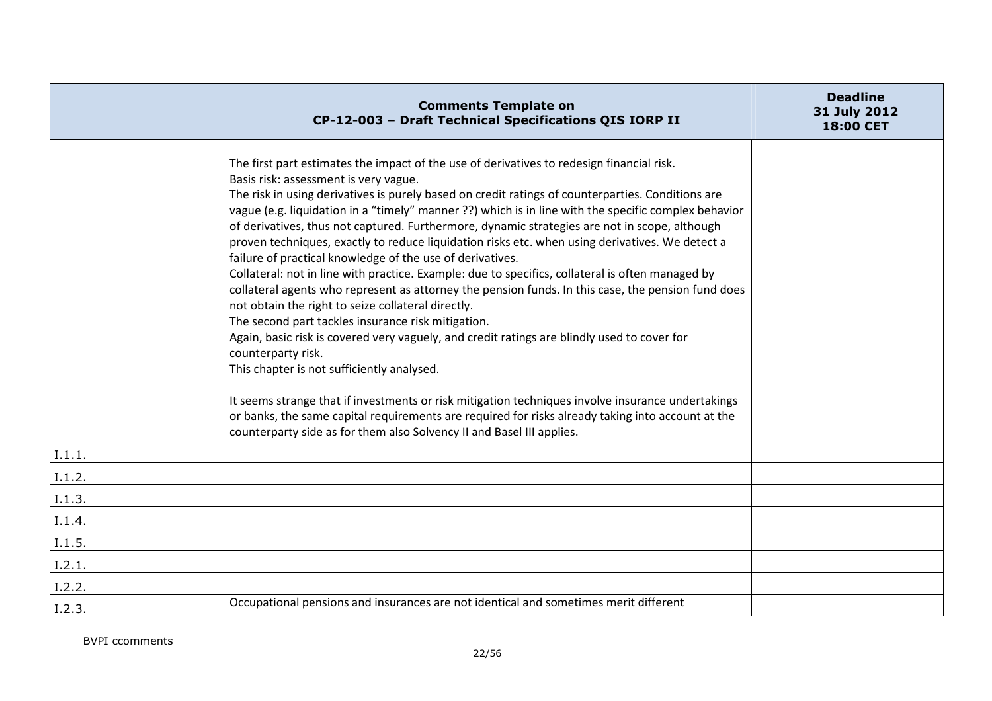|        | <b>Comments Template on</b><br>CP-12-003 - Draft Technical Specifications QIS IORP II                                                                                                                                                                                                                                                                                                                                                                                                                                                                                                                                                                                                                                                                                                                                                                                                                                                                                                                                                                                                                                                                                                                                                                                                                                                                                                        | <b>Deadline</b><br>31 July 2012<br>18:00 CET |
|--------|----------------------------------------------------------------------------------------------------------------------------------------------------------------------------------------------------------------------------------------------------------------------------------------------------------------------------------------------------------------------------------------------------------------------------------------------------------------------------------------------------------------------------------------------------------------------------------------------------------------------------------------------------------------------------------------------------------------------------------------------------------------------------------------------------------------------------------------------------------------------------------------------------------------------------------------------------------------------------------------------------------------------------------------------------------------------------------------------------------------------------------------------------------------------------------------------------------------------------------------------------------------------------------------------------------------------------------------------------------------------------------------------|----------------------------------------------|
|        | The first part estimates the impact of the use of derivatives to redesign financial risk.<br>Basis risk: assessment is very vague.<br>The risk in using derivatives is purely based on credit ratings of counterparties. Conditions are<br>vague (e.g. liquidation in a "timely" manner ??) which is in line with the specific complex behavior<br>of derivatives, thus not captured. Furthermore, dynamic strategies are not in scope, although<br>proven techniques, exactly to reduce liquidation risks etc. when using derivatives. We detect a<br>failure of practical knowledge of the use of derivatives.<br>Collateral: not in line with practice. Example: due to specifics, collateral is often managed by<br>collateral agents who represent as attorney the pension funds. In this case, the pension fund does<br>not obtain the right to seize collateral directly.<br>The second part tackles insurance risk mitigation.<br>Again, basic risk is covered very vaguely, and credit ratings are blindly used to cover for<br>counterparty risk.<br>This chapter is not sufficiently analysed.<br>It seems strange that if investments or risk mitigation techniques involve insurance undertakings<br>or banks, the same capital requirements are required for risks already taking into account at the<br>counterparty side as for them also Solvency II and Basel III applies. |                                              |
| I.1.1. |                                                                                                                                                                                                                                                                                                                                                                                                                                                                                                                                                                                                                                                                                                                                                                                                                                                                                                                                                                                                                                                                                                                                                                                                                                                                                                                                                                                              |                                              |
| I.1.2. |                                                                                                                                                                                                                                                                                                                                                                                                                                                                                                                                                                                                                                                                                                                                                                                                                                                                                                                                                                                                                                                                                                                                                                                                                                                                                                                                                                                              |                                              |
| I.1.3. |                                                                                                                                                                                                                                                                                                                                                                                                                                                                                                                                                                                                                                                                                                                                                                                                                                                                                                                                                                                                                                                                                                                                                                                                                                                                                                                                                                                              |                                              |
| I.1.4. |                                                                                                                                                                                                                                                                                                                                                                                                                                                                                                                                                                                                                                                                                                                                                                                                                                                                                                                                                                                                                                                                                                                                                                                                                                                                                                                                                                                              |                                              |
| I.1.5. |                                                                                                                                                                                                                                                                                                                                                                                                                                                                                                                                                                                                                                                                                                                                                                                                                                                                                                                                                                                                                                                                                                                                                                                                                                                                                                                                                                                              |                                              |
| I.2.1. |                                                                                                                                                                                                                                                                                                                                                                                                                                                                                                                                                                                                                                                                                                                                                                                                                                                                                                                                                                                                                                                                                                                                                                                                                                                                                                                                                                                              |                                              |
| I.2.2. |                                                                                                                                                                                                                                                                                                                                                                                                                                                                                                                                                                                                                                                                                                                                                                                                                                                                                                                                                                                                                                                                                                                                                                                                                                                                                                                                                                                              |                                              |
| I.2.3. | Occupational pensions and insurances are not identical and sometimes merit different                                                                                                                                                                                                                                                                                                                                                                                                                                                                                                                                                                                                                                                                                                                                                                                                                                                                                                                                                                                                                                                                                                                                                                                                                                                                                                         |                                              |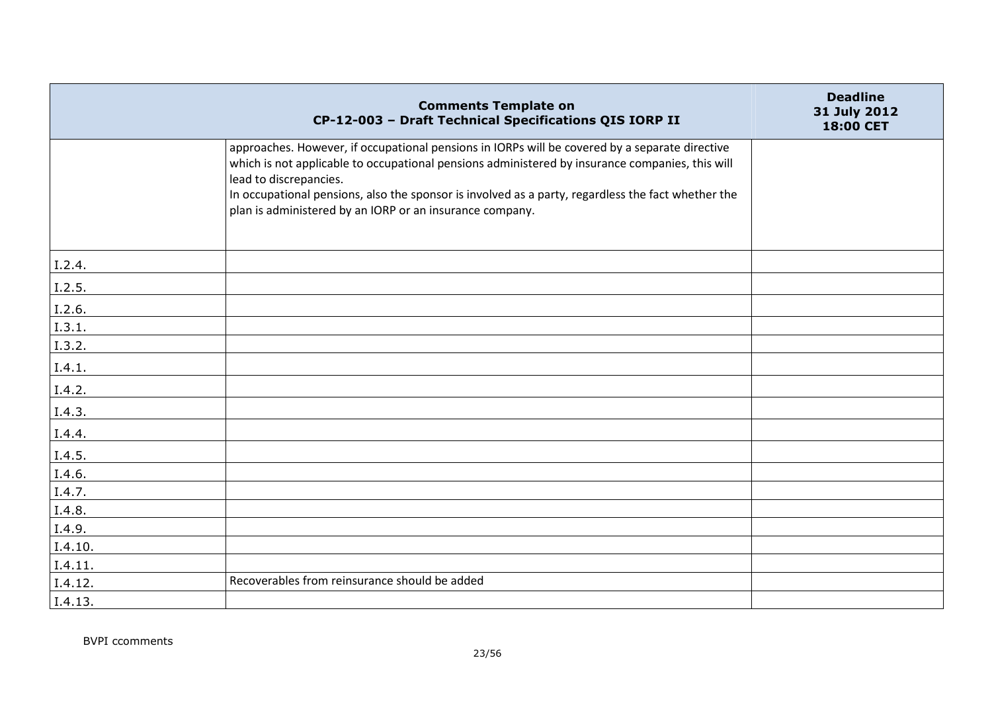|         | <b>Comments Template on</b><br>CP-12-003 - Draft Technical Specifications QIS IORP II                                                                                                                                                                                                                                                                                                         | <b>Deadline</b><br>31 July 2012<br>18:00 CET |
|---------|-----------------------------------------------------------------------------------------------------------------------------------------------------------------------------------------------------------------------------------------------------------------------------------------------------------------------------------------------------------------------------------------------|----------------------------------------------|
|         | approaches. However, if occupational pensions in IORPs will be covered by a separate directive<br>which is not applicable to occupational pensions administered by insurance companies, this will<br>lead to discrepancies.<br>In occupational pensions, also the sponsor is involved as a party, regardless the fact whether the<br>plan is administered by an IORP or an insurance company. |                                              |
| I.2.4.  |                                                                                                                                                                                                                                                                                                                                                                                               |                                              |
| I.2.5.  |                                                                                                                                                                                                                                                                                                                                                                                               |                                              |
| I.2.6.  |                                                                                                                                                                                                                                                                                                                                                                                               |                                              |
| I.3.1.  |                                                                                                                                                                                                                                                                                                                                                                                               |                                              |
| I.3.2.  |                                                                                                                                                                                                                                                                                                                                                                                               |                                              |
| I.4.1.  |                                                                                                                                                                                                                                                                                                                                                                                               |                                              |
| I.4.2.  |                                                                                                                                                                                                                                                                                                                                                                                               |                                              |
| I.4.3.  |                                                                                                                                                                                                                                                                                                                                                                                               |                                              |
| I.4.4.  |                                                                                                                                                                                                                                                                                                                                                                                               |                                              |
| I.4.5.  |                                                                                                                                                                                                                                                                                                                                                                                               |                                              |
| I.4.6.  |                                                                                                                                                                                                                                                                                                                                                                                               |                                              |
| I.4.7.  |                                                                                                                                                                                                                                                                                                                                                                                               |                                              |
| I.4.8.  |                                                                                                                                                                                                                                                                                                                                                                                               |                                              |
| I.4.9.  |                                                                                                                                                                                                                                                                                                                                                                                               |                                              |
| I.4.10. |                                                                                                                                                                                                                                                                                                                                                                                               |                                              |
| I.4.11. |                                                                                                                                                                                                                                                                                                                                                                                               |                                              |
| I.4.12. | Recoverables from reinsurance should be added                                                                                                                                                                                                                                                                                                                                                 |                                              |
| I.4.13. |                                                                                                                                                                                                                                                                                                                                                                                               |                                              |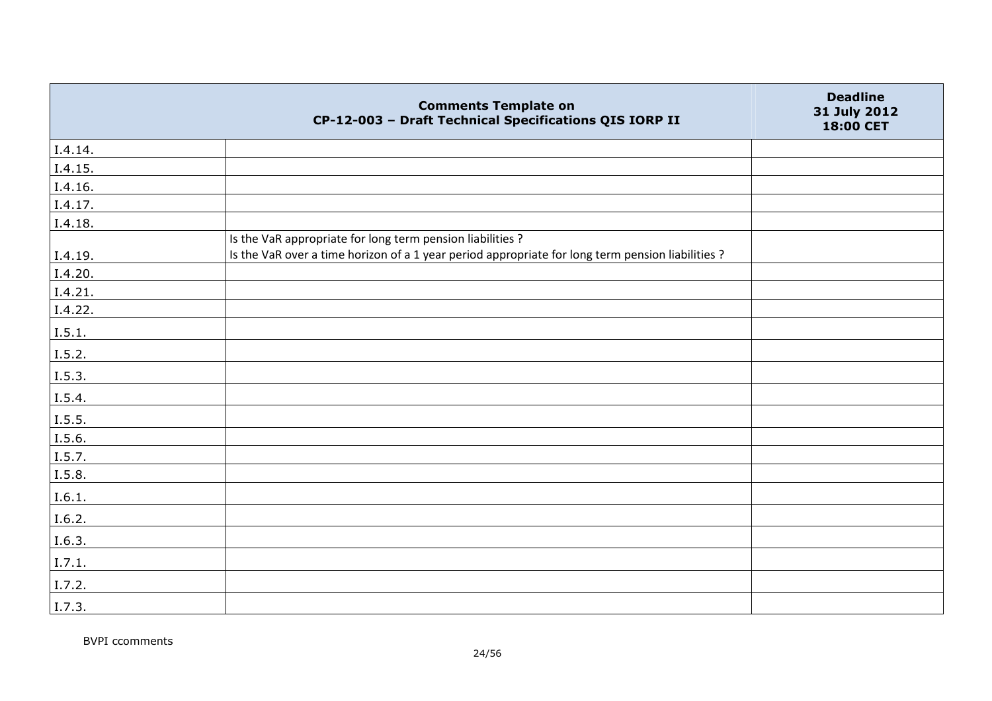|         | <b>Comments Template on</b><br>CP-12-003 - Draft Technical Specifications QIS IORP II                                                                           | <b>Deadline</b><br>31 July 2012<br>18:00 CET |
|---------|-----------------------------------------------------------------------------------------------------------------------------------------------------------------|----------------------------------------------|
| I.4.14. |                                                                                                                                                                 |                                              |
| I.4.15. |                                                                                                                                                                 |                                              |
| I.4.16. |                                                                                                                                                                 |                                              |
| I.4.17. |                                                                                                                                                                 |                                              |
| I.4.18. |                                                                                                                                                                 |                                              |
| I.4.19. | Is the VaR appropriate for long term pension liabilities ?<br>Is the VaR over a time horizon of a 1 year period appropriate for long term pension liabilities ? |                                              |
| I.4.20. |                                                                                                                                                                 |                                              |
| I.4.21. |                                                                                                                                                                 |                                              |
| 1.4.22. |                                                                                                                                                                 |                                              |
| 1.5.1.  |                                                                                                                                                                 |                                              |
| I.5.2.  |                                                                                                                                                                 |                                              |
| 1.5.3.  |                                                                                                                                                                 |                                              |
| I.5.4.  |                                                                                                                                                                 |                                              |
| I.5.5.  |                                                                                                                                                                 |                                              |
| I.5.6.  |                                                                                                                                                                 |                                              |
| I.5.7.  |                                                                                                                                                                 |                                              |
| I.5.8.  |                                                                                                                                                                 |                                              |
| I.6.1.  |                                                                                                                                                                 |                                              |
| I.6.2.  |                                                                                                                                                                 |                                              |
| I.6.3.  |                                                                                                                                                                 |                                              |
| I.7.1.  |                                                                                                                                                                 |                                              |
| I.7.2.  |                                                                                                                                                                 |                                              |
| I.7.3.  |                                                                                                                                                                 |                                              |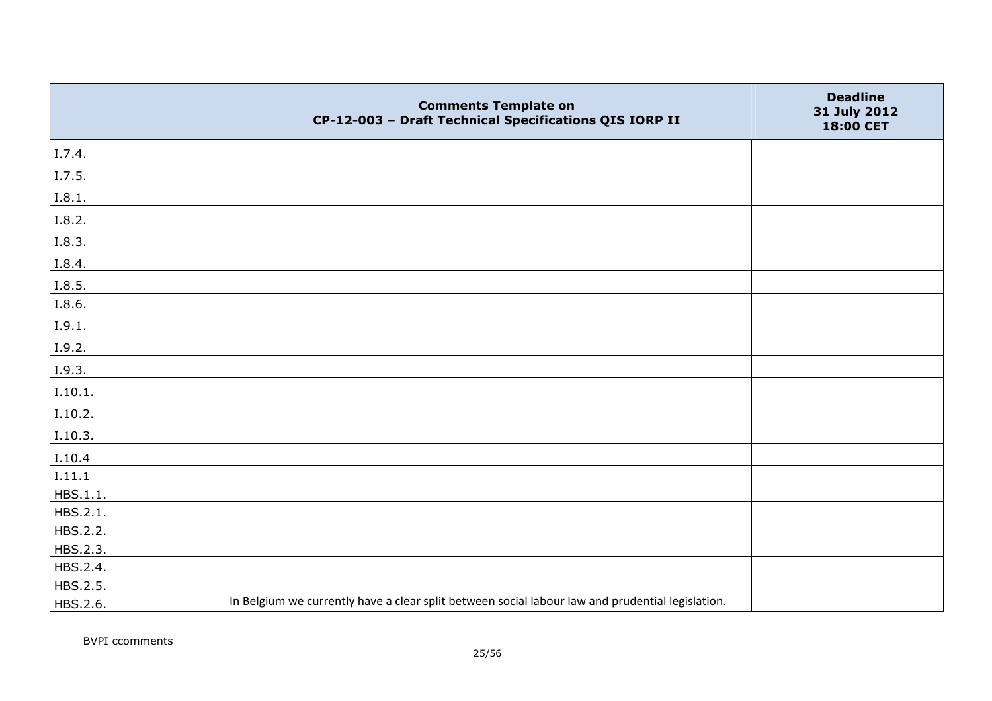|          | <b>Comments Template on</b><br>CP-12-003 - Draft Technical Specifications QIS IORP II            | <b>Deadline</b><br>31 July 2012<br>18:00 CET |
|----------|--------------------------------------------------------------------------------------------------|----------------------------------------------|
| I.7.4.   |                                                                                                  |                                              |
| I.7.5.   |                                                                                                  |                                              |
| I.8.1.   |                                                                                                  |                                              |
| I.8.2.   |                                                                                                  |                                              |
| I.8.3.   |                                                                                                  |                                              |
| I.8.4.   |                                                                                                  |                                              |
| I.8.5.   |                                                                                                  |                                              |
| I.8.6.   |                                                                                                  |                                              |
| I.9.1.   |                                                                                                  |                                              |
| I.9.2.   |                                                                                                  |                                              |
| I.9.3.   |                                                                                                  |                                              |
| I.10.1.  |                                                                                                  |                                              |
| I.10.2.  |                                                                                                  |                                              |
| I.10.3.  |                                                                                                  |                                              |
| I.10.4   |                                                                                                  |                                              |
| I.11.1   |                                                                                                  |                                              |
| HBS.1.1. |                                                                                                  |                                              |
| HBS.2.1. |                                                                                                  |                                              |
| HBS.2.2. |                                                                                                  |                                              |
| HBS.2.3. |                                                                                                  |                                              |
| HBS.2.4. |                                                                                                  |                                              |
| HBS.2.5. |                                                                                                  |                                              |
| HBS.2.6. | In Belgium we currently have a clear split between social labour law and prudential legislation. |                                              |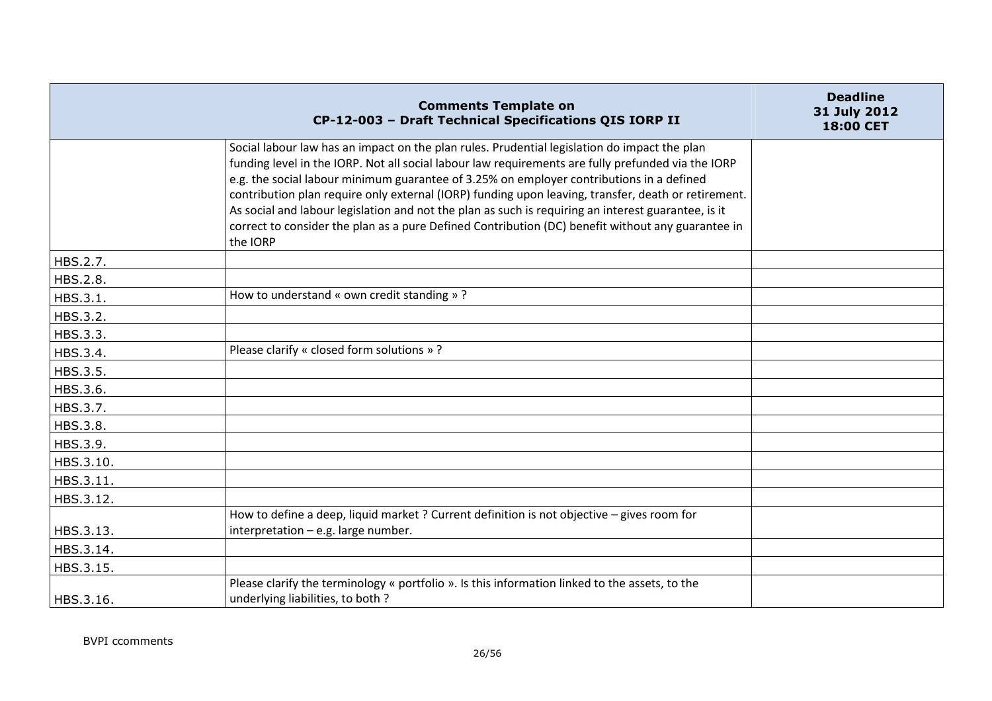|           | <b>Comments Template on</b><br>CP-12-003 - Draft Technical Specifications QIS IORP II                                                                                                                                                                                                                                                                                                                                                                                                                                                                                                                                         | <b>Deadline</b><br>31 July 2012<br>18:00 CET |
|-----------|-------------------------------------------------------------------------------------------------------------------------------------------------------------------------------------------------------------------------------------------------------------------------------------------------------------------------------------------------------------------------------------------------------------------------------------------------------------------------------------------------------------------------------------------------------------------------------------------------------------------------------|----------------------------------------------|
|           | Social labour law has an impact on the plan rules. Prudential legislation do impact the plan<br>funding level in the IORP. Not all social labour law requirements are fully prefunded via the IORP<br>e.g. the social labour minimum guarantee of 3.25% on employer contributions in a defined<br>contribution plan require only external (IORP) funding upon leaving, transfer, death or retirement.<br>As social and labour legislation and not the plan as such is requiring an interest guarantee, is it<br>correct to consider the plan as a pure Defined Contribution (DC) benefit without any guarantee in<br>the IORP |                                              |
| HBS.2.7.  |                                                                                                                                                                                                                                                                                                                                                                                                                                                                                                                                                                                                                               |                                              |
| HBS.2.8.  |                                                                                                                                                                                                                                                                                                                                                                                                                                                                                                                                                                                                                               |                                              |
| HBS.3.1.  | How to understand « own credit standing »?                                                                                                                                                                                                                                                                                                                                                                                                                                                                                                                                                                                    |                                              |
| HBS.3.2.  |                                                                                                                                                                                                                                                                                                                                                                                                                                                                                                                                                                                                                               |                                              |
| HBS.3.3.  |                                                                                                                                                                                                                                                                                                                                                                                                                                                                                                                                                                                                                               |                                              |
| HBS.3.4.  | Please clarify « closed form solutions »?                                                                                                                                                                                                                                                                                                                                                                                                                                                                                                                                                                                     |                                              |
| HBS.3.5.  |                                                                                                                                                                                                                                                                                                                                                                                                                                                                                                                                                                                                                               |                                              |
| HBS.3.6.  |                                                                                                                                                                                                                                                                                                                                                                                                                                                                                                                                                                                                                               |                                              |
| HBS.3.7.  |                                                                                                                                                                                                                                                                                                                                                                                                                                                                                                                                                                                                                               |                                              |
| HBS.3.8.  |                                                                                                                                                                                                                                                                                                                                                                                                                                                                                                                                                                                                                               |                                              |
| HBS.3.9.  |                                                                                                                                                                                                                                                                                                                                                                                                                                                                                                                                                                                                                               |                                              |
| HBS.3.10. |                                                                                                                                                                                                                                                                                                                                                                                                                                                                                                                                                                                                                               |                                              |
| HBS.3.11. |                                                                                                                                                                                                                                                                                                                                                                                                                                                                                                                                                                                                                               |                                              |
| HBS.3.12. |                                                                                                                                                                                                                                                                                                                                                                                                                                                                                                                                                                                                                               |                                              |
| HBS.3.13. | How to define a deep, liquid market ? Current definition is not objective - gives room for<br>interpretation - e.g. large number.                                                                                                                                                                                                                                                                                                                                                                                                                                                                                             |                                              |
| HBS.3.14. |                                                                                                                                                                                                                                                                                                                                                                                                                                                                                                                                                                                                                               |                                              |
| HBS.3.15. |                                                                                                                                                                                                                                                                                                                                                                                                                                                                                                                                                                                                                               |                                              |
| HBS.3.16. | Please clarify the terminology « portfolio ». Is this information linked to the assets, to the<br>underlying liabilities, to both?                                                                                                                                                                                                                                                                                                                                                                                                                                                                                            |                                              |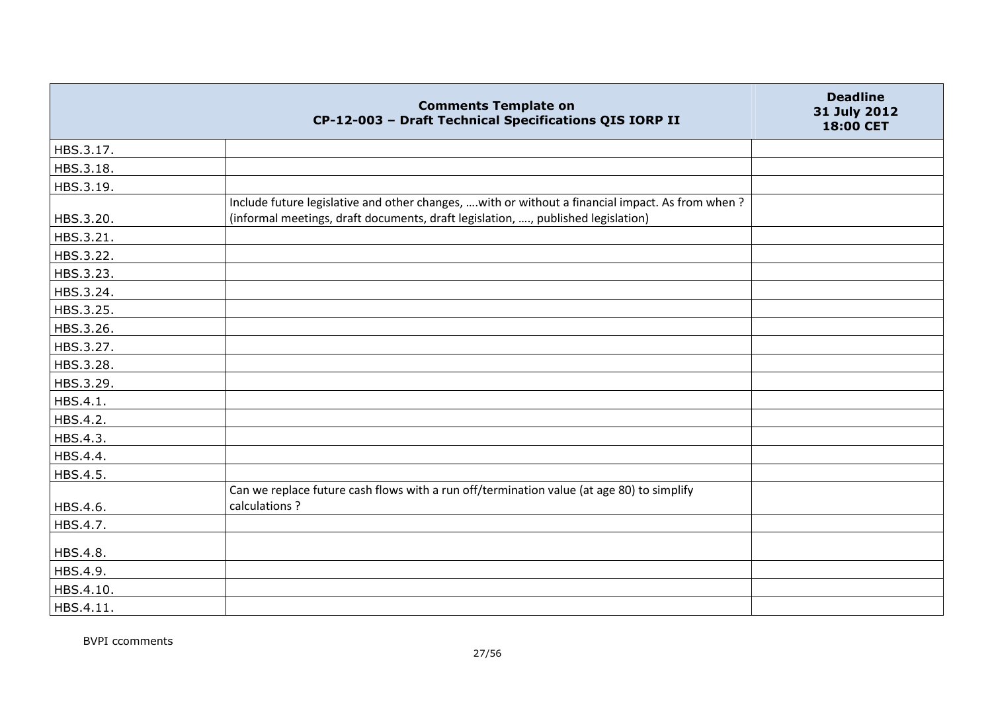|           | <b>Comments Template on</b><br>CP-12-003 - Draft Technical Specifications QIS IORP II                                                                                                | <b>Deadline</b><br>31 July 2012<br>18:00 CET |
|-----------|--------------------------------------------------------------------------------------------------------------------------------------------------------------------------------------|----------------------------------------------|
| HBS.3.17. |                                                                                                                                                                                      |                                              |
| HBS.3.18. |                                                                                                                                                                                      |                                              |
| HBS.3.19. |                                                                                                                                                                                      |                                              |
| HBS.3.20. | Include future legislative and other changes,  with or without a financial impact. As from when?<br>(informal meetings, draft documents, draft legislation, , published legislation) |                                              |
| HBS.3.21. |                                                                                                                                                                                      |                                              |
| HBS.3.22. |                                                                                                                                                                                      |                                              |
| HBS.3.23. |                                                                                                                                                                                      |                                              |
| HBS.3.24. |                                                                                                                                                                                      |                                              |
| HBS.3.25. |                                                                                                                                                                                      |                                              |
| HBS.3.26. |                                                                                                                                                                                      |                                              |
| HBS.3.27. |                                                                                                                                                                                      |                                              |
| HBS.3.28. |                                                                                                                                                                                      |                                              |
| HBS.3.29. |                                                                                                                                                                                      |                                              |
| HBS.4.1.  |                                                                                                                                                                                      |                                              |
| HBS.4.2.  |                                                                                                                                                                                      |                                              |
| HBS.4.3.  |                                                                                                                                                                                      |                                              |
| HBS.4.4.  |                                                                                                                                                                                      |                                              |
| HBS.4.5.  |                                                                                                                                                                                      |                                              |
| HBS.4.6.  | Can we replace future cash flows with a run off/termination value (at age 80) to simplify<br>calculations?                                                                           |                                              |
| HBS.4.7.  |                                                                                                                                                                                      |                                              |
| HBS.4.8.  |                                                                                                                                                                                      |                                              |
| HBS.4.9.  |                                                                                                                                                                                      |                                              |
| HBS.4.10. |                                                                                                                                                                                      |                                              |
| HBS.4.11. |                                                                                                                                                                                      |                                              |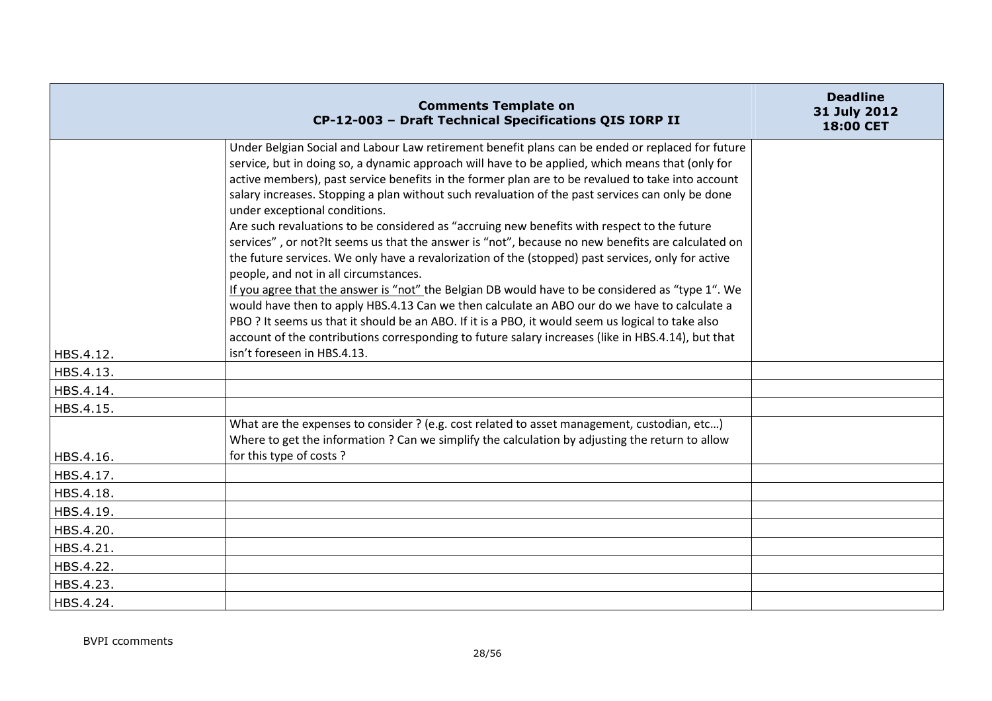|           | <b>Comments Template on</b><br>CP-12-003 - Draft Technical Specifications QIS IORP II                                                                                                                                                                                                                                                                                                                                                                                                                                                                                                                                                                                                                                                                    | <b>Deadline</b><br>31 July 2012<br>18:00 CET |
|-----------|----------------------------------------------------------------------------------------------------------------------------------------------------------------------------------------------------------------------------------------------------------------------------------------------------------------------------------------------------------------------------------------------------------------------------------------------------------------------------------------------------------------------------------------------------------------------------------------------------------------------------------------------------------------------------------------------------------------------------------------------------------|----------------------------------------------|
|           | Under Belgian Social and Labour Law retirement benefit plans can be ended or replaced for future<br>service, but in doing so, a dynamic approach will have to be applied, which means that (only for<br>active members), past service benefits in the former plan are to be revalued to take into account<br>salary increases. Stopping a plan without such revaluation of the past services can only be done<br>under exceptional conditions.<br>Are such revaluations to be considered as "accruing new benefits with respect to the future<br>services", or not?It seems us that the answer is "not", because no new benefits are calculated on<br>the future services. We only have a revalorization of the (stopped) past services, only for active |                                              |
| HBS.4.12. | people, and not in all circumstances.<br>If you agree that the answer is "not" the Belgian DB would have to be considered as "type 1". We<br>would have then to apply HBS.4.13 Can we then calculate an ABO our do we have to calculate a<br>PBO ? It seems us that it should be an ABO. If it is a PBO, it would seem us logical to take also<br>account of the contributions corresponding to future salary increases (like in HBS.4.14), but that<br>isn't foreseen in HBS.4.13.                                                                                                                                                                                                                                                                      |                                              |
| HBS.4.13. |                                                                                                                                                                                                                                                                                                                                                                                                                                                                                                                                                                                                                                                                                                                                                          |                                              |
| HBS.4.14. |                                                                                                                                                                                                                                                                                                                                                                                                                                                                                                                                                                                                                                                                                                                                                          |                                              |
| HBS.4.15. |                                                                                                                                                                                                                                                                                                                                                                                                                                                                                                                                                                                                                                                                                                                                                          |                                              |
| HBS.4.16. | What are the expenses to consider ? (e.g. cost related to asset management, custodian, etc)<br>Where to get the information ? Can we simplify the calculation by adjusting the return to allow<br>for this type of costs?                                                                                                                                                                                                                                                                                                                                                                                                                                                                                                                                |                                              |
| HBS.4.17. |                                                                                                                                                                                                                                                                                                                                                                                                                                                                                                                                                                                                                                                                                                                                                          |                                              |
| HBS.4.18. |                                                                                                                                                                                                                                                                                                                                                                                                                                                                                                                                                                                                                                                                                                                                                          |                                              |
| HBS.4.19. |                                                                                                                                                                                                                                                                                                                                                                                                                                                                                                                                                                                                                                                                                                                                                          |                                              |
| HBS.4.20. |                                                                                                                                                                                                                                                                                                                                                                                                                                                                                                                                                                                                                                                                                                                                                          |                                              |
| HBS.4.21. |                                                                                                                                                                                                                                                                                                                                                                                                                                                                                                                                                                                                                                                                                                                                                          |                                              |
| HBS.4.22. |                                                                                                                                                                                                                                                                                                                                                                                                                                                                                                                                                                                                                                                                                                                                                          |                                              |
| HBS.4.23. |                                                                                                                                                                                                                                                                                                                                                                                                                                                                                                                                                                                                                                                                                                                                                          |                                              |
| HBS.4.24. |                                                                                                                                                                                                                                                                                                                                                                                                                                                                                                                                                                                                                                                                                                                                                          |                                              |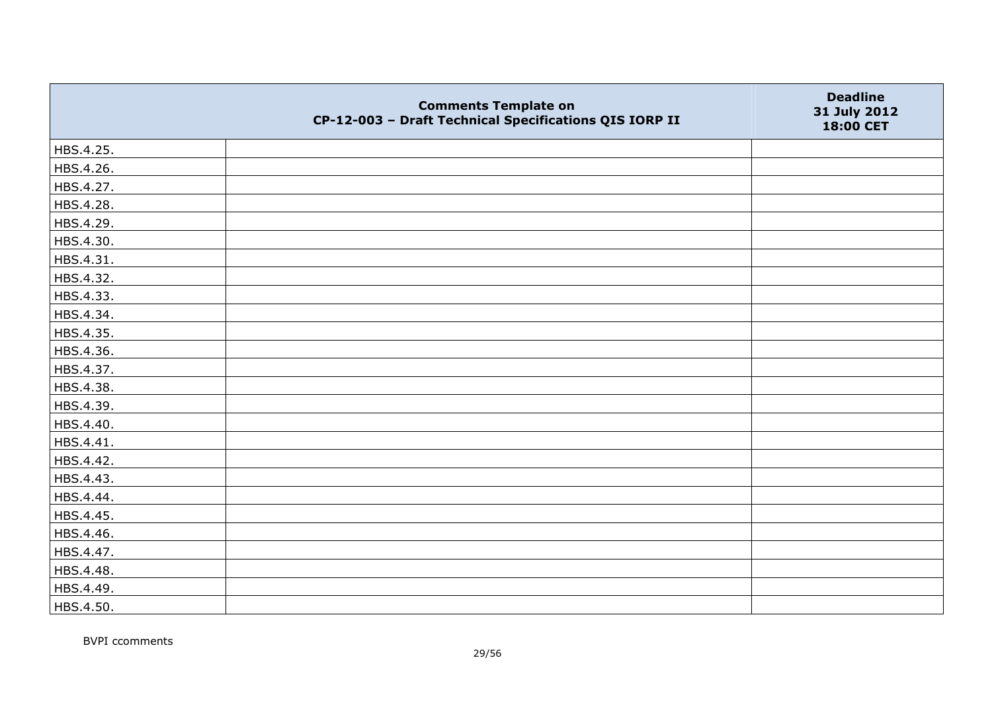|           | <b>Comments Template on</b><br>CP-12-003 - Draft Technical Specifications QIS IORP II | <b>Deadline</b><br>31 July 2012<br>18:00 CET |
|-----------|---------------------------------------------------------------------------------------|----------------------------------------------|
| HBS.4.25. |                                                                                       |                                              |
| HBS.4.26. |                                                                                       |                                              |
| HBS.4.27. |                                                                                       |                                              |
| HBS.4.28. |                                                                                       |                                              |
| HBS.4.29. |                                                                                       |                                              |
| HBS.4.30. |                                                                                       |                                              |
| HBS.4.31. |                                                                                       |                                              |
| HBS.4.32. |                                                                                       |                                              |
| HBS.4.33. |                                                                                       |                                              |
| HBS.4.34. |                                                                                       |                                              |
| HBS.4.35. |                                                                                       |                                              |
| HBS.4.36. |                                                                                       |                                              |
| HBS.4.37. |                                                                                       |                                              |
| HBS.4.38. |                                                                                       |                                              |
| HBS.4.39. |                                                                                       |                                              |
| HBS.4.40. |                                                                                       |                                              |
| HBS.4.41. |                                                                                       |                                              |
| HBS.4.42. |                                                                                       |                                              |
| HBS.4.43. |                                                                                       |                                              |
| HBS.4.44. |                                                                                       |                                              |
| HBS.4.45. |                                                                                       |                                              |
| HBS.4.46. |                                                                                       |                                              |
| HBS.4.47. |                                                                                       |                                              |
| HBS.4.48. |                                                                                       |                                              |
| HBS.4.49. |                                                                                       |                                              |
| HBS.4.50. |                                                                                       |                                              |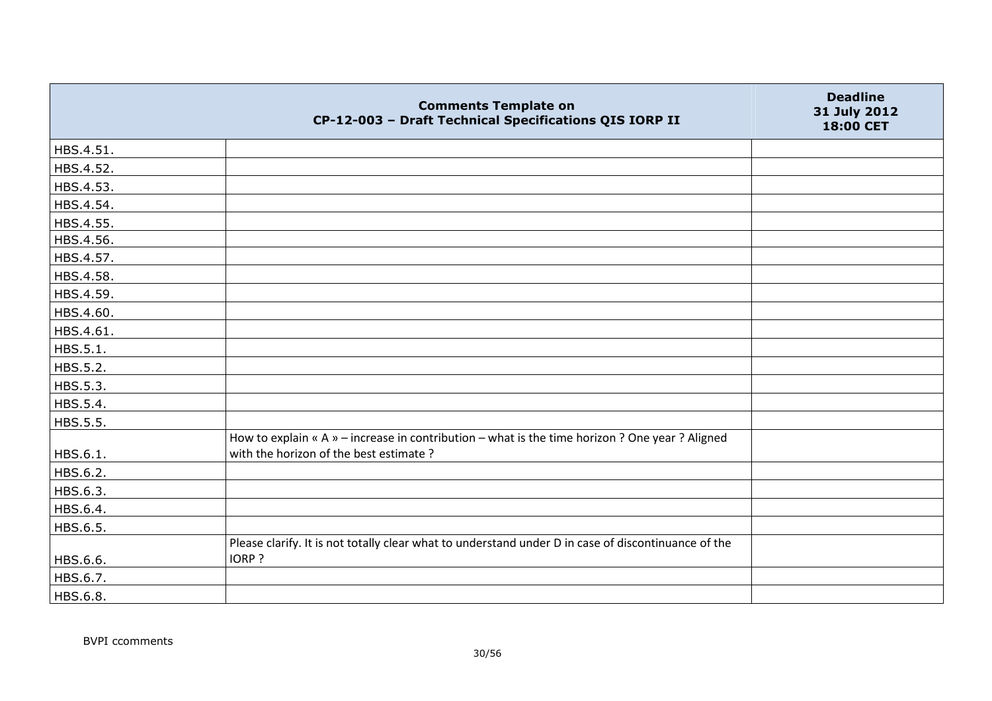|           | <b>Comments Template on</b><br>CP-12-003 - Draft Technical Specifications QIS IORP II                                                     | <b>Deadline</b><br>31 July 2012<br>18:00 CET |
|-----------|-------------------------------------------------------------------------------------------------------------------------------------------|----------------------------------------------|
| HBS.4.51. |                                                                                                                                           |                                              |
| HBS.4.52. |                                                                                                                                           |                                              |
| HBS.4.53. |                                                                                                                                           |                                              |
| HBS.4.54. |                                                                                                                                           |                                              |
| HBS.4.55. |                                                                                                                                           |                                              |
| HBS.4.56. |                                                                                                                                           |                                              |
| HBS.4.57. |                                                                                                                                           |                                              |
| HBS.4.58. |                                                                                                                                           |                                              |
| HBS.4.59. |                                                                                                                                           |                                              |
| HBS.4.60. |                                                                                                                                           |                                              |
| HBS.4.61. |                                                                                                                                           |                                              |
| HBS.5.1.  |                                                                                                                                           |                                              |
| HBS.5.2.  |                                                                                                                                           |                                              |
| HBS.5.3.  |                                                                                                                                           |                                              |
| HBS.5.4.  |                                                                                                                                           |                                              |
| HBS.5.5.  |                                                                                                                                           |                                              |
| HBS.6.1.  | How to explain « A » - increase in contribution - what is the time horizon ? One year ? Aligned<br>with the horizon of the best estimate? |                                              |
| HBS.6.2.  |                                                                                                                                           |                                              |
| HBS.6.3.  |                                                                                                                                           |                                              |
| HBS.6.4.  |                                                                                                                                           |                                              |
| HBS.6.5.  |                                                                                                                                           |                                              |
| HBS.6.6.  | Please clarify. It is not totally clear what to understand under D in case of discontinuance of the<br>IORP?                              |                                              |
| HBS.6.7.  |                                                                                                                                           |                                              |
| HBS.6.8.  |                                                                                                                                           |                                              |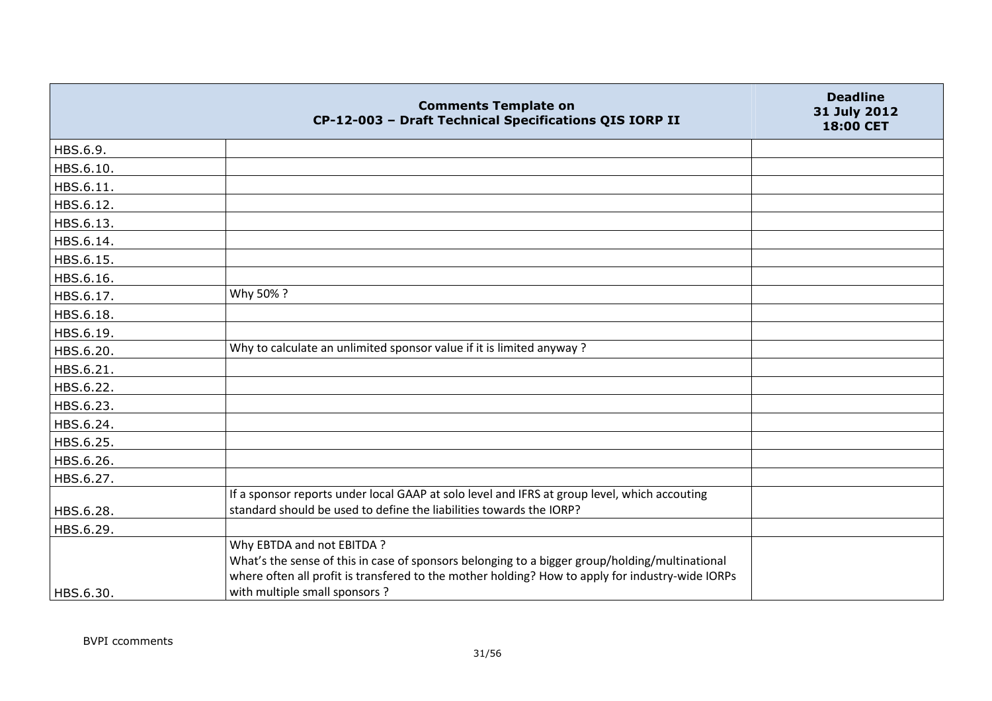|           | <b>Comments Template on</b><br>CP-12-003 - Draft Technical Specifications QIS IORP II                                                                                                                                                                              | <b>Deadline</b><br>31 July 2012<br>18:00 CET |
|-----------|--------------------------------------------------------------------------------------------------------------------------------------------------------------------------------------------------------------------------------------------------------------------|----------------------------------------------|
| HBS.6.9.  |                                                                                                                                                                                                                                                                    |                                              |
| HBS.6.10. |                                                                                                                                                                                                                                                                    |                                              |
| HBS.6.11. |                                                                                                                                                                                                                                                                    |                                              |
| HBS.6.12. |                                                                                                                                                                                                                                                                    |                                              |
| HBS.6.13. |                                                                                                                                                                                                                                                                    |                                              |
| HBS.6.14. |                                                                                                                                                                                                                                                                    |                                              |
| HBS.6.15. |                                                                                                                                                                                                                                                                    |                                              |
| HBS.6.16. |                                                                                                                                                                                                                                                                    |                                              |
| HBS.6.17. | Why 50%?                                                                                                                                                                                                                                                           |                                              |
| HBS.6.18. |                                                                                                                                                                                                                                                                    |                                              |
| HBS.6.19. |                                                                                                                                                                                                                                                                    |                                              |
| HBS.6.20. | Why to calculate an unlimited sponsor value if it is limited anyway?                                                                                                                                                                                               |                                              |
| HBS.6.21. |                                                                                                                                                                                                                                                                    |                                              |
| HBS.6.22. |                                                                                                                                                                                                                                                                    |                                              |
| HBS.6.23. |                                                                                                                                                                                                                                                                    |                                              |
| HBS.6.24. |                                                                                                                                                                                                                                                                    |                                              |
| HBS.6.25. |                                                                                                                                                                                                                                                                    |                                              |
| HBS.6.26. |                                                                                                                                                                                                                                                                    |                                              |
| HBS.6.27. |                                                                                                                                                                                                                                                                    |                                              |
|           | If a sponsor reports under local GAAP at solo level and IFRS at group level, which accouting                                                                                                                                                                       |                                              |
| HBS.6.28. | standard should be used to define the liabilities towards the IORP?                                                                                                                                                                                                |                                              |
| HBS.6.29. |                                                                                                                                                                                                                                                                    |                                              |
| HBS.6.30. | Why EBTDA and not EBITDA ?<br>What's the sense of this in case of sponsors belonging to a bigger group/holding/multinational<br>where often all profit is transfered to the mother holding? How to apply for industry-wide IORPs<br>with multiple small sponsors ? |                                              |
|           |                                                                                                                                                                                                                                                                    |                                              |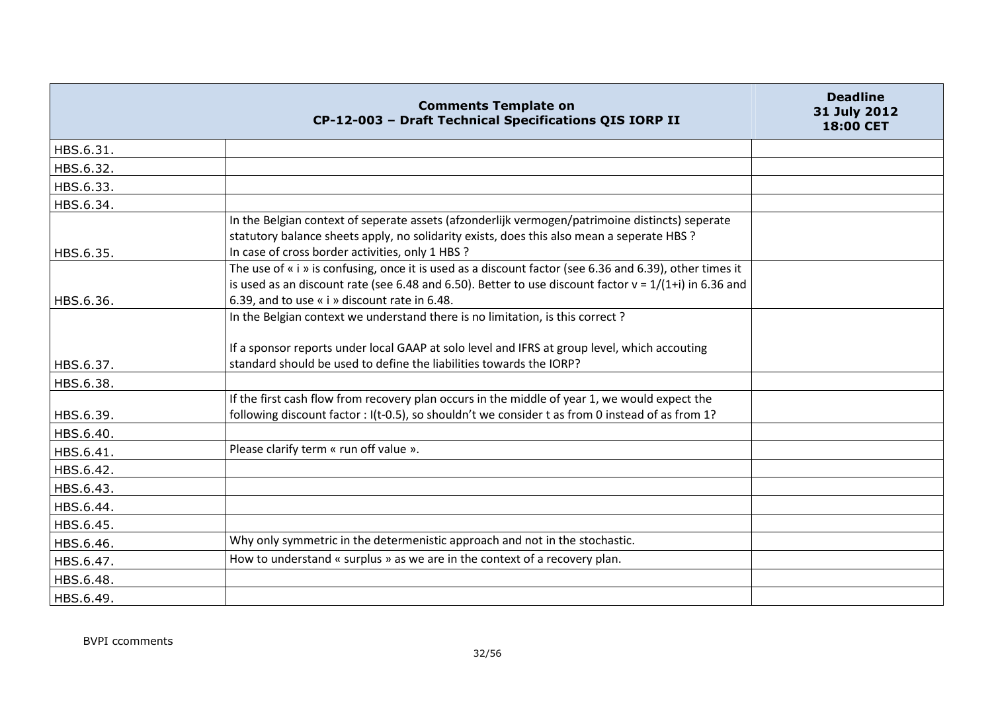|                        | <b>Comments Template on</b><br>CP-12-003 - Draft Technical Specifications QIS IORP II                                                                                                                                                                                   | <b>Deadline</b><br>31 July 2012<br>18:00 CET |
|------------------------|-------------------------------------------------------------------------------------------------------------------------------------------------------------------------------------------------------------------------------------------------------------------------|----------------------------------------------|
| HBS.6.31.              |                                                                                                                                                                                                                                                                         |                                              |
| HBS.6.32.              |                                                                                                                                                                                                                                                                         |                                              |
| HBS.6.33.              |                                                                                                                                                                                                                                                                         |                                              |
| HBS.6.34.              |                                                                                                                                                                                                                                                                         |                                              |
|                        | In the Belgian context of seperate assets (afzonderlijk vermogen/patrimoine distincts) seperate<br>statutory balance sheets apply, no solidarity exists, does this also mean a seperate HBS ?                                                                           |                                              |
| HBS.6.35.              | In case of cross border activities, only 1 HBS ?<br>The use of « i » is confusing, once it is used as a discount factor (see 6.36 and 6.39), other times it<br>is used as an discount rate (see 6.48 and 6.50). Better to use discount factor $v = 1/(1+i)$ in 6.36 and |                                              |
| HBS.6.36.              | 6.39, and to use « i » discount rate in 6.48.<br>In the Belgian context we understand there is no limitation, is this correct?<br>If a sponsor reports under local GAAP at solo level and IFRS at group level, which accouting                                          |                                              |
| HBS.6.37.              | standard should be used to define the liabilities towards the IORP?                                                                                                                                                                                                     |                                              |
| HBS.6.38.              |                                                                                                                                                                                                                                                                         |                                              |
| HBS.6.39.<br>HBS.6.40. | If the first cash flow from recovery plan occurs in the middle of year 1, we would expect the<br>following discount factor : I(t-0.5), so shouldn't we consider t as from 0 instead of as from 1?                                                                       |                                              |
| HBS.6.41.              | Please clarify term « run off value ».                                                                                                                                                                                                                                  |                                              |
| HBS.6.42.              |                                                                                                                                                                                                                                                                         |                                              |
| HBS.6.43.              |                                                                                                                                                                                                                                                                         |                                              |
| HBS.6.44.              |                                                                                                                                                                                                                                                                         |                                              |
| HBS.6.45.              |                                                                                                                                                                                                                                                                         |                                              |
| HBS.6.46.              | Why only symmetric in the determenistic approach and not in the stochastic.                                                                                                                                                                                             |                                              |
| HBS.6.47.              | How to understand « surplus » as we are in the context of a recovery plan.                                                                                                                                                                                              |                                              |
| HBS.6.48.              |                                                                                                                                                                                                                                                                         |                                              |
| HBS.6.49.              |                                                                                                                                                                                                                                                                         |                                              |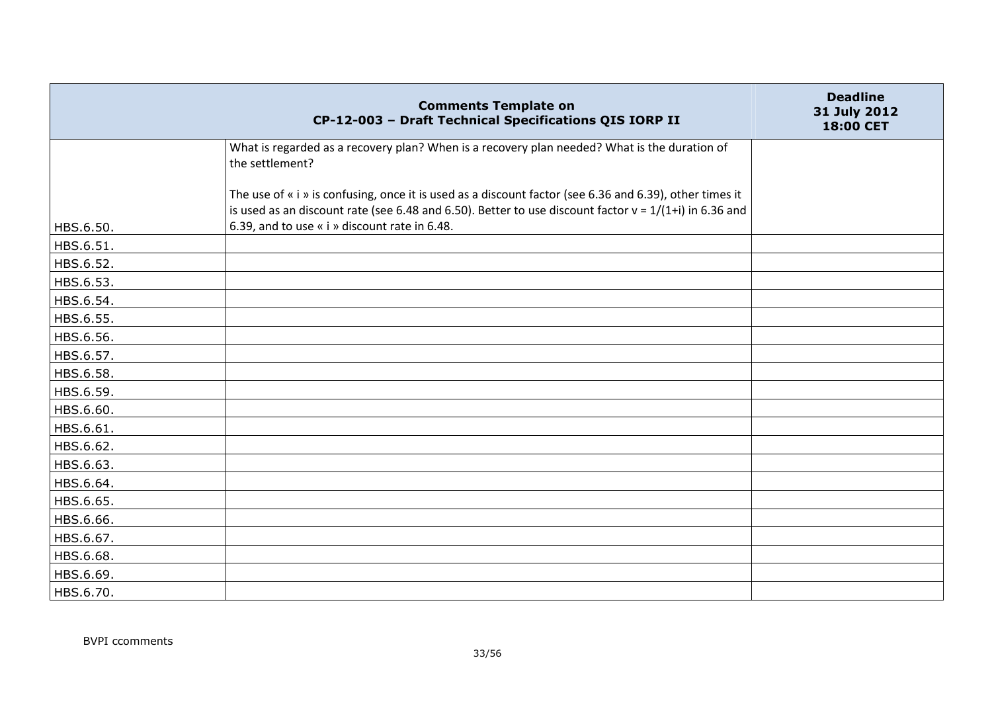|           | <b>Comments Template on</b><br>CP-12-003 - Draft Technical Specifications QIS IORP II                                                                                                                               | <b>Deadline</b><br>31 July 2012<br>18:00 CET |
|-----------|---------------------------------------------------------------------------------------------------------------------------------------------------------------------------------------------------------------------|----------------------------------------------|
|           | What is regarded as a recovery plan? When is a recovery plan needed? What is the duration of<br>the settlement?                                                                                                     |                                              |
|           | The use of « i » is confusing, once it is used as a discount factor (see 6.36 and 6.39), other times it<br>is used as an discount rate (see 6.48 and 6.50). Better to use discount factor $v = 1/(1+i)$ in 6.36 and |                                              |
| HBS.6.50. | 6.39, and to use « i » discount rate in 6.48.                                                                                                                                                                       |                                              |
| HBS.6.51. |                                                                                                                                                                                                                     |                                              |
| HBS.6.52. |                                                                                                                                                                                                                     |                                              |
| HBS.6.53. |                                                                                                                                                                                                                     |                                              |
| HBS.6.54. |                                                                                                                                                                                                                     |                                              |
| HBS.6.55. |                                                                                                                                                                                                                     |                                              |
| HBS.6.56. |                                                                                                                                                                                                                     |                                              |
| HBS.6.57. |                                                                                                                                                                                                                     |                                              |
| HBS.6.58. |                                                                                                                                                                                                                     |                                              |
| HBS.6.59. |                                                                                                                                                                                                                     |                                              |
| HBS.6.60. |                                                                                                                                                                                                                     |                                              |
| HBS.6.61. |                                                                                                                                                                                                                     |                                              |
| HBS.6.62. |                                                                                                                                                                                                                     |                                              |
| HBS.6.63. |                                                                                                                                                                                                                     |                                              |
| HBS.6.64. |                                                                                                                                                                                                                     |                                              |
| HBS.6.65. |                                                                                                                                                                                                                     |                                              |
| HBS.6.66. |                                                                                                                                                                                                                     |                                              |
| HBS.6.67. |                                                                                                                                                                                                                     |                                              |
| HBS.6.68. |                                                                                                                                                                                                                     |                                              |
| HBS.6.69. |                                                                                                                                                                                                                     |                                              |
| HBS.6.70. |                                                                                                                                                                                                                     |                                              |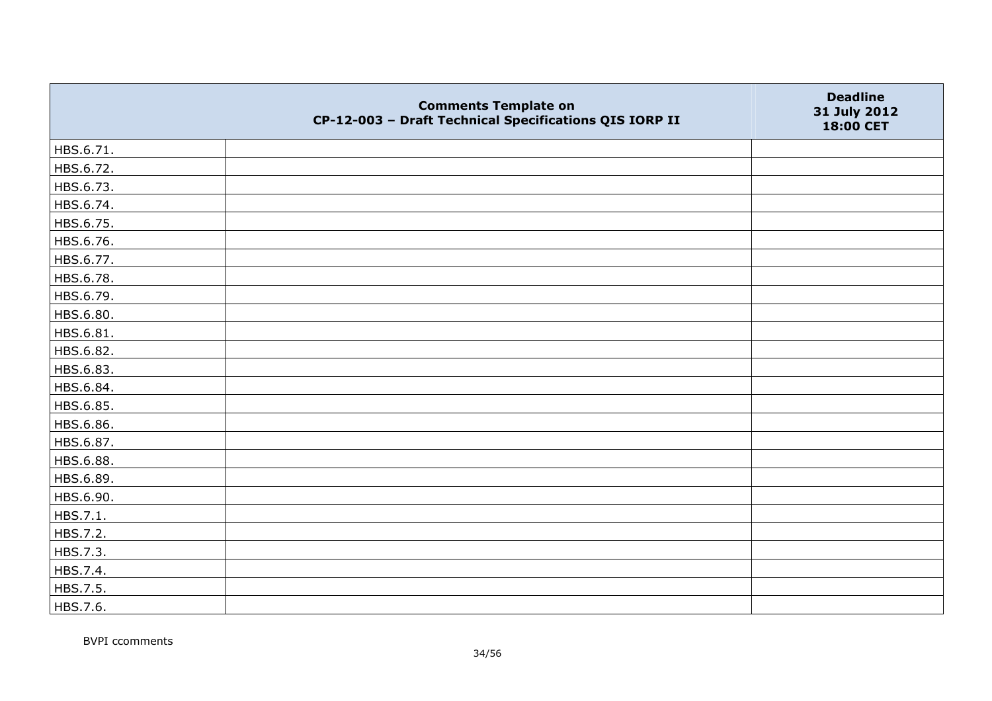|           | <b>Comments Template on</b><br>CP-12-003 - Draft Technical Specifications QIS IORP II | <b>Deadline</b><br>31 July 2012<br>18:00 CET |
|-----------|---------------------------------------------------------------------------------------|----------------------------------------------|
| HBS.6.71. |                                                                                       |                                              |
| HBS.6.72. |                                                                                       |                                              |
| HBS.6.73. |                                                                                       |                                              |
| HBS.6.74. |                                                                                       |                                              |
| HBS.6.75. |                                                                                       |                                              |
| HBS.6.76. |                                                                                       |                                              |
| HBS.6.77. |                                                                                       |                                              |
| HBS.6.78. |                                                                                       |                                              |
| HBS.6.79. |                                                                                       |                                              |
| HBS.6.80. |                                                                                       |                                              |
| HBS.6.81. |                                                                                       |                                              |
| HBS.6.82. |                                                                                       |                                              |
| HBS.6.83. |                                                                                       |                                              |
| HBS.6.84. |                                                                                       |                                              |
| HBS.6.85. |                                                                                       |                                              |
| HBS.6.86. |                                                                                       |                                              |
| HBS.6.87. |                                                                                       |                                              |
| HBS.6.88. |                                                                                       |                                              |
| HBS.6.89. |                                                                                       |                                              |
| HBS.6.90. |                                                                                       |                                              |
| HBS.7.1.  |                                                                                       |                                              |
| HBS.7.2.  |                                                                                       |                                              |
| HBS.7.3.  |                                                                                       |                                              |
| HBS.7.4.  |                                                                                       |                                              |
| HBS.7.5.  |                                                                                       |                                              |
| HBS.7.6.  |                                                                                       |                                              |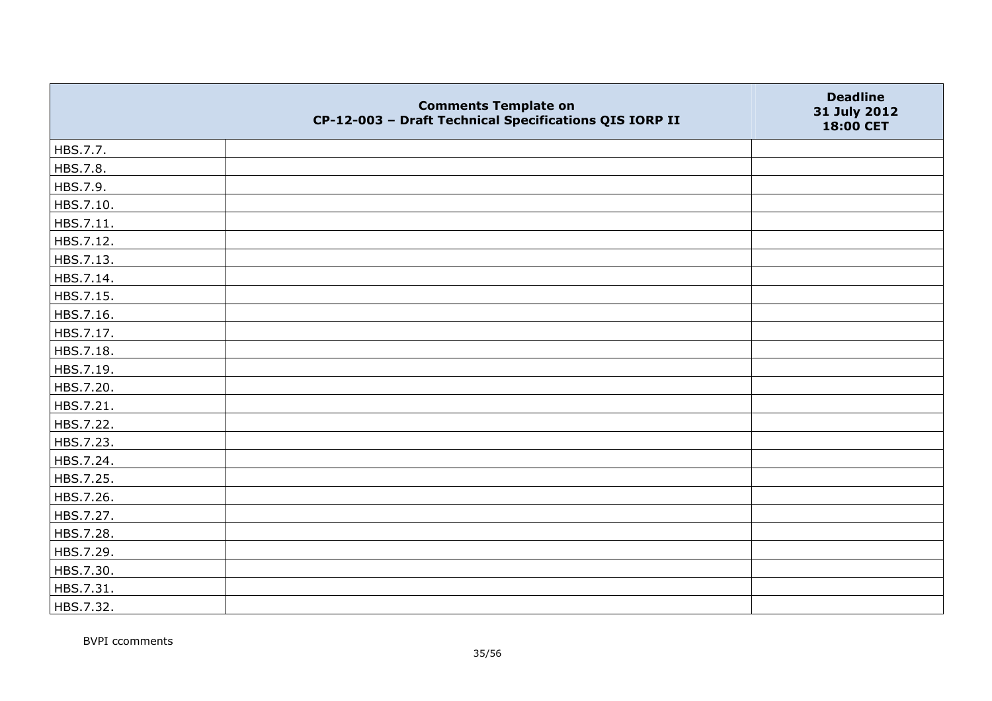|           | <b>Comments Template on</b><br>CP-12-003 - Draft Technical Specifications QIS IORP II | <b>Deadline</b><br>31 July 2012<br>18:00 CET |
|-----------|---------------------------------------------------------------------------------------|----------------------------------------------|
| HBS.7.7.  |                                                                                       |                                              |
| HBS.7.8.  |                                                                                       |                                              |
| HBS.7.9.  |                                                                                       |                                              |
| HBS.7.10. |                                                                                       |                                              |
| HBS.7.11. |                                                                                       |                                              |
| HBS.7.12. |                                                                                       |                                              |
| HBS.7.13. |                                                                                       |                                              |
| HBS.7.14. |                                                                                       |                                              |
| HBS.7.15. |                                                                                       |                                              |
| HBS.7.16. |                                                                                       |                                              |
| HBS.7.17. |                                                                                       |                                              |
| HBS.7.18. |                                                                                       |                                              |
| HBS.7.19. |                                                                                       |                                              |
| HBS.7.20. |                                                                                       |                                              |
| HBS.7.21. |                                                                                       |                                              |
| HBS.7.22. |                                                                                       |                                              |
| HBS.7.23. |                                                                                       |                                              |
| HBS.7.24. |                                                                                       |                                              |
| HBS.7.25. |                                                                                       |                                              |
| HBS.7.26. |                                                                                       |                                              |
| HBS.7.27. |                                                                                       |                                              |
| HBS.7.28. |                                                                                       |                                              |
| HBS.7.29. |                                                                                       |                                              |
| HBS.7.30. |                                                                                       |                                              |
| HBS.7.31. |                                                                                       |                                              |
| HBS.7.32. |                                                                                       |                                              |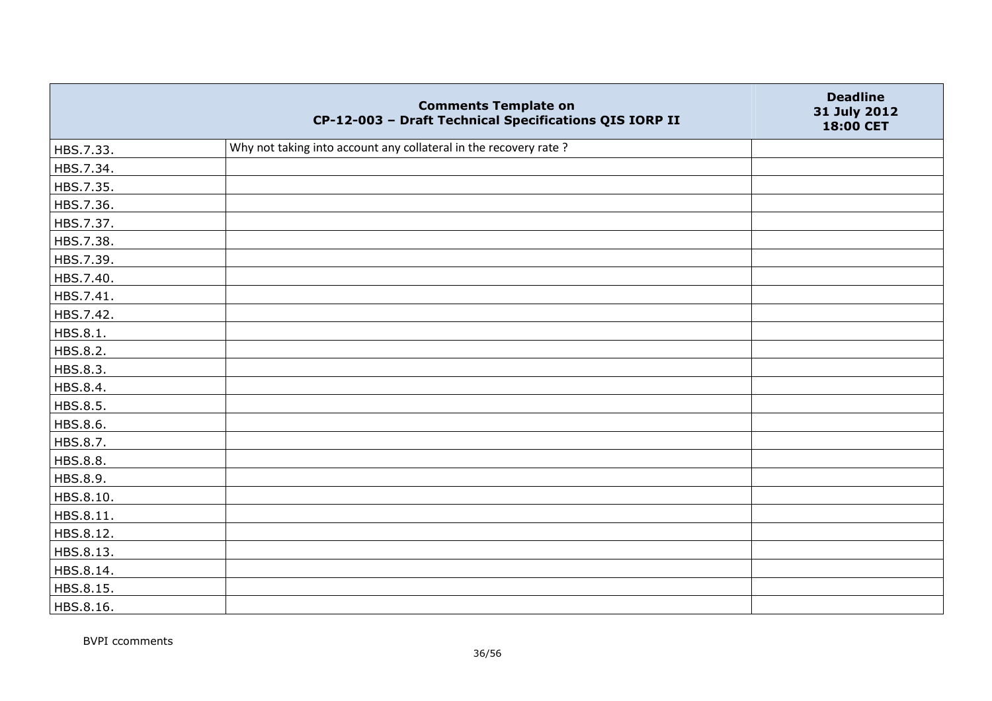|           | <b>Comments Template on</b><br>CP-12-003 - Draft Technical Specifications QIS IORP II | <b>Deadline</b><br>31 July 2012<br>18:00 CET |
|-----------|---------------------------------------------------------------------------------------|----------------------------------------------|
| HBS.7.33. | Why not taking into account any collateral in the recovery rate?                      |                                              |
| HBS.7.34. |                                                                                       |                                              |
| HBS.7.35. |                                                                                       |                                              |
| HBS.7.36. |                                                                                       |                                              |
| HBS.7.37. |                                                                                       |                                              |
| HBS.7.38. |                                                                                       |                                              |
| HBS.7.39. |                                                                                       |                                              |
| HBS.7.40. |                                                                                       |                                              |
| HBS.7.41. |                                                                                       |                                              |
| HBS.7.42. |                                                                                       |                                              |
| HBS.8.1.  |                                                                                       |                                              |
| HBS.8.2.  |                                                                                       |                                              |
| HBS.8.3.  |                                                                                       |                                              |
| HBS.8.4.  |                                                                                       |                                              |
| HBS.8.5.  |                                                                                       |                                              |
| HBS.8.6.  |                                                                                       |                                              |
| HBS.8.7.  |                                                                                       |                                              |
| HBS.8.8.  |                                                                                       |                                              |
| HBS.8.9.  |                                                                                       |                                              |
| HBS.8.10. |                                                                                       |                                              |
| HBS.8.11. |                                                                                       |                                              |
| HBS.8.12. |                                                                                       |                                              |
| HBS.8.13. |                                                                                       |                                              |
| HBS.8.14. |                                                                                       |                                              |
| HBS.8.15. |                                                                                       |                                              |
| HBS.8.16. |                                                                                       |                                              |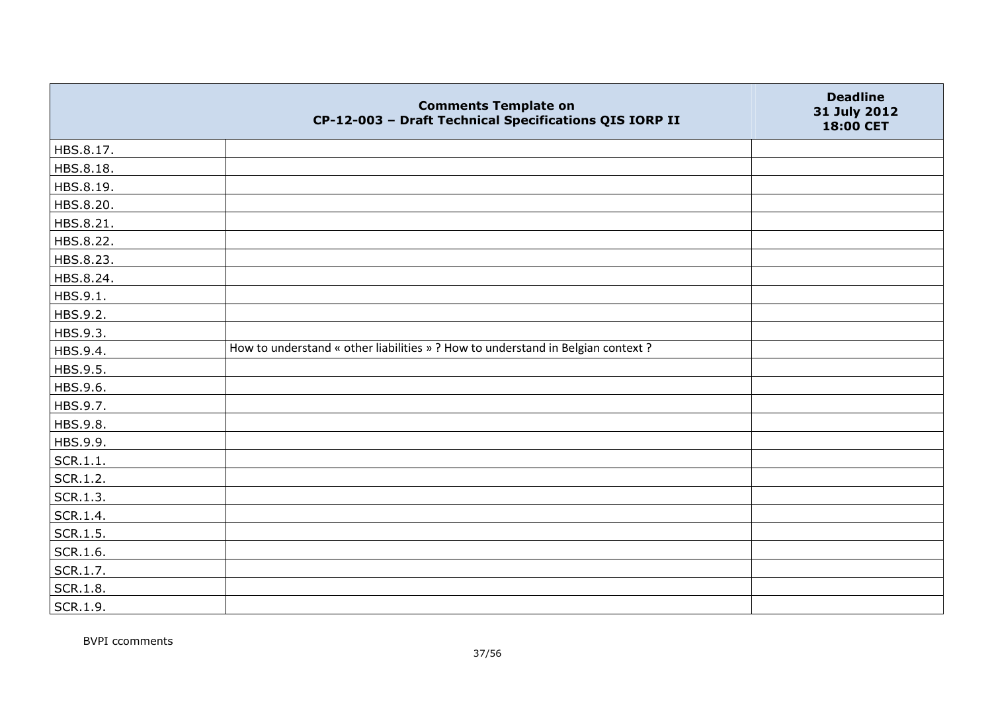|           | <b>Comments Template on</b><br>CP-12-003 - Draft Technical Specifications QIS IORP II | <b>Deadline</b><br>31 July 2012<br>18:00 CET |
|-----------|---------------------------------------------------------------------------------------|----------------------------------------------|
| HBS.8.17. |                                                                                       |                                              |
| HBS.8.18. |                                                                                       |                                              |
| HBS.8.19. |                                                                                       |                                              |
| HBS.8.20. |                                                                                       |                                              |
| HBS.8.21. |                                                                                       |                                              |
| HBS.8.22. |                                                                                       |                                              |
| HBS.8.23. |                                                                                       |                                              |
| HBS.8.24. |                                                                                       |                                              |
| HBS.9.1.  |                                                                                       |                                              |
| HBS.9.2.  |                                                                                       |                                              |
| HBS.9.3.  |                                                                                       |                                              |
| HBS.9.4.  | How to understand « other liabilities » ? How to understand in Belgian context ?      |                                              |
| HBS.9.5.  |                                                                                       |                                              |
| HBS.9.6.  |                                                                                       |                                              |
| HBS.9.7.  |                                                                                       |                                              |
| HBS.9.8.  |                                                                                       |                                              |
| HBS.9.9.  |                                                                                       |                                              |
| SCR.1.1.  |                                                                                       |                                              |
| SCR.1.2.  |                                                                                       |                                              |
| SCR.1.3.  |                                                                                       |                                              |
| SCR.1.4.  |                                                                                       |                                              |
| SCR.1.5.  |                                                                                       |                                              |
| SCR.1.6.  |                                                                                       |                                              |
| SCR.1.7.  |                                                                                       |                                              |
| SCR.1.8.  |                                                                                       |                                              |
| SCR.1.9.  |                                                                                       |                                              |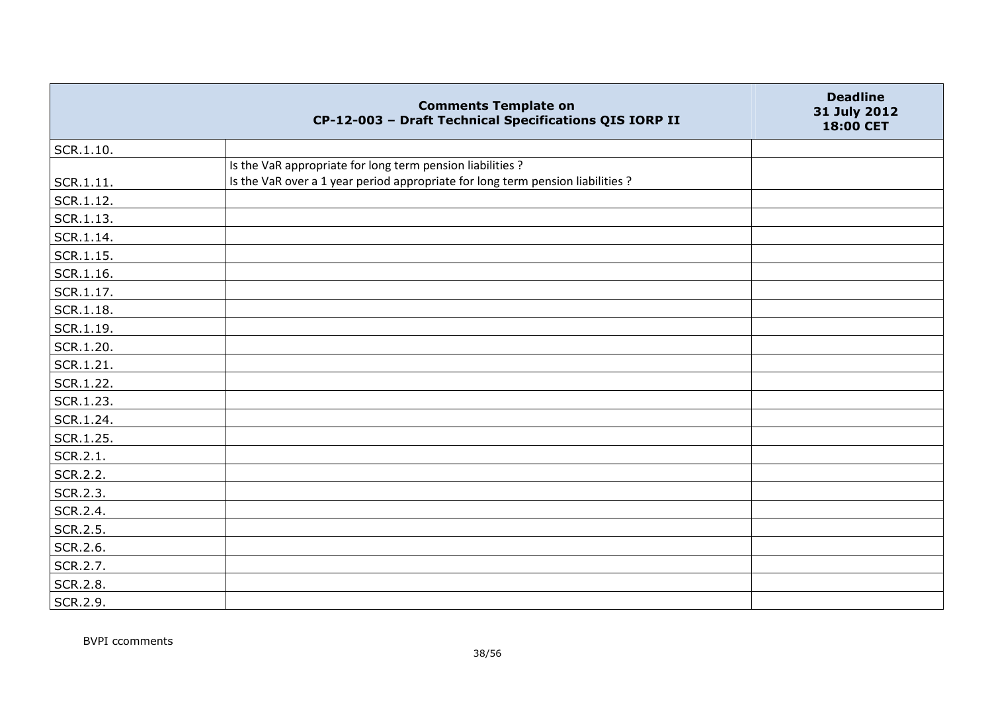|           | <b>Comments Template on</b><br>CP-12-003 - Draft Technical Specifications QIS IORP II | <b>Deadline</b><br>31 July 2012<br>18:00 CET |
|-----------|---------------------------------------------------------------------------------------|----------------------------------------------|
| SCR.1.10. |                                                                                       |                                              |
|           | Is the VaR appropriate for long term pension liabilities ?                            |                                              |
| SCR.1.11. | Is the VaR over a 1 year period appropriate for long term pension liabilities ?       |                                              |
| SCR.1.12. |                                                                                       |                                              |
| SCR.1.13. |                                                                                       |                                              |
| SCR.1.14. |                                                                                       |                                              |
| SCR.1.15. |                                                                                       |                                              |
| SCR.1.16. |                                                                                       |                                              |
| SCR.1.17. |                                                                                       |                                              |
| SCR.1.18. |                                                                                       |                                              |
| SCR.1.19. |                                                                                       |                                              |
| SCR.1.20. |                                                                                       |                                              |
| SCR.1.21. |                                                                                       |                                              |
| SCR.1.22. |                                                                                       |                                              |
| SCR.1.23. |                                                                                       |                                              |
| SCR.1.24. |                                                                                       |                                              |
| SCR.1.25. |                                                                                       |                                              |
| SCR.2.1.  |                                                                                       |                                              |
| SCR.2.2.  |                                                                                       |                                              |
| SCR.2.3.  |                                                                                       |                                              |
| SCR.2.4.  |                                                                                       |                                              |
| SCR.2.5.  |                                                                                       |                                              |
| SCR.2.6.  |                                                                                       |                                              |
| SCR.2.7.  |                                                                                       |                                              |
| SCR.2.8.  |                                                                                       |                                              |
| SCR.2.9.  |                                                                                       |                                              |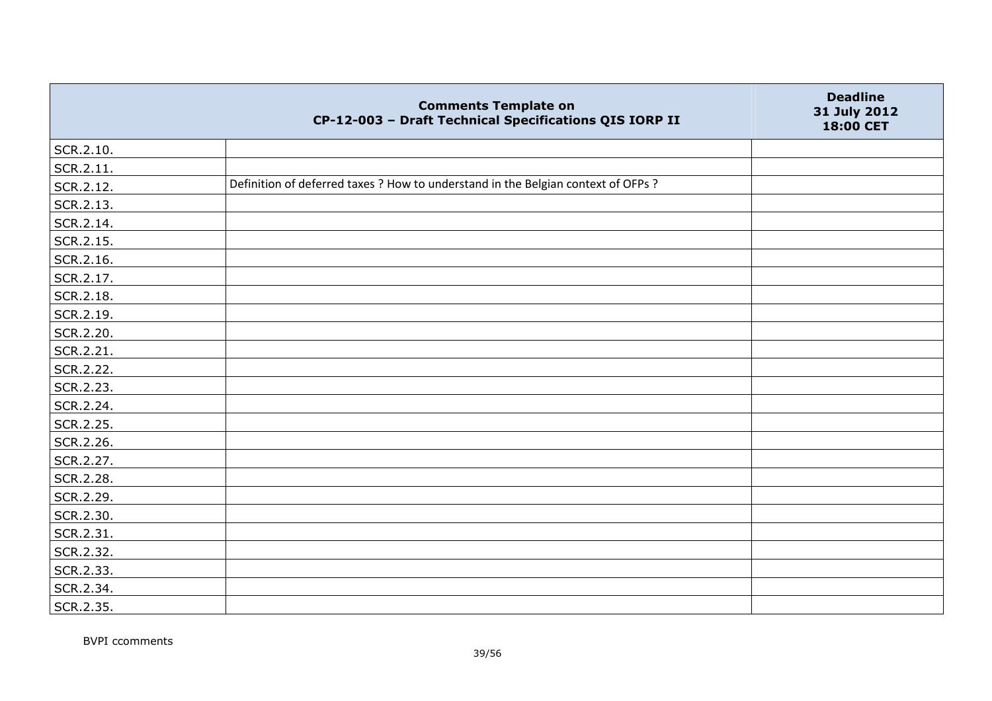|           | <b>Comments Template on</b><br>CP-12-003 - Draft Technical Specifications QIS IORP II | <b>Deadline</b><br>31 July 2012<br>18:00 CET |
|-----------|---------------------------------------------------------------------------------------|----------------------------------------------|
| SCR.2.10. |                                                                                       |                                              |
| SCR.2.11. |                                                                                       |                                              |
| SCR.2.12. | Definition of deferred taxes ? How to understand in the Belgian context of OFPs ?     |                                              |
| SCR.2.13. |                                                                                       |                                              |
| SCR.2.14. |                                                                                       |                                              |
| SCR.2.15. |                                                                                       |                                              |
| SCR.2.16. |                                                                                       |                                              |
| SCR.2.17. |                                                                                       |                                              |
| SCR.2.18. |                                                                                       |                                              |
| SCR.2.19. |                                                                                       |                                              |
| SCR.2.20. |                                                                                       |                                              |
| SCR.2.21. |                                                                                       |                                              |
| SCR.2.22. |                                                                                       |                                              |
| SCR.2.23. |                                                                                       |                                              |
| SCR.2.24. |                                                                                       |                                              |
| SCR.2.25. |                                                                                       |                                              |
| SCR.2.26. |                                                                                       |                                              |
| SCR.2.27. |                                                                                       |                                              |
| SCR.2.28. |                                                                                       |                                              |
| SCR.2.29. |                                                                                       |                                              |
| SCR.2.30. |                                                                                       |                                              |
| SCR.2.31. |                                                                                       |                                              |
| SCR.2.32. |                                                                                       |                                              |
| SCR.2.33. |                                                                                       |                                              |
| SCR.2.34. |                                                                                       |                                              |
| SCR.2.35. |                                                                                       |                                              |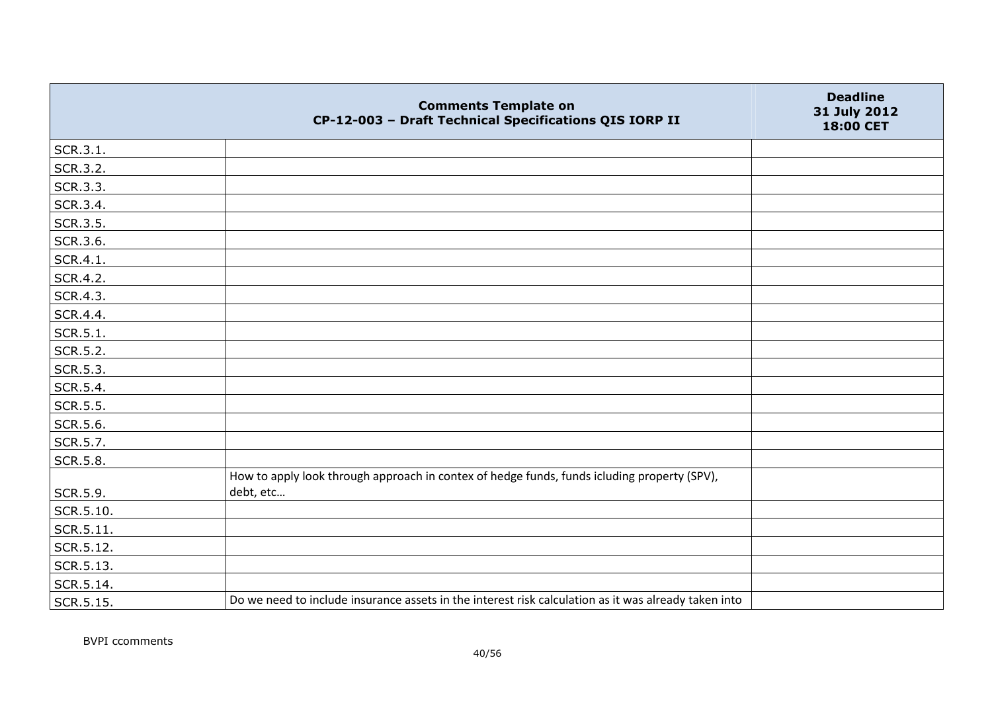|           | <b>Comments Template on</b><br>CP-12-003 - Draft Technical Specifications QIS IORP II                    | <b>Deadline</b><br>31 July 2012<br>18:00 CET |
|-----------|----------------------------------------------------------------------------------------------------------|----------------------------------------------|
| SCR.3.1.  |                                                                                                          |                                              |
| SCR.3.2.  |                                                                                                          |                                              |
| SCR.3.3.  |                                                                                                          |                                              |
| SCR.3.4.  |                                                                                                          |                                              |
| SCR.3.5.  |                                                                                                          |                                              |
| SCR.3.6.  |                                                                                                          |                                              |
| SCR.4.1.  |                                                                                                          |                                              |
| SCR.4.2.  |                                                                                                          |                                              |
| SCR.4.3.  |                                                                                                          |                                              |
| SCR.4.4.  |                                                                                                          |                                              |
| SCR.5.1.  |                                                                                                          |                                              |
| SCR.5.2.  |                                                                                                          |                                              |
| SCR.5.3.  |                                                                                                          |                                              |
| SCR.5.4.  |                                                                                                          |                                              |
| SCR.5.5.  |                                                                                                          |                                              |
| SCR.5.6.  |                                                                                                          |                                              |
| SCR.5.7.  |                                                                                                          |                                              |
| SCR.5.8.  |                                                                                                          |                                              |
| SCR.5.9.  | How to apply look through approach in contex of hedge funds, funds icluding property (SPV),<br>debt, etc |                                              |
| SCR.5.10. |                                                                                                          |                                              |
| SCR.5.11. |                                                                                                          |                                              |
| SCR.5.12. |                                                                                                          |                                              |
| SCR.5.13. |                                                                                                          |                                              |
| SCR.5.14. |                                                                                                          |                                              |
| SCR.5.15. | Do we need to include insurance assets in the interest risk calculation as it was already taken into     |                                              |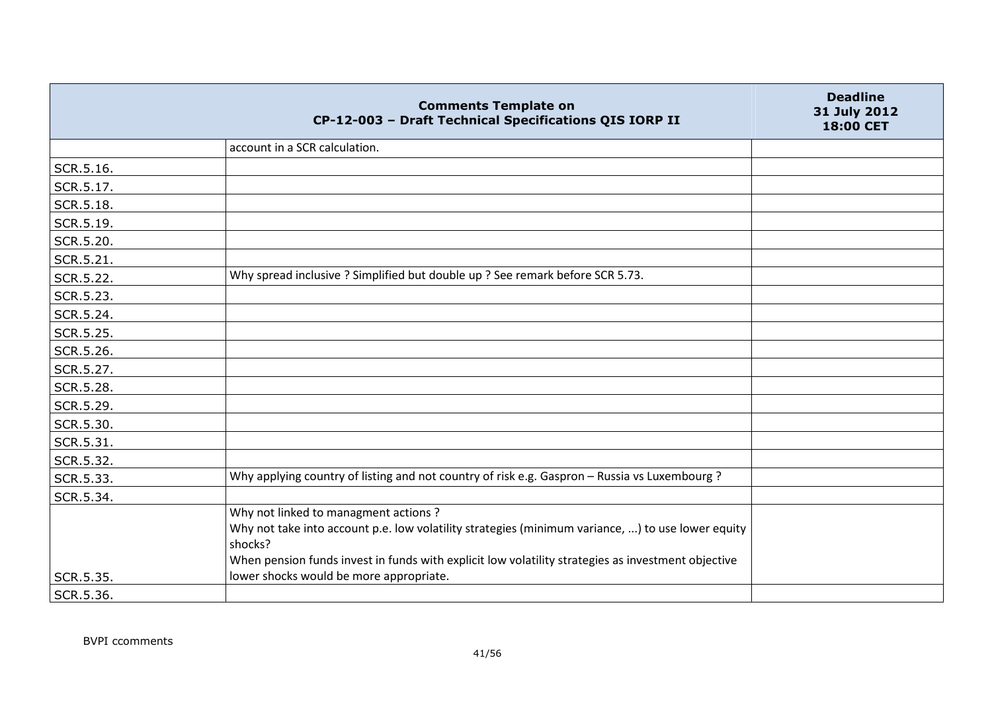|           | <b>Comments Template on</b><br>CP-12-003 - Draft Technical Specifications QIS IORP II                                                                                                                                                                      | <b>Deadline</b><br>31 July 2012<br>18:00 CET |
|-----------|------------------------------------------------------------------------------------------------------------------------------------------------------------------------------------------------------------------------------------------------------------|----------------------------------------------|
|           | account in a SCR calculation.                                                                                                                                                                                                                              |                                              |
| SCR.5.16. |                                                                                                                                                                                                                                                            |                                              |
| SCR.5.17. |                                                                                                                                                                                                                                                            |                                              |
| SCR.5.18. |                                                                                                                                                                                                                                                            |                                              |
| SCR.5.19. |                                                                                                                                                                                                                                                            |                                              |
| SCR.5.20. |                                                                                                                                                                                                                                                            |                                              |
| SCR.5.21. |                                                                                                                                                                                                                                                            |                                              |
| SCR.5.22. | Why spread inclusive ? Simplified but double up ? See remark before SCR 5.73.                                                                                                                                                                              |                                              |
| SCR.5.23. |                                                                                                                                                                                                                                                            |                                              |
| SCR.5.24. |                                                                                                                                                                                                                                                            |                                              |
| SCR.5.25. |                                                                                                                                                                                                                                                            |                                              |
| SCR.5.26. |                                                                                                                                                                                                                                                            |                                              |
| SCR.5.27. |                                                                                                                                                                                                                                                            |                                              |
| SCR.5.28. |                                                                                                                                                                                                                                                            |                                              |
| SCR.5.29. |                                                                                                                                                                                                                                                            |                                              |
| SCR.5.30. |                                                                                                                                                                                                                                                            |                                              |
| SCR.5.31. |                                                                                                                                                                                                                                                            |                                              |
| SCR.5.32. |                                                                                                                                                                                                                                                            |                                              |
| SCR.5.33. | Why applying country of listing and not country of risk e.g. Gaspron - Russia vs Luxembourg ?                                                                                                                                                              |                                              |
| SCR.5.34. |                                                                                                                                                                                                                                                            |                                              |
|           | Why not linked to managment actions?<br>Why not take into account p.e. low volatility strategies (minimum variance, ) to use lower equity<br>shocks?<br>When pension funds invest in funds with explicit low volatility strategies as investment objective |                                              |
| SCR.5.35. | lower shocks would be more appropriate.                                                                                                                                                                                                                    |                                              |
| SCR.5.36. |                                                                                                                                                                                                                                                            |                                              |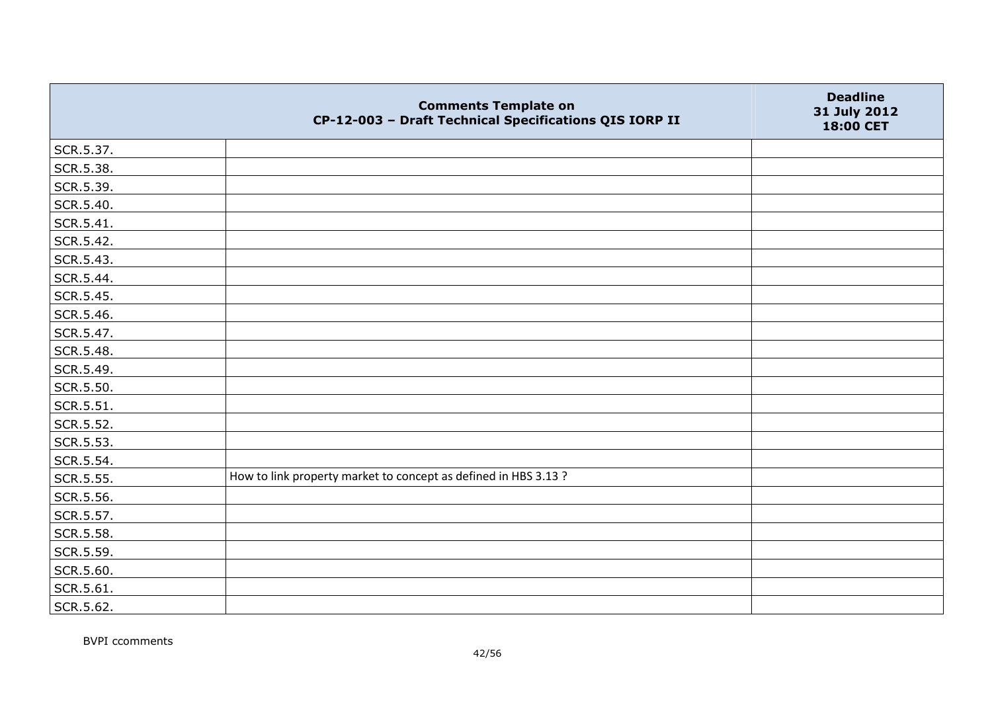|           | <b>Comments Template on</b><br>CP-12-003 - Draft Technical Specifications QIS IORP II | <b>Deadline</b><br>31 July 2012<br>18:00 CET |
|-----------|---------------------------------------------------------------------------------------|----------------------------------------------|
| SCR.5.37. |                                                                                       |                                              |
| SCR.5.38. |                                                                                       |                                              |
| SCR.5.39. |                                                                                       |                                              |
| SCR.5.40. |                                                                                       |                                              |
| SCR.5.41. |                                                                                       |                                              |
| SCR.5.42. |                                                                                       |                                              |
| SCR.5.43. |                                                                                       |                                              |
| SCR.5.44. |                                                                                       |                                              |
| SCR.5.45. |                                                                                       |                                              |
| SCR.5.46. |                                                                                       |                                              |
| SCR.5.47. |                                                                                       |                                              |
| SCR.5.48. |                                                                                       |                                              |
| SCR.5.49. |                                                                                       |                                              |
| SCR.5.50. |                                                                                       |                                              |
| SCR.5.51. |                                                                                       |                                              |
| SCR.5.52. |                                                                                       |                                              |
| SCR.5.53. |                                                                                       |                                              |
| SCR.5.54. |                                                                                       |                                              |
| SCR.5.55. | How to link property market to concept as defined in HBS 3.13 ?                       |                                              |
| SCR.5.56. |                                                                                       |                                              |
| SCR.5.57. |                                                                                       |                                              |
| SCR.5.58. |                                                                                       |                                              |
| SCR.5.59. |                                                                                       |                                              |
| SCR.5.60. |                                                                                       |                                              |
| SCR.5.61. |                                                                                       |                                              |
| SCR.5.62. |                                                                                       |                                              |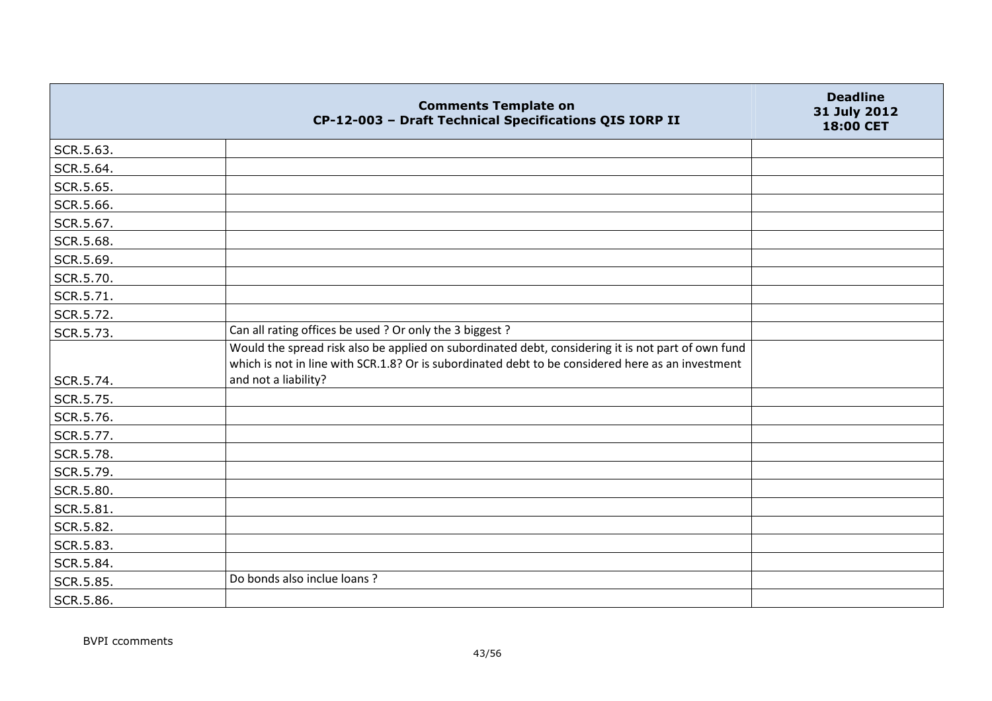|           | <b>Comments Template on</b><br>CP-12-003 - Draft Technical Specifications QIS IORP II                                                                                                                   | <b>Deadline</b><br>31 July 2012<br>18:00 CET |
|-----------|---------------------------------------------------------------------------------------------------------------------------------------------------------------------------------------------------------|----------------------------------------------|
| SCR.5.63. |                                                                                                                                                                                                         |                                              |
| SCR.5.64. |                                                                                                                                                                                                         |                                              |
| SCR.5.65. |                                                                                                                                                                                                         |                                              |
| SCR.5.66. |                                                                                                                                                                                                         |                                              |
| SCR.5.67. |                                                                                                                                                                                                         |                                              |
| SCR.5.68. |                                                                                                                                                                                                         |                                              |
| SCR.5.69. |                                                                                                                                                                                                         |                                              |
| SCR.5.70. |                                                                                                                                                                                                         |                                              |
| SCR.5.71. |                                                                                                                                                                                                         |                                              |
| SCR.5.72. |                                                                                                                                                                                                         |                                              |
| SCR.5.73. | Can all rating offices be used ? Or only the 3 biggest ?                                                                                                                                                |                                              |
|           | Would the spread risk also be applied on subordinated debt, considering it is not part of own fund<br>which is not in line with SCR.1.8? Or is subordinated debt to be considered here as an investment |                                              |
| SCR.5.74. | and not a liability?                                                                                                                                                                                    |                                              |
| SCR.5.75. |                                                                                                                                                                                                         |                                              |
| SCR.5.76. |                                                                                                                                                                                                         |                                              |
| SCR.5.77. |                                                                                                                                                                                                         |                                              |
| SCR.5.78. |                                                                                                                                                                                                         |                                              |
| SCR.5.79. |                                                                                                                                                                                                         |                                              |
| SCR.5.80. |                                                                                                                                                                                                         |                                              |
| SCR.5.81. |                                                                                                                                                                                                         |                                              |
| SCR.5.82. |                                                                                                                                                                                                         |                                              |
| SCR.5.83. |                                                                                                                                                                                                         |                                              |
| SCR.5.84. |                                                                                                                                                                                                         |                                              |
| SCR.5.85. | Do bonds also inclue loans ?                                                                                                                                                                            |                                              |
| SCR.5.86. |                                                                                                                                                                                                         |                                              |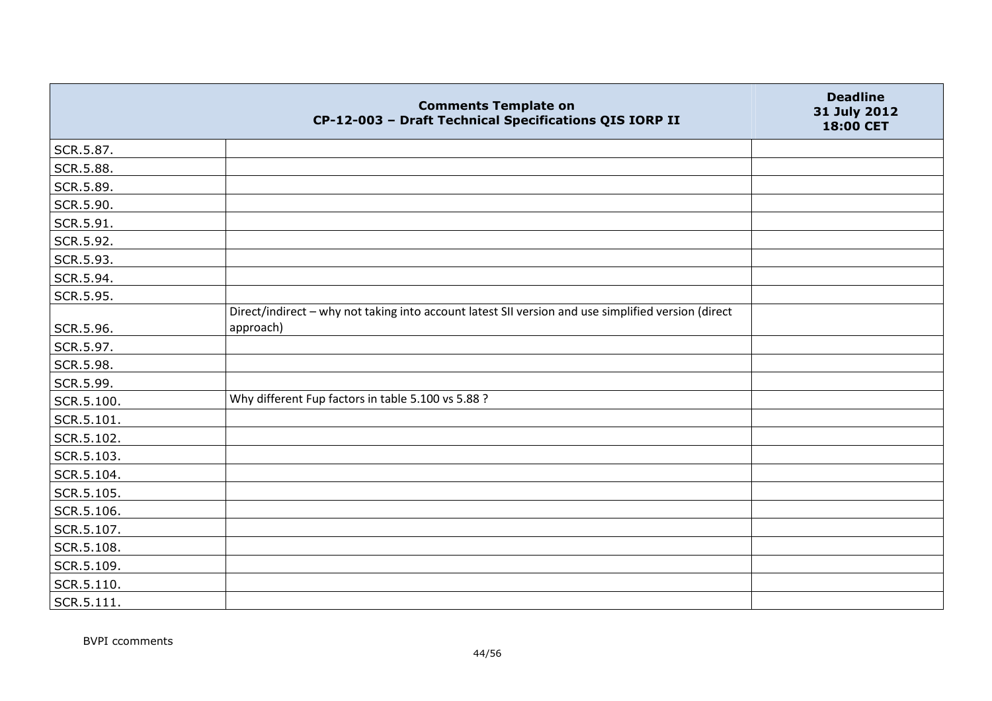|            | <b>Comments Template on</b><br>CP-12-003 - Draft Technical Specifications QIS IORP II               | <b>Deadline</b><br>31 July 2012<br>18:00 CET |
|------------|-----------------------------------------------------------------------------------------------------|----------------------------------------------|
| SCR.5.87.  |                                                                                                     |                                              |
| SCR.5.88.  |                                                                                                     |                                              |
| SCR.5.89.  |                                                                                                     |                                              |
| SCR.5.90.  |                                                                                                     |                                              |
| SCR.5.91.  |                                                                                                     |                                              |
| SCR.5.92.  |                                                                                                     |                                              |
| SCR.5.93.  |                                                                                                     |                                              |
| SCR.5.94.  |                                                                                                     |                                              |
| SCR.5.95.  |                                                                                                     |                                              |
|            | Direct/indirect - why not taking into account latest SII version and use simplified version (direct |                                              |
| SCR.5.96.  | approach)                                                                                           |                                              |
| SCR.5.97.  |                                                                                                     |                                              |
| SCR.5.98.  |                                                                                                     |                                              |
| SCR.5.99.  |                                                                                                     |                                              |
| SCR.5.100. | Why different Fup factors in table 5.100 vs 5.88 ?                                                  |                                              |
| SCR.5.101. |                                                                                                     |                                              |
| SCR.5.102. |                                                                                                     |                                              |
| SCR.5.103. |                                                                                                     |                                              |
| SCR.5.104. |                                                                                                     |                                              |
| SCR.5.105. |                                                                                                     |                                              |
| SCR.5.106. |                                                                                                     |                                              |
| SCR.5.107. |                                                                                                     |                                              |
| SCR.5.108. |                                                                                                     |                                              |
| SCR.5.109. |                                                                                                     |                                              |
| SCR.5.110. |                                                                                                     |                                              |
| SCR.5.111. |                                                                                                     |                                              |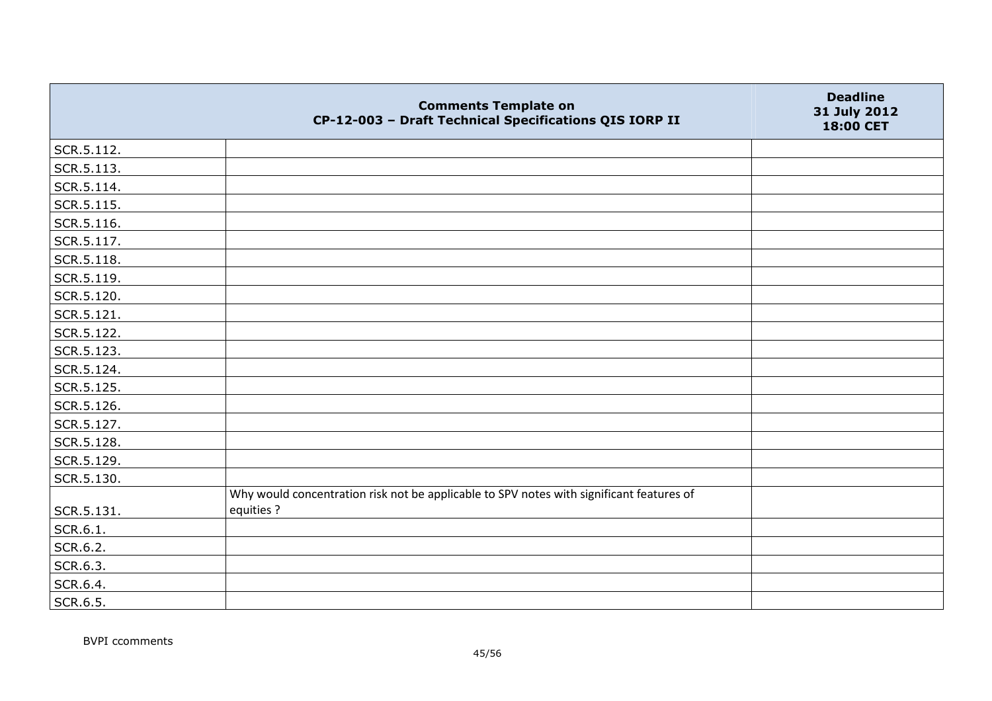|            | <b>Comments Template on</b><br>CP-12-003 - Draft Technical Specifications QIS IORP II                  | <b>Deadline</b><br>31 July 2012<br>18:00 CET |
|------------|--------------------------------------------------------------------------------------------------------|----------------------------------------------|
| SCR.5.112. |                                                                                                        |                                              |
| SCR.5.113. |                                                                                                        |                                              |
| SCR.5.114. |                                                                                                        |                                              |
| SCR.5.115. |                                                                                                        |                                              |
| SCR.5.116. |                                                                                                        |                                              |
| SCR.5.117. |                                                                                                        |                                              |
| SCR.5.118. |                                                                                                        |                                              |
| SCR.5.119. |                                                                                                        |                                              |
| SCR.5.120. |                                                                                                        |                                              |
| SCR.5.121. |                                                                                                        |                                              |
| SCR.5.122. |                                                                                                        |                                              |
| SCR.5.123. |                                                                                                        |                                              |
| SCR.5.124. |                                                                                                        |                                              |
| SCR.5.125. |                                                                                                        |                                              |
| SCR.5.126. |                                                                                                        |                                              |
| SCR.5.127. |                                                                                                        |                                              |
| SCR.5.128. |                                                                                                        |                                              |
| SCR.5.129. |                                                                                                        |                                              |
| SCR.5.130. |                                                                                                        |                                              |
| SCR.5.131. | Why would concentration risk not be applicable to SPV notes with significant features of<br>equities ? |                                              |
| SCR.6.1.   |                                                                                                        |                                              |
| SCR.6.2.   |                                                                                                        |                                              |
| SCR.6.3.   |                                                                                                        |                                              |
| SCR.6.4.   |                                                                                                        |                                              |
| SCR.6.5.   |                                                                                                        |                                              |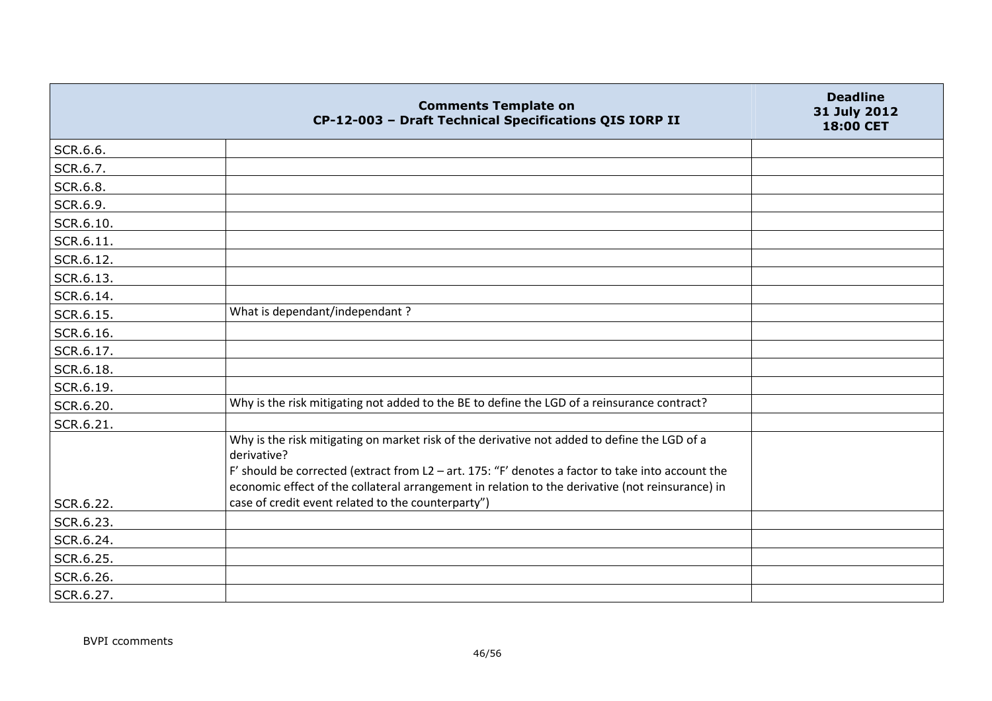|           | <b>Comments Template on</b><br>CP-12-003 - Draft Technical Specifications QIS IORP II                                                                                                                                                                                                                                | <b>Deadline</b><br>31 July 2012<br>18:00 CET |
|-----------|----------------------------------------------------------------------------------------------------------------------------------------------------------------------------------------------------------------------------------------------------------------------------------------------------------------------|----------------------------------------------|
| SCR.6.6.  |                                                                                                                                                                                                                                                                                                                      |                                              |
| SCR.6.7.  |                                                                                                                                                                                                                                                                                                                      |                                              |
| SCR.6.8.  |                                                                                                                                                                                                                                                                                                                      |                                              |
| SCR.6.9.  |                                                                                                                                                                                                                                                                                                                      |                                              |
| SCR.6.10. |                                                                                                                                                                                                                                                                                                                      |                                              |
| SCR.6.11. |                                                                                                                                                                                                                                                                                                                      |                                              |
| SCR.6.12. |                                                                                                                                                                                                                                                                                                                      |                                              |
| SCR.6.13. |                                                                                                                                                                                                                                                                                                                      |                                              |
| SCR.6.14. |                                                                                                                                                                                                                                                                                                                      |                                              |
| SCR.6.15. | What is dependant/independant?                                                                                                                                                                                                                                                                                       |                                              |
| SCR.6.16. |                                                                                                                                                                                                                                                                                                                      |                                              |
| SCR.6.17. |                                                                                                                                                                                                                                                                                                                      |                                              |
| SCR.6.18. |                                                                                                                                                                                                                                                                                                                      |                                              |
| SCR.6.19. |                                                                                                                                                                                                                                                                                                                      |                                              |
| SCR.6.20. | Why is the risk mitigating not added to the BE to define the LGD of a reinsurance contract?                                                                                                                                                                                                                          |                                              |
| SCR.6.21. |                                                                                                                                                                                                                                                                                                                      |                                              |
|           | Why is the risk mitigating on market risk of the derivative not added to define the LGD of a<br>derivative?<br>F' should be corrected (extract from L2 - art. 175: "F' denotes a factor to take into account the<br>economic effect of the collateral arrangement in relation to the derivative (not reinsurance) in |                                              |
| SCR.6.22. | case of credit event related to the counterparty")                                                                                                                                                                                                                                                                   |                                              |
| SCR.6.23. |                                                                                                                                                                                                                                                                                                                      |                                              |
| SCR.6.24. |                                                                                                                                                                                                                                                                                                                      |                                              |
| SCR.6.25. |                                                                                                                                                                                                                                                                                                                      |                                              |
| SCR.6.26. |                                                                                                                                                                                                                                                                                                                      |                                              |
| SCR.6.27. |                                                                                                                                                                                                                                                                                                                      |                                              |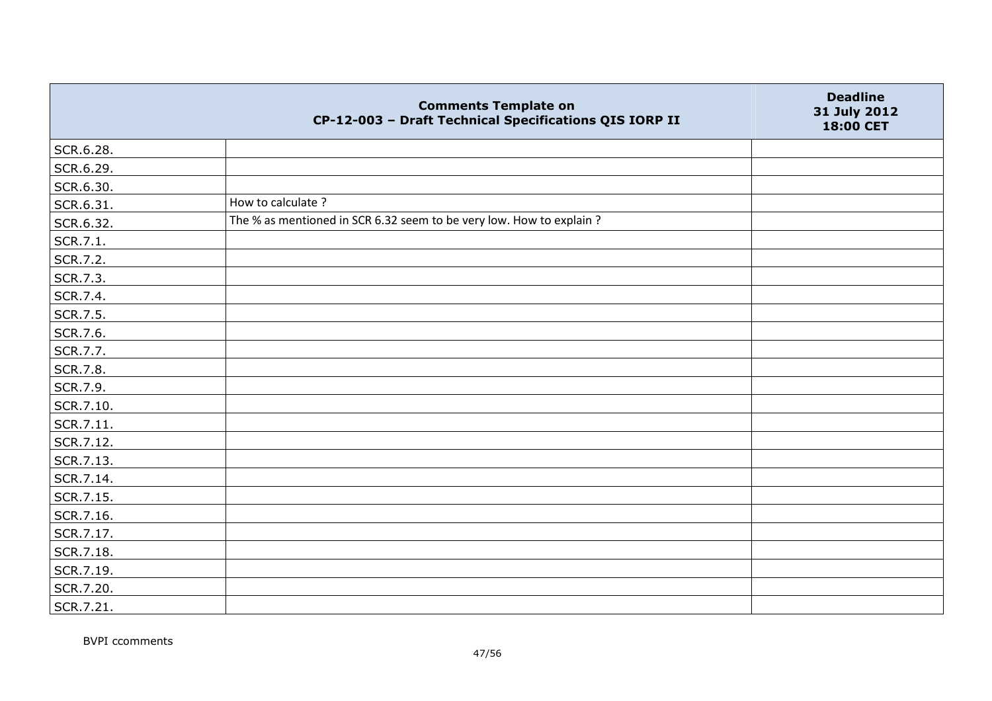|           | <b>Comments Template on</b><br>CP-12-003 - Draft Technical Specifications QIS IORP II | <b>Deadline</b><br>31 July 2012<br>18:00 CET |
|-----------|---------------------------------------------------------------------------------------|----------------------------------------------|
| SCR.6.28. |                                                                                       |                                              |
| SCR.6.29. |                                                                                       |                                              |
| SCR.6.30. |                                                                                       |                                              |
| SCR.6.31. | How to calculate?                                                                     |                                              |
| SCR.6.32. | The % as mentioned in SCR 6.32 seem to be very low. How to explain ?                  |                                              |
| SCR.7.1.  |                                                                                       |                                              |
| SCR.7.2.  |                                                                                       |                                              |
| SCR.7.3.  |                                                                                       |                                              |
| SCR.7.4.  |                                                                                       |                                              |
| SCR.7.5.  |                                                                                       |                                              |
| SCR.7.6.  |                                                                                       |                                              |
| SCR.7.7.  |                                                                                       |                                              |
| SCR.7.8.  |                                                                                       |                                              |
| SCR.7.9.  |                                                                                       |                                              |
| SCR.7.10. |                                                                                       |                                              |
| SCR.7.11. |                                                                                       |                                              |
| SCR.7.12. |                                                                                       |                                              |
| SCR.7.13. |                                                                                       |                                              |
| SCR.7.14. |                                                                                       |                                              |
| SCR.7.15. |                                                                                       |                                              |
| SCR.7.16. |                                                                                       |                                              |
| SCR.7.17. |                                                                                       |                                              |
| SCR.7.18. |                                                                                       |                                              |
| SCR.7.19. |                                                                                       |                                              |
| SCR.7.20. |                                                                                       |                                              |
| SCR.7.21. |                                                                                       |                                              |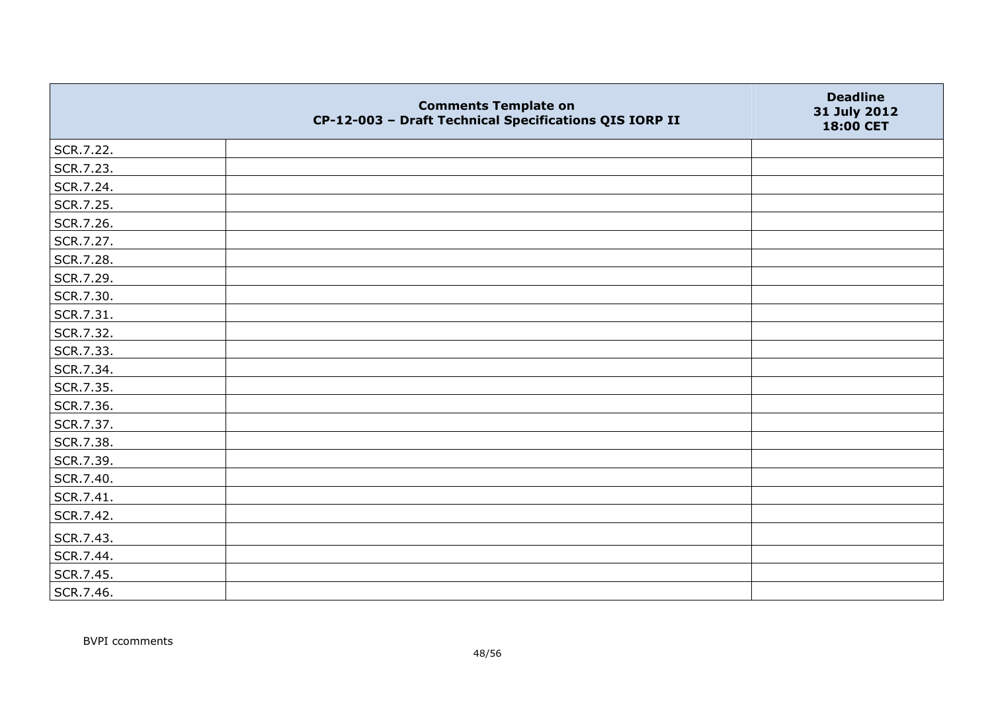|           | <b>Comments Template on</b><br>CP-12-003 - Draft Technical Specifications QIS IORP II | <b>Deadline</b><br>31 July 2012<br>18:00 CET |
|-----------|---------------------------------------------------------------------------------------|----------------------------------------------|
| SCR.7.22. |                                                                                       |                                              |
| SCR.7.23. |                                                                                       |                                              |
| SCR.7.24. |                                                                                       |                                              |
| SCR.7.25. |                                                                                       |                                              |
| SCR.7.26. |                                                                                       |                                              |
| SCR.7.27. |                                                                                       |                                              |
| SCR.7.28. |                                                                                       |                                              |
| SCR.7.29. |                                                                                       |                                              |
| SCR.7.30. |                                                                                       |                                              |
| SCR.7.31. |                                                                                       |                                              |
| SCR.7.32. |                                                                                       |                                              |
| SCR.7.33. |                                                                                       |                                              |
| SCR.7.34. |                                                                                       |                                              |
| SCR.7.35. |                                                                                       |                                              |
| SCR.7.36. |                                                                                       |                                              |
| SCR.7.37. |                                                                                       |                                              |
| SCR.7.38. |                                                                                       |                                              |
| SCR.7.39. |                                                                                       |                                              |
| SCR.7.40. |                                                                                       |                                              |
| SCR.7.41. |                                                                                       |                                              |
| SCR.7.42. |                                                                                       |                                              |
| SCR.7.43. |                                                                                       |                                              |
| SCR.7.44. |                                                                                       |                                              |
| SCR.7.45. |                                                                                       |                                              |
| SCR.7.46. |                                                                                       |                                              |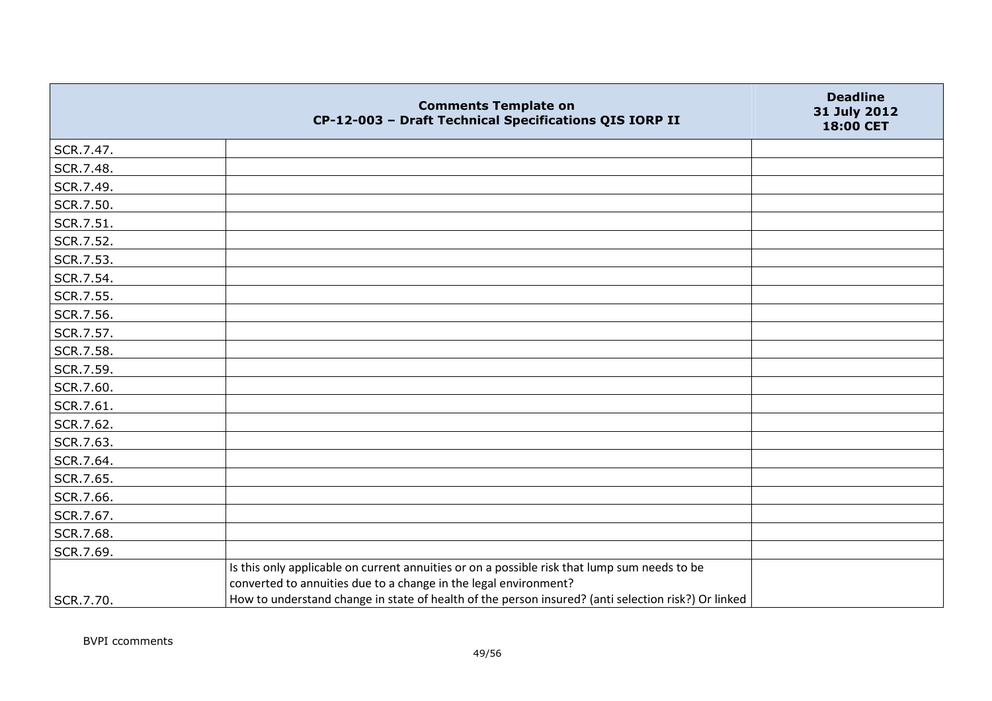|           | <b>Comments Template on</b><br>CP-12-003 - Draft Technical Specifications QIS IORP II                                                                                                                                                                                   | <b>Deadline</b><br>31 July 2012<br>18:00 CET |
|-----------|-------------------------------------------------------------------------------------------------------------------------------------------------------------------------------------------------------------------------------------------------------------------------|----------------------------------------------|
| SCR.7.47. |                                                                                                                                                                                                                                                                         |                                              |
| SCR.7.48. |                                                                                                                                                                                                                                                                         |                                              |
| SCR.7.49. |                                                                                                                                                                                                                                                                         |                                              |
| SCR.7.50. |                                                                                                                                                                                                                                                                         |                                              |
| SCR.7.51. |                                                                                                                                                                                                                                                                         |                                              |
| SCR.7.52. |                                                                                                                                                                                                                                                                         |                                              |
| SCR.7.53. |                                                                                                                                                                                                                                                                         |                                              |
| SCR.7.54. |                                                                                                                                                                                                                                                                         |                                              |
| SCR.7.55. |                                                                                                                                                                                                                                                                         |                                              |
| SCR.7.56. |                                                                                                                                                                                                                                                                         |                                              |
| SCR.7.57. |                                                                                                                                                                                                                                                                         |                                              |
| SCR.7.58. |                                                                                                                                                                                                                                                                         |                                              |
| SCR.7.59. |                                                                                                                                                                                                                                                                         |                                              |
| SCR.7.60. |                                                                                                                                                                                                                                                                         |                                              |
| SCR.7.61. |                                                                                                                                                                                                                                                                         |                                              |
| SCR.7.62. |                                                                                                                                                                                                                                                                         |                                              |
| SCR.7.63. |                                                                                                                                                                                                                                                                         |                                              |
| SCR.7.64. |                                                                                                                                                                                                                                                                         |                                              |
| SCR.7.65. |                                                                                                                                                                                                                                                                         |                                              |
| SCR.7.66. |                                                                                                                                                                                                                                                                         |                                              |
| SCR.7.67. |                                                                                                                                                                                                                                                                         |                                              |
| SCR.7.68. |                                                                                                                                                                                                                                                                         |                                              |
| SCR.7.69. |                                                                                                                                                                                                                                                                         |                                              |
| SCR.7.70. | Is this only applicable on current annuities or on a possible risk that lump sum needs to be<br>converted to annuities due to a change in the legal environment?<br>How to understand change in state of health of the person insured? (anti selection risk?) Or linked |                                              |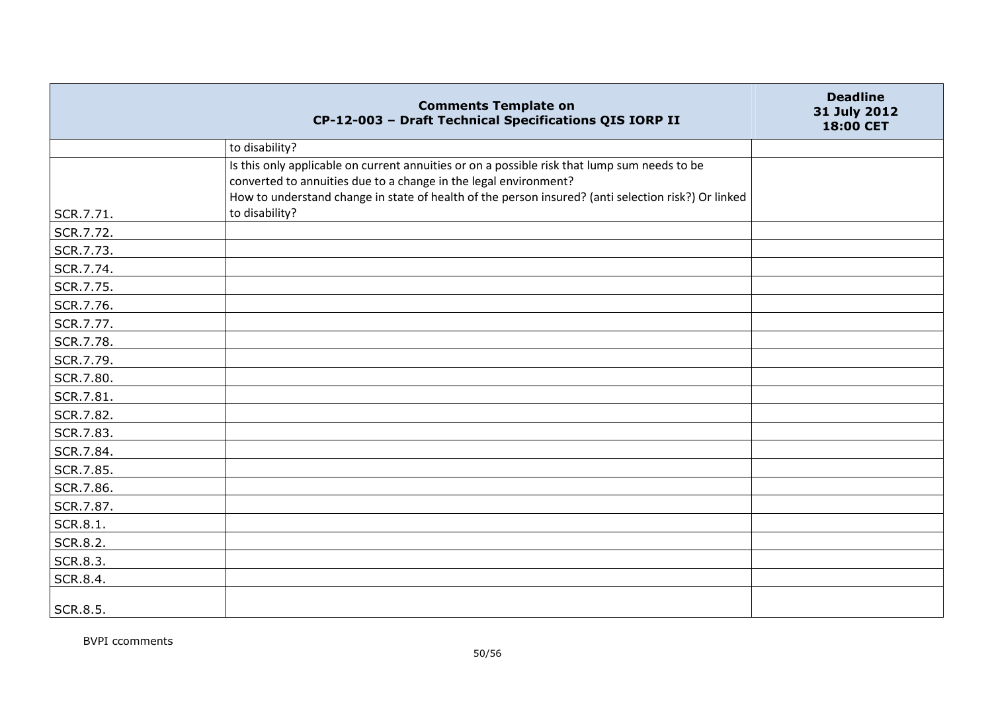|                 | <b>Comments Template on</b><br>CP-12-003 - Draft Technical Specifications QIS IORP II                                                                                                                                                                                   | <b>Deadline</b><br>31 July 2012<br>18:00 CET |
|-----------------|-------------------------------------------------------------------------------------------------------------------------------------------------------------------------------------------------------------------------------------------------------------------------|----------------------------------------------|
|                 | to disability?                                                                                                                                                                                                                                                          |                                              |
|                 | Is this only applicable on current annuities or on a possible risk that lump sum needs to be<br>converted to annuities due to a change in the legal environment?<br>How to understand change in state of health of the person insured? (anti selection risk?) Or linked |                                              |
| SCR.7.71.       | to disability?                                                                                                                                                                                                                                                          |                                              |
| SCR.7.72.       |                                                                                                                                                                                                                                                                         |                                              |
| SCR.7.73.       |                                                                                                                                                                                                                                                                         |                                              |
| SCR.7.74.       |                                                                                                                                                                                                                                                                         |                                              |
| SCR.7.75.       |                                                                                                                                                                                                                                                                         |                                              |
| SCR.7.76.       |                                                                                                                                                                                                                                                                         |                                              |
| SCR.7.77.       |                                                                                                                                                                                                                                                                         |                                              |
| SCR.7.78.       |                                                                                                                                                                                                                                                                         |                                              |
| SCR.7.79.       |                                                                                                                                                                                                                                                                         |                                              |
| SCR.7.80.       |                                                                                                                                                                                                                                                                         |                                              |
| SCR.7.81.       |                                                                                                                                                                                                                                                                         |                                              |
| SCR.7.82.       |                                                                                                                                                                                                                                                                         |                                              |
| SCR.7.83.       |                                                                                                                                                                                                                                                                         |                                              |
| SCR.7.84.       |                                                                                                                                                                                                                                                                         |                                              |
| SCR.7.85.       |                                                                                                                                                                                                                                                                         |                                              |
| SCR.7.86.       |                                                                                                                                                                                                                                                                         |                                              |
| SCR.7.87.       |                                                                                                                                                                                                                                                                         |                                              |
| <b>SCR.8.1.</b> |                                                                                                                                                                                                                                                                         |                                              |
| SCR.8.2.        |                                                                                                                                                                                                                                                                         |                                              |
| SCR.8.3.        |                                                                                                                                                                                                                                                                         |                                              |
| SCR.8.4.        |                                                                                                                                                                                                                                                                         |                                              |
| SCR.8.5.        |                                                                                                                                                                                                                                                                         |                                              |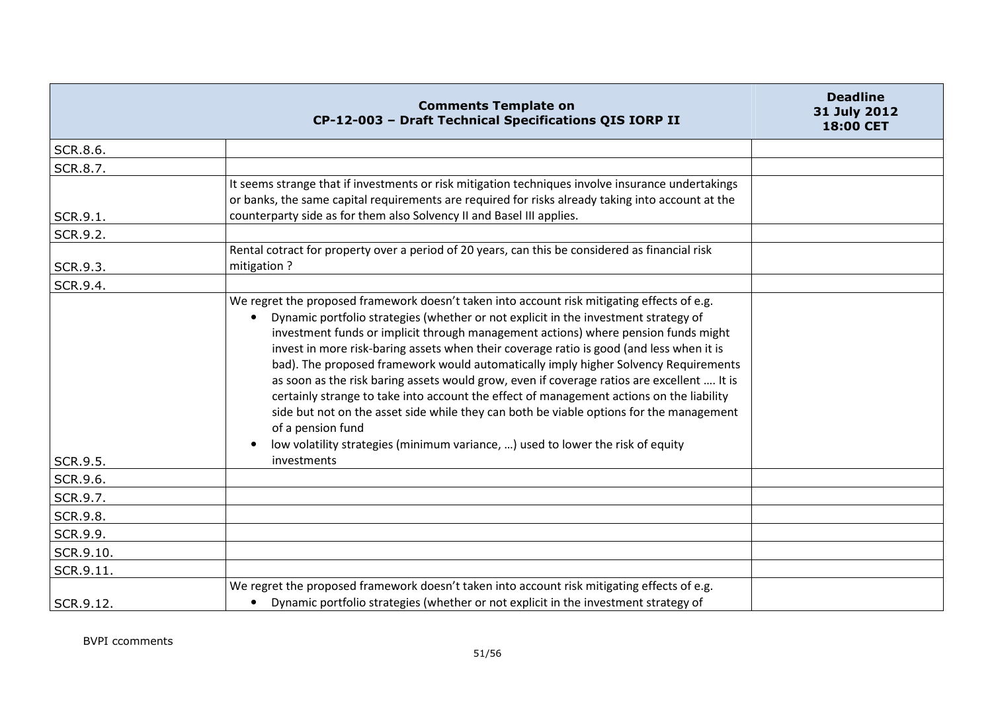|           | <b>Comments Template on</b><br>CP-12-003 - Draft Technical Specifications QIS IORP II                                                                                                                                                                                                                                                                                                                                                                                                                                                                                                                                                                                                                                                                                                                                                                                   | <b>Deadline</b><br>31 July 2012<br>18:00 CET |
|-----------|-------------------------------------------------------------------------------------------------------------------------------------------------------------------------------------------------------------------------------------------------------------------------------------------------------------------------------------------------------------------------------------------------------------------------------------------------------------------------------------------------------------------------------------------------------------------------------------------------------------------------------------------------------------------------------------------------------------------------------------------------------------------------------------------------------------------------------------------------------------------------|----------------------------------------------|
| SCR.8.6.  |                                                                                                                                                                                                                                                                                                                                                                                                                                                                                                                                                                                                                                                                                                                                                                                                                                                                         |                                              |
| SCR.8.7.  |                                                                                                                                                                                                                                                                                                                                                                                                                                                                                                                                                                                                                                                                                                                                                                                                                                                                         |                                              |
| SCR.9.1.  | It seems strange that if investments or risk mitigation techniques involve insurance undertakings<br>or banks, the same capital requirements are required for risks already taking into account at the<br>counterparty side as for them also Solvency II and Basel III applies.                                                                                                                                                                                                                                                                                                                                                                                                                                                                                                                                                                                         |                                              |
| SCR.9.2.  |                                                                                                                                                                                                                                                                                                                                                                                                                                                                                                                                                                                                                                                                                                                                                                                                                                                                         |                                              |
| SCR.9.3.  | Rental cotract for property over a period of 20 years, can this be considered as financial risk<br>mitigation?                                                                                                                                                                                                                                                                                                                                                                                                                                                                                                                                                                                                                                                                                                                                                          |                                              |
| SCR.9.4.  |                                                                                                                                                                                                                                                                                                                                                                                                                                                                                                                                                                                                                                                                                                                                                                                                                                                                         |                                              |
| SCR.9.5.  | We regret the proposed framework doesn't taken into account risk mitigating effects of e.g.<br>Dynamic portfolio strategies (whether or not explicit in the investment strategy of<br>investment funds or implicit through management actions) where pension funds might<br>invest in more risk-baring assets when their coverage ratio is good (and less when it is<br>bad). The proposed framework would automatically imply higher Solvency Requirements<br>as soon as the risk baring assets would grow, even if coverage ratios are excellent  It is<br>certainly strange to take into account the effect of management actions on the liability<br>side but not on the asset side while they can both be viable options for the management<br>of a pension fund<br>low volatility strategies (minimum variance, ) used to lower the risk of equity<br>investments |                                              |
| SCR.9.6.  |                                                                                                                                                                                                                                                                                                                                                                                                                                                                                                                                                                                                                                                                                                                                                                                                                                                                         |                                              |
| SCR.9.7.  |                                                                                                                                                                                                                                                                                                                                                                                                                                                                                                                                                                                                                                                                                                                                                                                                                                                                         |                                              |
| SCR.9.8.  |                                                                                                                                                                                                                                                                                                                                                                                                                                                                                                                                                                                                                                                                                                                                                                                                                                                                         |                                              |
| SCR.9.9.  |                                                                                                                                                                                                                                                                                                                                                                                                                                                                                                                                                                                                                                                                                                                                                                                                                                                                         |                                              |
| SCR.9.10. |                                                                                                                                                                                                                                                                                                                                                                                                                                                                                                                                                                                                                                                                                                                                                                                                                                                                         |                                              |
| SCR.9.11. |                                                                                                                                                                                                                                                                                                                                                                                                                                                                                                                                                                                                                                                                                                                                                                                                                                                                         |                                              |
| SCR.9.12. | We regret the proposed framework doesn't taken into account risk mitigating effects of e.g.<br>Dynamic portfolio strategies (whether or not explicit in the investment strategy of                                                                                                                                                                                                                                                                                                                                                                                                                                                                                                                                                                                                                                                                                      |                                              |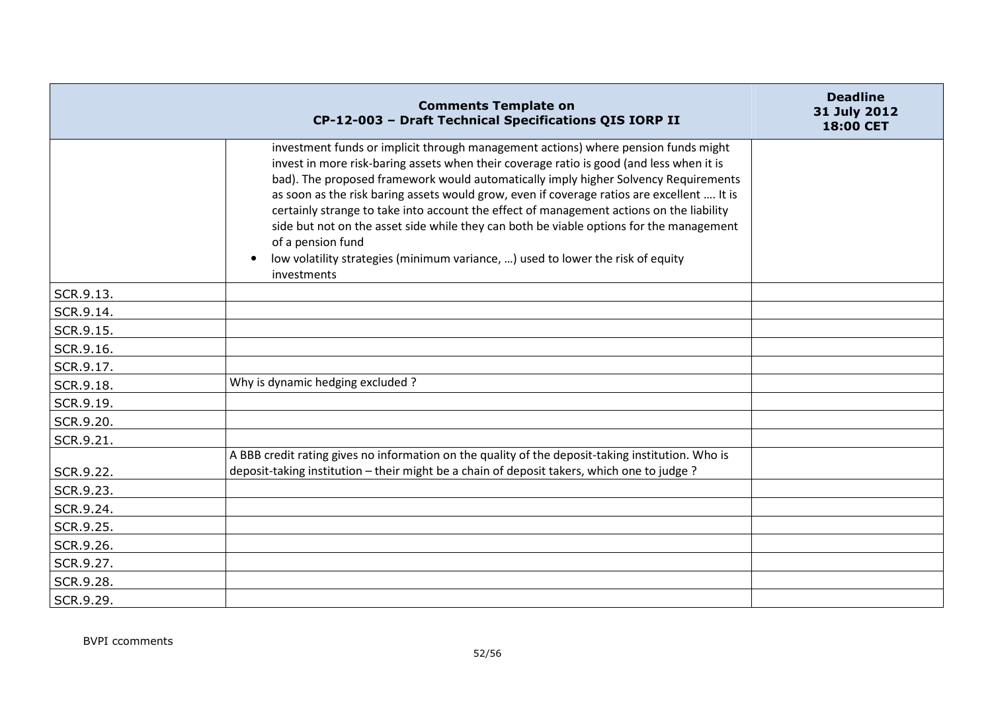|           | <b>Comments Template on</b><br>CP-12-003 - Draft Technical Specifications QIS IORP II                                                                                                                                                                                                                                                                                                                                                                                                                                                                                                                                                                                             | <b>Deadline</b><br>31 July 2012<br>18:00 CET |
|-----------|-----------------------------------------------------------------------------------------------------------------------------------------------------------------------------------------------------------------------------------------------------------------------------------------------------------------------------------------------------------------------------------------------------------------------------------------------------------------------------------------------------------------------------------------------------------------------------------------------------------------------------------------------------------------------------------|----------------------------------------------|
|           | investment funds or implicit through management actions) where pension funds might<br>invest in more risk-baring assets when their coverage ratio is good (and less when it is<br>bad). The proposed framework would automatically imply higher Solvency Requirements<br>as soon as the risk baring assets would grow, even if coverage ratios are excellent  It is<br>certainly strange to take into account the effect of management actions on the liability<br>side but not on the asset side while they can both be viable options for the management<br>of a pension fund<br>low volatility strategies (minimum variance, ) used to lower the risk of equity<br>investments |                                              |
| SCR.9.13. |                                                                                                                                                                                                                                                                                                                                                                                                                                                                                                                                                                                                                                                                                   |                                              |
| SCR.9.14. |                                                                                                                                                                                                                                                                                                                                                                                                                                                                                                                                                                                                                                                                                   |                                              |
| SCR.9.15. |                                                                                                                                                                                                                                                                                                                                                                                                                                                                                                                                                                                                                                                                                   |                                              |
| SCR.9.16. |                                                                                                                                                                                                                                                                                                                                                                                                                                                                                                                                                                                                                                                                                   |                                              |
| SCR.9.17. |                                                                                                                                                                                                                                                                                                                                                                                                                                                                                                                                                                                                                                                                                   |                                              |
| SCR.9.18. | Why is dynamic hedging excluded?                                                                                                                                                                                                                                                                                                                                                                                                                                                                                                                                                                                                                                                  |                                              |
| SCR.9.19. |                                                                                                                                                                                                                                                                                                                                                                                                                                                                                                                                                                                                                                                                                   |                                              |
| SCR.9.20. |                                                                                                                                                                                                                                                                                                                                                                                                                                                                                                                                                                                                                                                                                   |                                              |
| SCR.9.21. |                                                                                                                                                                                                                                                                                                                                                                                                                                                                                                                                                                                                                                                                                   |                                              |
|           | A BBB credit rating gives no information on the quality of the deposit-taking institution. Who is                                                                                                                                                                                                                                                                                                                                                                                                                                                                                                                                                                                 |                                              |
| SCR.9.22. | deposit-taking institution - their might be a chain of deposit takers, which one to judge?                                                                                                                                                                                                                                                                                                                                                                                                                                                                                                                                                                                        |                                              |
| SCR.9.23. |                                                                                                                                                                                                                                                                                                                                                                                                                                                                                                                                                                                                                                                                                   |                                              |
| SCR.9.24. |                                                                                                                                                                                                                                                                                                                                                                                                                                                                                                                                                                                                                                                                                   |                                              |
| SCR.9.25. |                                                                                                                                                                                                                                                                                                                                                                                                                                                                                                                                                                                                                                                                                   |                                              |
| SCR.9.26. |                                                                                                                                                                                                                                                                                                                                                                                                                                                                                                                                                                                                                                                                                   |                                              |
| SCR.9.27. |                                                                                                                                                                                                                                                                                                                                                                                                                                                                                                                                                                                                                                                                                   |                                              |
| SCR.9.28. |                                                                                                                                                                                                                                                                                                                                                                                                                                                                                                                                                                                                                                                                                   |                                              |
| SCR.9.29. |                                                                                                                                                                                                                                                                                                                                                                                                                                                                                                                                                                                                                                                                                   |                                              |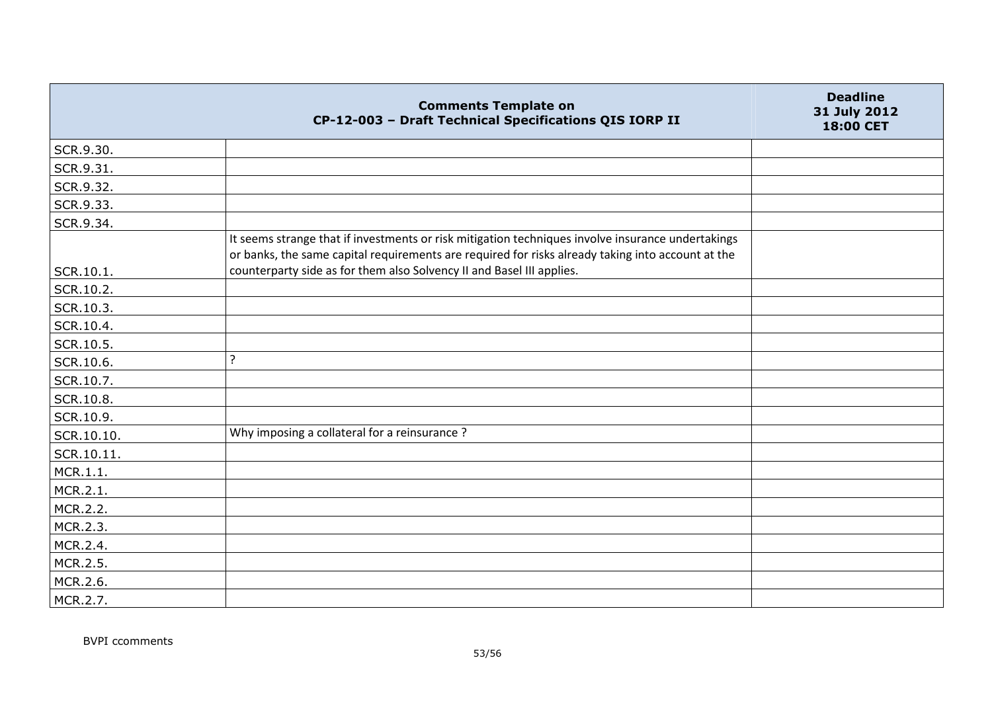|            | <b>Comments Template on</b><br>CP-12-003 - Draft Technical Specifications QIS IORP II                                                                                                                  | <b>Deadline</b><br>31 July 2012<br>18:00 CET |
|------------|--------------------------------------------------------------------------------------------------------------------------------------------------------------------------------------------------------|----------------------------------------------|
| SCR.9.30.  |                                                                                                                                                                                                        |                                              |
| SCR.9.31.  |                                                                                                                                                                                                        |                                              |
| SCR.9.32.  |                                                                                                                                                                                                        |                                              |
| SCR.9.33.  |                                                                                                                                                                                                        |                                              |
| SCR.9.34.  |                                                                                                                                                                                                        |                                              |
|            | It seems strange that if investments or risk mitigation techniques involve insurance undertakings<br>or banks, the same capital requirements are required for risks already taking into account at the |                                              |
| SCR.10.1.  | counterparty side as for them also Solvency II and Basel III applies.                                                                                                                                  |                                              |
| SCR.10.2.  |                                                                                                                                                                                                        |                                              |
| SCR.10.3.  |                                                                                                                                                                                                        |                                              |
| SCR.10.4.  |                                                                                                                                                                                                        |                                              |
| SCR.10.5.  |                                                                                                                                                                                                        |                                              |
| SCR.10.6.  | ?                                                                                                                                                                                                      |                                              |
| SCR.10.7.  |                                                                                                                                                                                                        |                                              |
| SCR.10.8.  |                                                                                                                                                                                                        |                                              |
| SCR.10.9.  |                                                                                                                                                                                                        |                                              |
| SCR.10.10. | Why imposing a collateral for a reinsurance?                                                                                                                                                           |                                              |
| SCR.10.11. |                                                                                                                                                                                                        |                                              |
| MCR.1.1.   |                                                                                                                                                                                                        |                                              |
| MCR.2.1.   |                                                                                                                                                                                                        |                                              |
| MCR.2.2.   |                                                                                                                                                                                                        |                                              |
| MCR.2.3.   |                                                                                                                                                                                                        |                                              |
| MCR.2.4.   |                                                                                                                                                                                                        |                                              |
| MCR.2.5.   |                                                                                                                                                                                                        |                                              |
| MCR.2.6.   |                                                                                                                                                                                                        |                                              |
| MCR.2.7.   |                                                                                                                                                                                                        |                                              |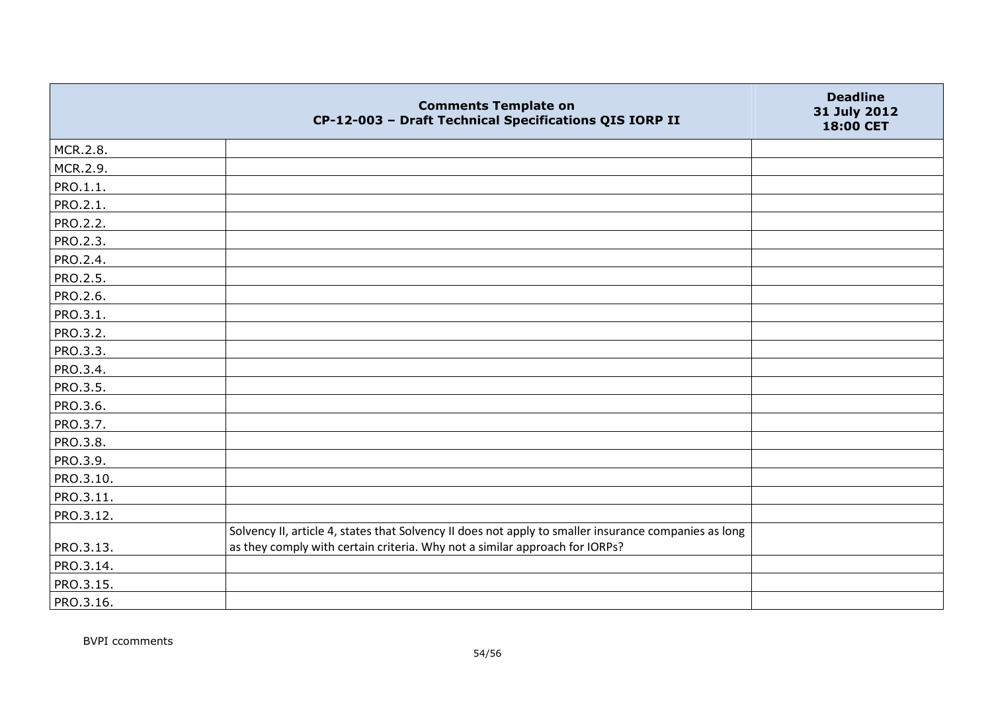|           | <b>Comments Template on</b><br>CP-12-003 - Draft Technical Specifications QIS IORP II                                                                                                | <b>Deadline</b><br>31 July 2012<br>18:00 CET |
|-----------|--------------------------------------------------------------------------------------------------------------------------------------------------------------------------------------|----------------------------------------------|
| MCR.2.8.  |                                                                                                                                                                                      |                                              |
| MCR.2.9.  |                                                                                                                                                                                      |                                              |
| PRO.1.1.  |                                                                                                                                                                                      |                                              |
| PRO.2.1.  |                                                                                                                                                                                      |                                              |
| PRO.2.2.  |                                                                                                                                                                                      |                                              |
| PRO.2.3.  |                                                                                                                                                                                      |                                              |
| PRO.2.4.  |                                                                                                                                                                                      |                                              |
| PRO.2.5.  |                                                                                                                                                                                      |                                              |
| PRO.2.6.  |                                                                                                                                                                                      |                                              |
| PRO.3.1.  |                                                                                                                                                                                      |                                              |
| PRO.3.2.  |                                                                                                                                                                                      |                                              |
| PRO.3.3.  |                                                                                                                                                                                      |                                              |
| PRO.3.4.  |                                                                                                                                                                                      |                                              |
| PRO.3.5.  |                                                                                                                                                                                      |                                              |
| PRO.3.6.  |                                                                                                                                                                                      |                                              |
| PRO.3.7.  |                                                                                                                                                                                      |                                              |
| PRO.3.8.  |                                                                                                                                                                                      |                                              |
| PRO.3.9.  |                                                                                                                                                                                      |                                              |
| PRO.3.10. |                                                                                                                                                                                      |                                              |
| PRO.3.11. |                                                                                                                                                                                      |                                              |
| PRO.3.12. |                                                                                                                                                                                      |                                              |
| PRO.3.13. | Solvency II, article 4, states that Solvency II does not apply to smaller insurance companies as long<br>as they comply with certain criteria. Why not a similar approach for IORPs? |                                              |
| PRO.3.14. |                                                                                                                                                                                      |                                              |
| PRO.3.15. |                                                                                                                                                                                      |                                              |
| PRO.3.16. |                                                                                                                                                                                      |                                              |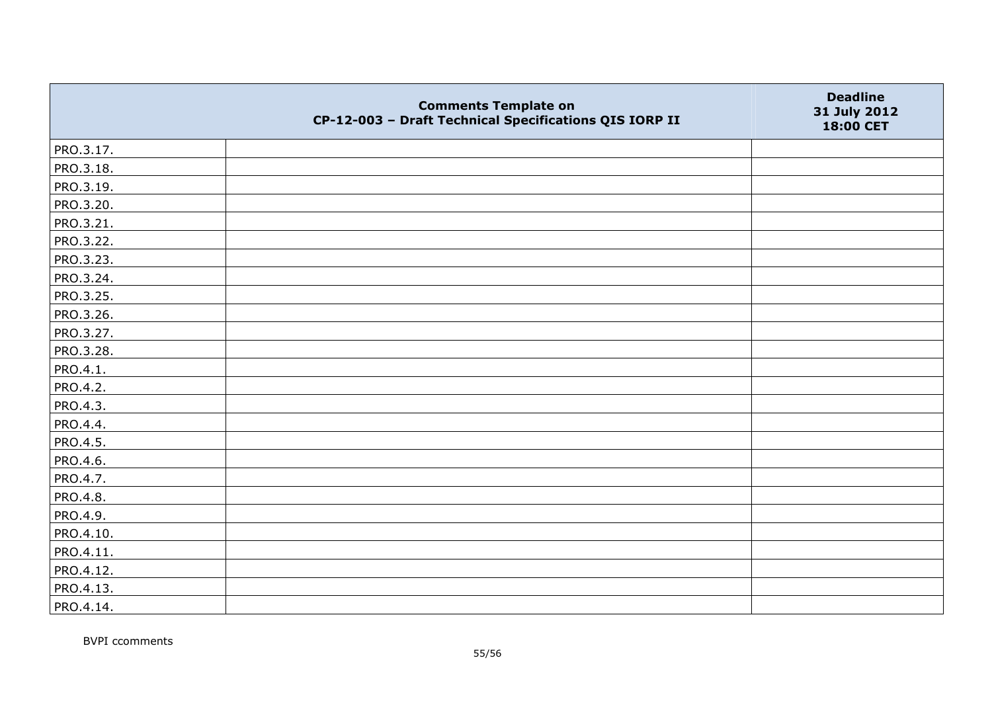|           | <b>Comments Template on</b><br>CP-12-003 - Draft Technical Specifications QIS IORP II | <b>Deadline</b><br>31 July 2012<br>18:00 CET |
|-----------|---------------------------------------------------------------------------------------|----------------------------------------------|
| PRO.3.17. |                                                                                       |                                              |
| PRO.3.18. |                                                                                       |                                              |
| PRO.3.19. |                                                                                       |                                              |
| PRO.3.20. |                                                                                       |                                              |
| PRO.3.21. |                                                                                       |                                              |
| PRO.3.22. |                                                                                       |                                              |
| PRO.3.23. |                                                                                       |                                              |
| PRO.3.24. |                                                                                       |                                              |
| PRO.3.25. |                                                                                       |                                              |
| PRO.3.26. |                                                                                       |                                              |
| PRO.3.27. |                                                                                       |                                              |
| PRO.3.28. |                                                                                       |                                              |
| PRO.4.1.  |                                                                                       |                                              |
| PRO.4.2.  |                                                                                       |                                              |
| PRO.4.3.  |                                                                                       |                                              |
| PRO.4.4.  |                                                                                       |                                              |
| PRO.4.5.  |                                                                                       |                                              |
| PRO.4.6.  |                                                                                       |                                              |
| PRO.4.7.  |                                                                                       |                                              |
| PRO.4.8.  |                                                                                       |                                              |
| PRO.4.9.  |                                                                                       |                                              |
| PRO.4.10. |                                                                                       |                                              |
| PRO.4.11. |                                                                                       |                                              |
| PRO.4.12. |                                                                                       |                                              |
| PRO.4.13. |                                                                                       |                                              |
| PRO.4.14. |                                                                                       |                                              |